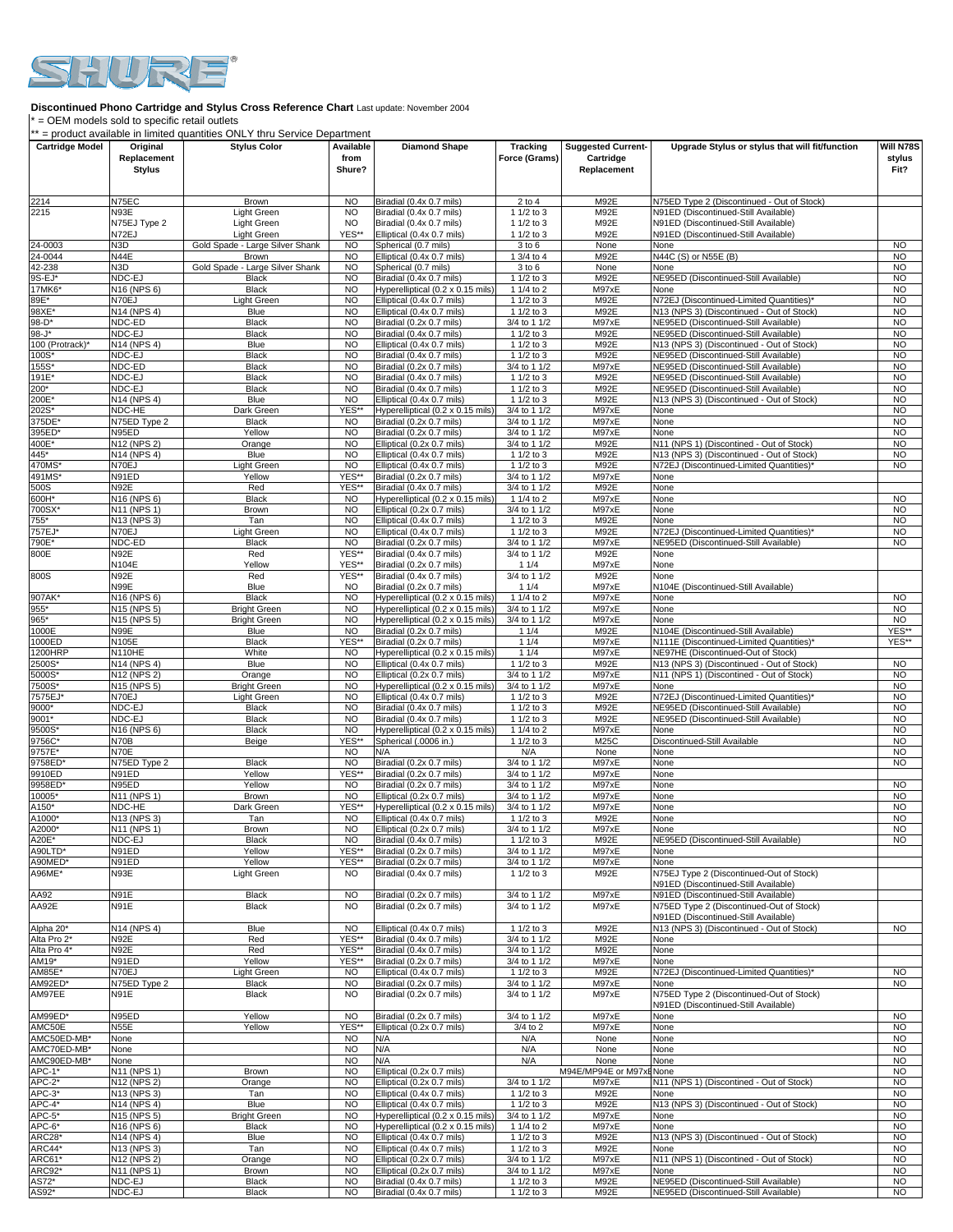

**Discontinued Phono Cartridge and Stylus Cross Reference Chart** Last update: November 2004

\* = OEM models sold to specific retail outlets

|                          |                                          | = product available in limited quantities ONLY thru Service Department |                             |                                                                        |                              |                                                       |                                                                                       |                             |
|--------------------------|------------------------------------------|------------------------------------------------------------------------|-----------------------------|------------------------------------------------------------------------|------------------------------|-------------------------------------------------------|---------------------------------------------------------------------------------------|-----------------------------|
| <b>Cartridge Model</b>   | Original<br>Replacement<br><b>Stylus</b> | <b>Stylus Color</b>                                                    | Available<br>from<br>Shure? | <b>Diamond Shape</b>                                                   | Tracking<br>Force (Grams)    | <b>Suggested Current-</b><br>Cartridge<br>Replacement | Upgrade Stylus or stylus that will fit/function                                       | Will N78S<br>stylus<br>Fit? |
|                          |                                          |                                                                        |                             |                                                                        |                              |                                                       |                                                                                       |                             |
| 2214<br>2215             | N75EC<br>N93E                            | Brown<br><b>Light Green</b>                                            | <b>NO</b><br><b>NO</b>      | Biradial (0.4x 0.7 mils)<br>Biradial (0.4x 0.7 mils)                   | $2$ to $4$<br>1 1/2 to 3     | M92E<br>M92E                                          | N75ED Type 2 (Discontinued - Out of Stock)<br>N91ED (Discontinued-Still Available)    |                             |
|                          | N75EJ Type 2                             | Light Green                                                            | <b>NO</b>                   | Biradial (0.4x 0.7 mils)                                               | 1 1/2 to 3                   | M92E                                                  | N91ED (Discontinued-Still Available)                                                  |                             |
| 24-0003                  | N72EJ<br>N3D                             | Light Green<br>Gold Spade - Large Silver Shank                         | YES**<br><b>NO</b>          | Elliptical (0.4x 0.7 mils)<br>Spherical (0.7 mils)                     | 1 1/2 to 3<br>3 to 6         | M92E<br>None                                          | N91ED (Discontinued-Still Available)<br>None                                          | <b>NO</b>                   |
| 24-0044                  | N44E                                     | Brown                                                                  | <b>NO</b>                   | Elliptical (0.4x 0.7 mils)                                             | 1 3/4 to 4                   | M92E                                                  | N44C (S) or N55E (B)                                                                  | <b>NO</b>                   |
| 42-238                   | N <sub>3</sub> D                         | Gold Spade - Large Silver Shank                                        | <b>NO</b>                   | Spherical (0.7 mils)                                                   | 3 to 6                       | None                                                  | None                                                                                  | <b>NO</b>                   |
| 9S-EJ*                   | NDC-EJ                                   | Black                                                                  | NO.                         | Biradial (0.4x 0.7 mils)                                               | 1 1/2 to 3                   | M92E                                                  | NE95ED (Discontinued-Still Available)                                                 | <b>NO</b>                   |
| 17MK6'<br>89E*           | N <sub>16</sub> (NPS 6)<br>N70EJ         | Black<br>_ight Green                                                   | <b>NO</b><br><b>NO</b>      | Hyperelliptical (0.2 x 0.15 mils)<br>Elliptical (0.4x 0.7 mils)        | 1 1/4 to 2<br>1 1/2 to 3     | M97xE<br>M92E                                         | None<br>N72EJ (Discontinued-Limited Quantities)                                       | <b>NO</b><br><b>NO</b>      |
| 98XE*                    | N14 (NPS 4)                              | Blue                                                                   | <b>NO</b>                   | Elliptical (0.4x 0.7 mils)                                             | 1 1/2 to 3                   | M92E                                                  | N13 (NPS 3) (Discontinued - Out of Stock)                                             | <b>NO</b>                   |
| 98-D*                    | NDC-ED                                   | Black                                                                  | <b>NO</b>                   | Biradial (0.2x 0.7 mils)                                               | 3/4 to 1 1/2                 | M97xE                                                 | NE95ED (Discontinued-Still Available)                                                 | <b>NO</b>                   |
| $98 - J^*$               | NDC-EJ                                   | Black                                                                  | <b>NO</b>                   | Biradial (0.4x 0.7 mils)                                               | 1 1/2 to 3                   | M92E<br>M92E                                          | NE95ED (Discontinued-Still Available)<br>N13 (NPS 3) (Discontinued - Out of Stock)    | <b>NO</b>                   |
| 100 (Protrack)*<br>100S* | N14 (NPS 4)<br>NDC-EJ                    | Blue<br>Black                                                          | <b>NO</b><br><b>NO</b>      | Elliptical (0.4x 0.7 mils)<br>Biradial (0.4x 0.7 mils)                 | 1 1/2 to 3<br>1 1/2 to 3     | M92E                                                  | NE95ED (Discontinued-Still Available)                                                 | <b>NO</b><br><b>NO</b>      |
| 155S'                    | NDC-ED                                   | Black                                                                  | <b>NO</b>                   | Biradial (0.2x 0.7 mils)                                               | 3/4 to 1 1/2                 | M97xE                                                 | NE95ED (Discontinued-Still Available)                                                 | <b>NO</b>                   |
| 191E*                    | NDC-EJ                                   | Black                                                                  | <b>NO</b>                   | Biradial (0.4x 0.7 mils)                                               | 1 1/2 to 3                   | M92E                                                  | NE95ED (Discontinued-Still Available)                                                 | <b>NO</b>                   |
| 200*<br>200E*            | NDC-EJ<br>N14 (NPS 4)                    | Black<br>Blue                                                          | <b>NO</b><br><b>NO</b>      | Biradial (0.4x 0.7 mils)<br>Elliptical (0.4x 0.7 mils)                 | 1 1/2 to 3<br>1 1/2 to 3     | M92E<br><b>M92E</b>                                   | NE95ED (Discontinued-Still Available)<br>N13 (NPS 3) (Discontinued - Out of Stock)    | <b>NO</b><br><b>NO</b>      |
| 202S'                    | NDC-HE                                   | Dark Green                                                             | YES*                        | Hyperelliptical (0.2 x 0.15 mils)                                      | 3/4 to 1 1/2                 | M97xE                                                 | None                                                                                  | <b>NO</b>                   |
| 375DE                    | N75ED Type 2                             | Black                                                                  | <b>NO</b>                   | Biradial (0.2x 0.7 mils)                                               | 3/4 to 1 1/2                 | M97xE                                                 | None                                                                                  | <b>NO</b>                   |
| 395ED*                   | N95ED                                    | Yellow                                                                 | <b>NO</b>                   | Biradial (0.2x 0.7 mils)                                               | 3/4 to 1 1/2                 | M97xE                                                 | None                                                                                  | <b>NO</b>                   |
| 400E*<br>445*            | N12 (NPS 2)<br>N14 (NPS 4)               | Orange<br>Blue                                                         | <b>NO</b><br><b>NO</b>      | Elliptical (0.2x 0.7 mils)<br>Elliptical (0.4x 0.7 mils)               | 3/4 to 1 1/2<br>1 1/2 to 3   | M92E<br>M92E                                          | N11 (NPS 1) (Discontined - Out of Stock)<br>N13 (NPS 3) (Discontinued - Out of Stock) | <b>NO</b><br><b>NO</b>      |
| 470MS'                   | N70EJ                                    | Light Green                                                            | <b>NO</b>                   | Elliptical (0.4x 0.7 mils)                                             | 1 1/2 to 3                   | M92E                                                  | N72EJ (Discontinued-Limited Quantities)*                                              | NO                          |
| 491MS'                   | N91ED                                    | Yellow                                                                 | YES**                       | Biradial (0.2x 0.7 mils)                                               | 3/4 to 1 1/2                 | M97xE                                                 | None                                                                                  |                             |
| 500S                     | N92E                                     | Red                                                                    | YES*'                       | Biradial (0.4x 0.7 mils)                                               | 3/4 to 1 1/2                 | M92E                                                  | None                                                                                  |                             |
| 600H*<br>700SX           | N16 (NPS 6)<br>N11 (NPS 1)               | Black<br>Brown                                                         | <b>NO</b><br><b>NO</b>      | Hyperelliptical (0.2 x 0.15 mils)<br>Elliptical (0.2x 0.7 mils)        | 1 1/4 to 2<br>3/4 to 1 1/2   | M97xE<br>M97xE                                        | None<br>None                                                                          | <b>NO</b><br><b>NO</b>      |
| 755*                     | N13 (NPS 3)                              | Tan                                                                    | <b>NO</b>                   | Elliptical (0.4x 0.7 mils)                                             | 1 1/2 to 3                   | M92E                                                  | None                                                                                  | <b>NO</b>                   |
| 757EJ'                   | N70EJ                                    | Light Green                                                            | <b>NO</b>                   | Elliptical (0.4x 0.7 mils)                                             | 1 1/2 to 3                   | M92E                                                  | N72EJ (Discontinued-Limited Quantities)'                                              | <b>NO</b>                   |
| 790E*                    | NDC-ED                                   | Black                                                                  | <b>NO</b>                   | Biradial (0.2x 0.7 mils)                                               | 3/4 to 1 1/2                 | M97xE                                                 | NE95ED (Discontinued-Still Available)                                                 | <b>NO</b>                   |
| 800E                     | N92E<br>N104E                            | Red<br>Yellow                                                          | YES*'<br>YES**              | Biradial (0.4x 0.7 mils)<br>Biradial (0.2x 0.7 mils)                   | 3/4 to 1 1/2<br>11/4         | M92E<br>M97xE                                         | None<br>None                                                                          |                             |
| 800S                     | N92E                                     | Red                                                                    | YES*'                       | Biradial (0.4x 0.7 mils)                                               | 3/4 to 1 1/2                 | M92E                                                  | None                                                                                  |                             |
|                          | <b>N99E</b>                              | Blue                                                                   | <b>NO</b>                   | Biradial (0.2x 0.7 mils)                                               | 11/4                         | M97xE                                                 | N104E (Discontinued-Still Available)                                                  |                             |
| 907AK*<br>955*           | N16 (NPS 6)<br>N <sub>15</sub> (NPS 5)   | Black                                                                  | <b>NO</b><br><b>NO</b>      | Hyperelliptical (0.2 x 0.15 mils)                                      | 1 1/4 to 2<br>3/4 to 1 1/2   | M97xE<br>M97xE                                        | None<br>None                                                                          | <b>NO</b><br><b>NO</b>      |
| 965*                     | N15 (NPS 5)                              | <b>Bright Green</b><br><b>Bright Green</b>                             | <b>NO</b>                   | Hyperelliptical (0.2 x 0.15 mils)<br>Hyperelliptical (0.2 x 0.15 mils) | 3/4 to 1 1/2                 | M97xE                                                 | None                                                                                  | <b>NO</b>                   |
| 1000E                    | N99E                                     | Blue                                                                   | <b>NO</b>                   | Biradial (0.2x 0.7 mils)                                               | 11/4                         | M92E                                                  | N104E (Discontinued-Still Available)                                                  | YES**                       |
| 1000ED                   | N105E                                    | Black                                                                  | YES*'                       | Biradial (0.2x 0.7 mils)                                               | 11/4                         | M97xE                                                 | N111E (Discontinued-Limited Quantities)*                                              | YES**                       |
| 1200HRP<br>2500S*        | N110HE<br>N14 (NPS 4)                    | White<br>Blue                                                          | <b>NO</b><br><b>NO</b>      | Hyperelliptical (0.2 x 0.15 mils)<br>Elliptical (0.4x 0.7 mils)        | 11/4<br>1 1/2 to 3           | M97xE<br>M92E                                         | NE97HE (Discontinued-Out of Stock)<br>N13 (NPS 3) (Discontinued - Out of Stock)       | <b>NO</b>                   |
| 5000S*                   | N12 (NPS 2)                              | Orange                                                                 | <b>NO</b>                   | Elliptical (0.2x 0.7 mils)                                             | 3/4 to 1 1/2                 | M97xE                                                 | N11 (NPS 1) (Discontined - Out of Stock)                                              | <b>NO</b>                   |
| 7500S*                   | N15 (NPS 5)                              | <b>Bright Green</b>                                                    | <b>NO</b>                   | Hyperelliptical (0.2 x 0.15 mils)                                      | 3/4 to 1 1/2                 | M97xE                                                 | None                                                                                  | <b>NO</b>                   |
| 7575EJ                   | N70EJ                                    | Light Green                                                            | <b>NO</b>                   | Elliptical (0.4x 0.7 mils)                                             | 1 1/2 to 3                   | M92E                                                  | N72EJ (Discontinued-Limited Quantities)*                                              | <b>NO</b>                   |
| 9000*<br>9001*           | NDC-EJ<br>NDC-EJ                         | Black<br>Black                                                         | NO.<br><b>NO</b>            | Biradial (0.4x 0.7 mils)<br>Biradial (0.4x 0.7 mils)                   | 1 1/2 to 3<br>1 1/2 to 3     | M92E<br>M92E                                          | NE95ED (Discontinued-Still Available)<br>NE95ED (Discontinued-Still Available)        | <b>NO</b><br><b>NO</b>      |
| 9500S                    | N16 (NPS 6)                              | Black                                                                  | <b>NO</b>                   | Hyperelliptical (0.2 x 0.15 mils)                                      | 1 1/4 to 2                   | M97xE                                                 | None                                                                                  | <b>NO</b>                   |
| 9756C*                   | N70B                                     | Beige                                                                  | YES**                       | Spherical (.0006 in.)                                                  | 1 1/2 to 3                   | M25C                                                  | Discontinued-Still Available                                                          | <b>NO</b>                   |
| 9757E*                   | N70E                                     |                                                                        | <b>NO</b>                   | N/A                                                                    | N/A                          | None                                                  | None                                                                                  | <b>NO</b>                   |
| 9758ED<br>9910ED         | N75ED Type 2<br>N91ED                    | Black<br>Yellow                                                        | <b>NO</b><br>YES*'          | Biradial (0.2x 0.7 mils)<br>Biradial (0.2x 0.7 mils)                   | 3/4 to 1 1/2<br>3/4 to 1 1/2 | M97xE<br>M97xE                                        | None<br>None                                                                          | <b>NO</b>                   |
| 9958ED                   | N95ED                                    | Yellow                                                                 | <b>NO</b>                   | Biradial (0.2x 0.7 mils)                                               | 3/4 to 1 1/2                 | M97xE                                                 | None                                                                                  | <b>NO</b>                   |
| 10005*                   | N11 (NPS 1)                              | Brown                                                                  | <b>NO</b>                   | Elliptical (0.2x 0.7 mils)                                             | 3/4 to 1 1/2                 | M97xE                                                 | None                                                                                  | <b>NO</b>                   |
| A150*<br>A1000*          | NDC-HE<br>N13 (NPS 3)                    | Dark Green<br>Tan                                                      | YES*'<br><b>NO</b>          | Hyperelliptical (0.2 x 0.15 mils)<br>Elliptical (0.4x 0.7 mils)        | 3/4 to 1 1/2<br>1 1/2 to 3   | M97xE<br>M92E                                         | None<br>None                                                                          | <b>NO</b><br><b>NO</b>      |
| A2000                    | N <sub>11</sub> (NPS 1)                  | <b>Brown</b>                                                           | NU                          | Elliptical (0.2x 0.7 mils)                                             | 3/4 to 1 1/2                 | M97xE                                                 | none                                                                                  | NO                          |
| A20E*                    | NDC-EJ                                   | Black                                                                  | <b>NO</b>                   | Biradial (0.4x 0.7 mils)                                               | 1 1/2 to 3                   | M92E                                                  | NE95ED (Discontinued-Still Available)                                                 | <b>NO</b>                   |
| A90LTD*                  | N91ED                                    | Yellow                                                                 | YES**                       | Biradial (0.2x 0.7 mils)                                               | 3/4 to 1 1/2                 | M97xE                                                 | None                                                                                  |                             |
| A90MED*<br>A96ME*        | N91ED<br>N93E                            | Yellow<br>Light Green                                                  | YES**<br>NO.                | Biradial (0.2x 0.7 mils)<br>Biradial (0.4x 0.7 mils)                   | 3/4 to 1 1/2<br>1 1/2 to 3   | M97xE<br>M92E                                         | None<br>N75EJ Type 2 (Discontinued-Out of Stock)                                      |                             |
|                          |                                          |                                                                        |                             |                                                                        |                              |                                                       | N91ED (Discontinued-Still Available)                                                  |                             |
| AA92                     | <b>N91E</b>                              | Black                                                                  | <b>NO</b>                   | Biradial (0.2x 0.7 mils)                                               | 3/4 to 1 1/2                 | M97xE                                                 | N91ED (Discontinued-Still Available)                                                  |                             |
| AA92E                    | <b>N91E</b>                              | Black                                                                  | <b>NO</b>                   | Biradial (0.2x 0.7 mils)                                               | 3/4 to 1 1/2                 | M97xE                                                 | N75ED Type 2 (Discontinued-Out of Stock)                                              |                             |
| Alpha 20*                | N14 (NPS 4)                              | Blue                                                                   | <b>NO</b>                   | Elliptical (0.4x 0.7 mils)                                             | 1 1/2 to 3                   | M92E                                                  | N91ED (Discontinued-Still Available)<br>N13 (NPS 3) (Discontinued - Out of Stock)     | <b>NO</b>                   |
| Alta Pro 2*              | N92E                                     | Red                                                                    | YES**                       | Biradial (0.4x 0.7 mils)                                               | 3/4 to 1 1/2                 | M92E                                                  | None                                                                                  |                             |
| Alta Pro 4*              | N92E                                     | Red                                                                    | YES**                       | Biradial (0.4x 0.7 mils)                                               | 3/4 to 1 1/2                 | M92E                                                  | None                                                                                  |                             |
| AM19*                    | N91ED                                    | Yellow                                                                 | YES**                       | Biradial (0.2x 0.7 mils)                                               | 3/4 to 1 1/2<br>1 1/2 to 3   | M97xE                                                 | None<br>N72EJ (Discontinued-Limited Quantities)*                                      | <b>NO</b>                   |
| AM85E*<br>AM92ED'        | N70EJ<br>N75ED Type 2                    | _ight Green<br>Black                                                   | <b>NO</b><br><b>NO</b>      | Elliptical (0.4x 0.7 mils)<br>Biradial (0.2x 0.7 mils)                 | 3/4 to 1 1/2                 | M92E<br>M97xE                                         | None                                                                                  | <b>NO</b>                   |
| AM97EE                   | N91E                                     | Black                                                                  | <b>NO</b>                   | Biradial (0.2x 0.7 mils)                                               | 3/4 to 1 1/2                 | M97xE                                                 | N75ED Type 2 (Discontinued-Out of Stock)                                              |                             |
|                          |                                          |                                                                        |                             |                                                                        |                              |                                                       | N91ED (Discontinued-Still Available)                                                  |                             |
| AM99ED*<br>AMC50E        | N95ED<br><b>N55E</b>                     | Yellow<br>Yellow                                                       | <b>NO</b><br>YES**          | Biradial (0.2x 0.7 mils)<br>Elliptical (0.2x 0.7 mils)                 | 3/4 to 1 1/2<br>3/4 to 2     | M97xE<br>M97xE                                        | None<br>None                                                                          | <b>NO</b><br><b>NO</b>      |
| AMC50ED-MB*              | None                                     |                                                                        | <b>NO</b>                   | N/A                                                                    | N/A                          | None                                                  | None                                                                                  | <b>NO</b>                   |
| AMC70ED-MB*              | None                                     |                                                                        | <b>NO</b>                   | N/A                                                                    | N/A                          | None                                                  | None                                                                                  | <b>NO</b>                   |
| AMC90ED-MB*              | None                                     |                                                                        | <b>NO</b>                   | N/A                                                                    | N/A                          | None                                                  | None                                                                                  | <b>NO</b>                   |
| APC-1*                   | N11 (NPS 1)                              | Brown                                                                  | <b>NO</b>                   | Elliptical (0.2x 0.7 mils)                                             |                              | M94E/MP94E or M97x                                    | None                                                                                  | <b>NO</b>                   |
| APC-2*<br>APC-3*         | N12 (NPS 2)<br>N13 (NPS 3)               | Orange<br>Tan                                                          | <b>NO</b><br><b>NO</b>      | Elliptical (0.2x 0.7 mils)<br>Elliptical (0.4x 0.7 mils)               | 3/4 to 1 1/2<br>1 1/2 to 3   | M97xE<br>M92E                                         | N11 (NPS 1) (Discontined - Out of Stock)<br>None                                      | <b>NO</b><br><b>NO</b>      |
| APC-4*                   | N14 (NPS 4)                              | Blue                                                                   | <b>NO</b>                   | Elliptical (0.4x 0.7 mils)                                             | 1 1/2 to 3                   | M92E                                                  | N13 (NPS 3) (Discontinued - Out of Stock)                                             | <b>NO</b>                   |
| APC-5*                   | N15 (NPS 5)                              | <b>Bright Green</b>                                                    | <b>NO</b>                   | Hyperelliptical (0.2 x 0.15 mils)                                      | 3/4 to 1 1/2                 | M97xE                                                 | None                                                                                  | <b>NO</b>                   |
| APC-6*                   | N16 (NPS 6)                              | Black                                                                  | <b>NO</b>                   | Hyperelliptical (0.2 x 0.15 mils)                                      | 1 1/4 to 2                   | M97xE                                                 | None                                                                                  | <b>NO</b>                   |
| ARC28*<br>ARC44*         | N14 (NPS 4)<br>N13 (NPS 3)               | Blue<br>Tan                                                            | <b>NO</b><br><b>NO</b>      | Elliptical (0.4x 0.7 mils)<br>Elliptical (0.4x 0.7 mils)               | 1 1/2 to 3<br>1 1/2 to 3     | M92E<br>M92E                                          | N13 (NPS 3) (Discontinued - Out of Stock)<br>None                                     | <b>NO</b><br><b>NO</b>      |
| ARC61*                   | N12 (NPS 2)                              | Orange                                                                 | <b>NO</b>                   | Elliptical (0.2x 0.7 mils)                                             | 3/4 to 1 1/2                 | M97xE                                                 | N11 (NPS 1) (Discontined - Out of Stock)                                              | <b>NO</b>                   |
| ARC92*                   | N11 (NPS 1)                              | Brown                                                                  | <b>NO</b>                   | Elliptical (0.2x 0.7 mils)                                             | 3/4 to 1 1/2                 | M97xE                                                 | None                                                                                  | NO.                         |
| AS72*                    | NDC-EJ                                   | Black                                                                  | <b>NO</b>                   | Biradial (0.4x 0.7 mils)                                               | 1 1/2 to 3                   | M92E                                                  | NE95ED (Discontinued-Still Available)                                                 | <b>NO</b>                   |
| $AS92*$                  | NDC-EJ                                   | Black                                                                  | <b>NO</b>                   | Biradial (0.4x 0.7 mils)                                               | $11/2$ to 3                  | M92E                                                  | NE95ED (Discontinued-Still Available)                                                 | NO.                         |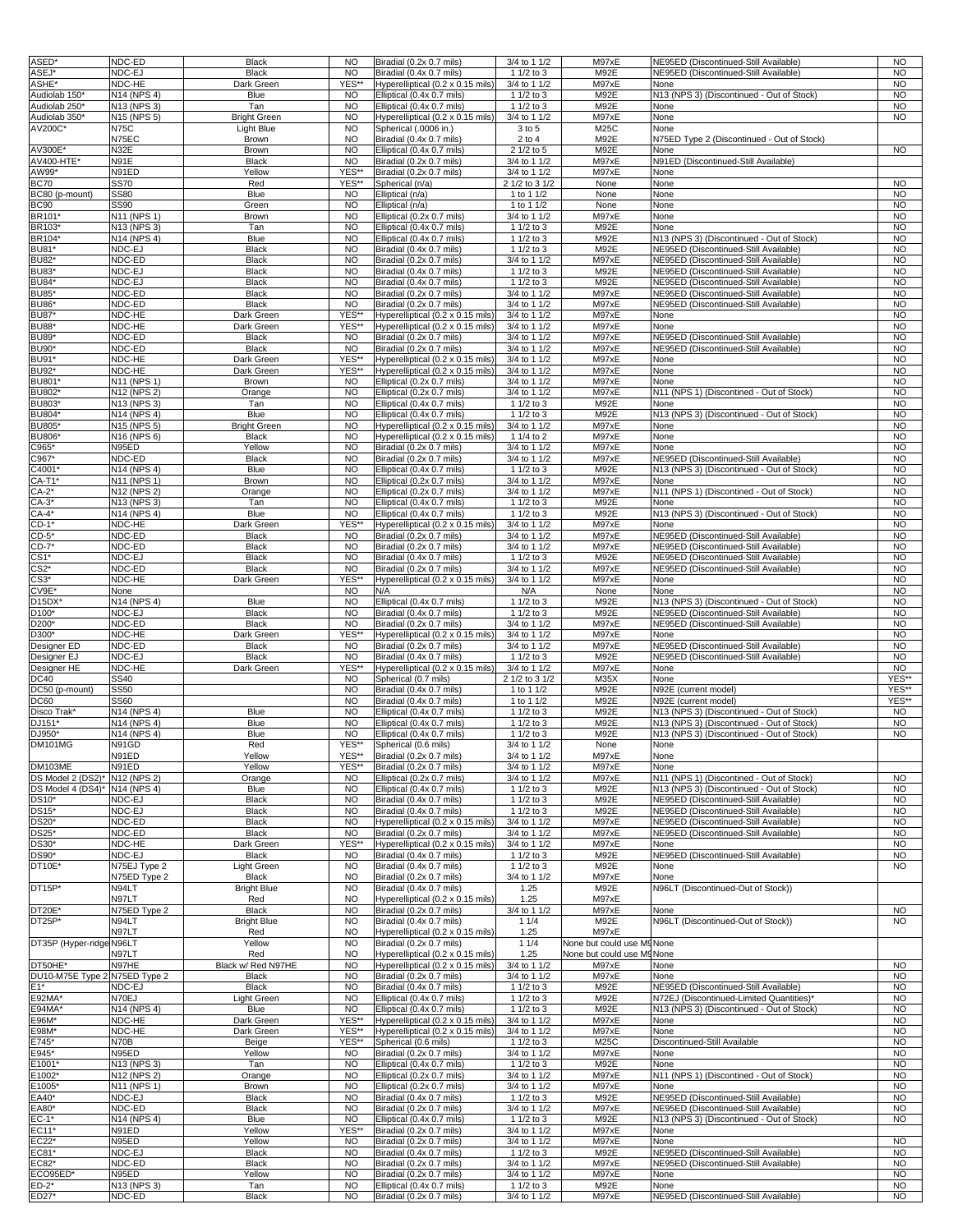|                          | NDC-ED                | <b>Black</b>        | <b>NO</b>              |                                                        | 3/4 to 1 1/2                 | M97xE                      |                                               | <b>NO</b>              |
|--------------------------|-----------------------|---------------------|------------------------|--------------------------------------------------------|------------------------------|----------------------------|-----------------------------------------------|------------------------|
| ASED*                    |                       |                     |                        | Biradial (0.2x 0.7 mils)                               |                              |                            | NE95ED (Discontinued-Still Available)         |                        |
| ASEJ*                    | NDC-EJ<br>NDC-HE      | Black               | <b>NO</b><br>YES**     | Biradial (0.4x 0.7 mils)                               | 1 $1/2$ to 3<br>3/4 to 1 1/2 | M92E                       | NE95ED (Discontinued-Still Available)         | <b>NO</b><br><b>NO</b> |
| ASHE*                    |                       | Dark Green          |                        | Hyperelliptical (0.2 x 0.15 mils)                      |                              | M97xE                      | None                                          |                        |
| Audiolab 150*            | N14 (NPS 4)           | Blue                | NO                     | Elliptical (0.4x 0.7 mils)                             | 1 1/2 to 3                   | M92E                       | N13 (NPS 3) (Discontinued - Out of Stock)     | <b>NO</b>              |
| Audiolab 250*            | N13 (NPS 3)           | Tan                 | <b>NO</b>              | Elliptical (0.4x 0.7 mils)                             | 1 1/2 to 3                   | M92E                       | None                                          | <b>NO</b>              |
| Audiolab 350'            | N15 (NPS 5)           | <b>Bright Green</b> | <b>NO</b>              | Hyperelliptical (0.2 x 0.15 mils)                      | 3/4 to 1 1/2                 | M97xE                      | None                                          | <b>NO</b>              |
| AV200C'                  | <b>N75C</b>           | Light Blue          | <b>NO</b>              | Spherical (.0006 in.)                                  | 3 to 5                       | M25C                       | None                                          |                        |
|                          | N75EC                 | Brown               | <b>NO</b>              | Biradial (0.4x 0.7 mils)                               | $2$ to $4$                   | M92E                       | N75ED Type 2 (Discontinued - Out of Stock)    |                        |
| AV300E*                  | <b>N32E</b>           | Brown               | <b>NO</b>              | Elliptical (0.4x 0.7 mils)                             | 2 1/2 to 5                   | M92E                       | None                                          | <b>NO</b>              |
| AV400-HTE*               | <b>N91E</b>           | <b>Black</b>        | <b>NO</b>              | Biradial (0.2x 0.7 mils)                               | 3/4 to 1 1/2                 | M97xE                      | N91ED (Discontinued-Still Available)          |                        |
| AW99*                    | N91ED                 | Yellow              | YES**                  | Biradial (0.2x 0.7 mils)                               | 3/4 to 1 1/2                 | M97xE                      | None                                          |                        |
| <b>BC70</b>              | <b>SS70</b>           | Red                 | YES**                  | Spherical (n/a)                                        | 2 1/2 to 3 1/2               | None                       | None                                          | <b>NO</b>              |
| BC80 (p-mount)           | SS80                  | Blue                | <b>NO</b>              | Elliptical (n/a)                                       | 1 to 1 1/2                   | None                       | None                                          | <b>NO</b>              |
| <b>BC90</b>              | <b>SS90</b>           | Green               | <b>NO</b>              | Elliptical (n/a)                                       | 1 to 1 1/2                   | None                       | None                                          | <b>NO</b>              |
| BR101'                   | N11 (NPS 1)           | Brown               | <b>NO</b>              | Elliptical (0.2x 0.7 mils)                             | 3/4 to 1 1/2                 | M97xE                      | None                                          | <b>NO</b>              |
|                          |                       |                     |                        |                                                        |                              |                            |                                               | <b>NO</b>              |
| BR103*                   | N13 (NPS 3)           | Tan                 | <b>NO</b>              | Elliptical (0.4x 0.7 mils)                             | 1 $1/2$ to 3                 | M92E                       | None                                          |                        |
| BR104*                   | N14 (NPS 4)           | Blue                | <b>NO</b>              | Elliptical (0.4x 0.7 mils)                             | 1 1/2 to 3                   | M92E                       | N13 (NPS 3) (Discontinued - Out of Stock)     | <b>NO</b>              |
| BU81*                    | NDC-EJ                | <b>Black</b>        | <b>NO</b>              | Biradial (0.4x 0.7 mils)                               | 1 1/2 to 3                   | M92E                       | NE95ED (Discontinued-Still Available)         | <b>NO</b>              |
| <b>BU82*</b>             | NDC-ED                | <b>Black</b>        | <b>NO</b>              | Biradial (0.2x 0.7 mils)                               | 3/4 to 1 1/2                 | M97xE                      | NE95ED (Discontinued-Still Available)         | <b>NO</b>              |
| <b>BU83*</b>             | NDC-EJ                | Black               | <b>NO</b>              | Biradial (0.4x 0.7 mils)                               | 1 1/2 to 3                   | M92E                       | NE95ED (Discontinued-Still Available)         | <b>NO</b>              |
| <b>BU84*</b>             | NDC-EJ                | Black               | <b>NO</b>              | Biradial (0.4x 0.7 mils)                               | 1 1/2 to 3                   | M92E                       | NE95ED (Discontinued-Still Available)         | <b>NO</b>              |
| <b>BU85*</b>             | NDC-ED                | <b>Black</b>        | <b>NO</b>              | Biradial (0.2x 0.7 mils)                               | 3/4 to 1 1/2                 | M97xE                      | NE95ED (Discontinued-Still Available)         | <b>NO</b>              |
| <b>BU86</b>              | NDC-ED                | Black               | <b>NO</b>              | Biradial (0.2x 0.7 mils)                               | 3/4 to 1 1/2                 | M97xE                      | NE95ED (Discontinued-Still Available)         | <b>NO</b>              |
| <b>BU87'</b>             | NDC-HE                | Dark Green          | YES**                  | Hyperelliptical (0.2 x 0.15 mils)                      | 3/4 to 1 1/2                 | M97xE                      | None                                          | <b>NO</b>              |
| <b>BU88*</b>             | NDC-HE                | Dark Green          | YES**                  | Hyperelliptical (0.2 x 0.15 mils)                      | 3/4 to 1 1/2                 | M97xE                      | None                                          | <b>NO</b>              |
| <b>BU89*</b>             | NDC-ED                | Black               | <b>NO</b>              | Biradial (0.2x 0.7 mils)                               | 3/4 to 1 1/2                 | M97xE                      | NE95ED (Discontinued-Still Available)         | <b>NO</b>              |
| <b>BU90</b>              | NDC-ED                | Black               | <b>NO</b>              | Biradial (0.2x 0.7 mils)                               |                              | M97xE                      | NE95ED (Discontinued-Still Available)         | <b>NO</b>              |
|                          |                       |                     |                        |                                                        | 3/4 to 1 1/2                 |                            |                                               |                        |
| BU91*                    | NDC-HE                | Dark Green          | YES*'                  | Hyperelliptical (0.2 x 0.15 mils                       | 3/4 to 1 1/2                 | M97xE                      | None                                          | <b>NO</b>              |
| <b>BU92*</b>             | NDC-HE                | Dark Green          | YES**                  | Hyperelliptical (0.2 x 0.15 mils)                      | 3/4 to 1 1/2                 | M97xE                      | None                                          | <b>NO</b>              |
| BU801'                   | N11 (NPS 1)           | Brown               | <b>NO</b>              | Elliptical (0.2x 0.7 mils)                             | 3/4 to 1 1/2                 | M97xE                      | None                                          | <b>NO</b>              |
| BU802*                   | N12 (NPS 2)           | Orange              | <b>NO</b>              | Elliptical (0.2x 0.7 mils)                             | 3/4 to 1 1/2                 | M97xE                      | N11 (NPS 1) (Discontined - Out of Stock)      | <b>NO</b>              |
| BU803*                   | N13 (NPS 3)           | Tan                 | <b>NO</b>              | Elliptical (0.4x 0.7 mils)                             | 1 1/2 to 3                   | M92E                       | None                                          | <b>NO</b>              |
| BU804*                   | N14 (NPS 4)           | Blue                | <b>NO</b>              | Elliptical (0.4x 0.7 mils)                             | 1 1/2 to 3                   | M92E                       | N13 (NPS 3) (Discontinued - Out of Stock)     | <b>NO</b>              |
| <b>BU805*</b>            | N15 (NPS 5)           | <b>Bright Green</b> | <b>NO</b>              | Hyperelliptical (0.2 x 0.15 mils)                      | 3/4 to 1 1/2                 | M97xE                      | None                                          | <b>NO</b>              |
| BU806'                   | N16 (NPS 6)           | Black               | <b>NO</b>              | Hyperelliptical (0.2 x 0.15 mils)                      | 1 1/4 to 2                   | M97xE                      | None                                          | <b>NO</b>              |
| C965*                    | N95ED                 | Yellow              | <b>NO</b>              | Biradial (0.2x 0.7 mils)                               | 3/4 to 1 1/2                 | M97xE                      | None                                          | <b>NO</b>              |
| C967*                    | NDC-ED                | <b>Black</b>        | <b>NO</b>              | Biradial (0.2x 0.7 mils)                               | 3/4 to 1 1/2                 | M97xE                      | NE95ED (Discontinued-Still Available)         | <b>NO</b>              |
| C4001                    | N14 (NPS 4)           | Blue                | NO.                    | Elliptical (0.4x 0.7 mils)                             | 1 1/2 to 3                   | M92E                       | N13 (NPS 3) (Discontinued - Out of Stock)     | <b>NO</b>              |
| CA-T1'                   | N11 (NPS 1)           |                     | <b>NO</b>              | Elliptical (0.2x 0.7 mils)                             | 3/4 to 1 1/2                 | M97xE                      | None                                          | <b>NO</b>              |
|                          |                       | Brown               |                        |                                                        |                              |                            |                                               |                        |
| $CA-2*$                  | N12 (NPS 2)           | Orange              | <b>NO</b>              | Elliptical (0.2x 0.7 mils)                             | 3/4 to 1 1/2                 | M97xE                      | N11 (NPS 1) (Discontined - Out of Stock)      | <b>NO</b>              |
| $CA-3*$                  | N13 (NPS 3)           | Tan                 | <b>NO</b>              | Elliptical (0.4x 0.7 mils)                             | 1 $1/2$ to 3                 | M92E                       | None                                          | <b>NO</b>              |
| CA-4*                    | N14 (NPS 4)           | Blue                | <b>NO</b>              | Elliptical (0.4x 0.7 mils)                             | 1 1/2 to 3                   | M92E                       | N13 (NPS 3) (Discontinued - Out of Stock)     | <b>NO</b>              |
| $CD-1$ <sup>*</sup>      | NDC-HE                | Dark Green          | YES**                  | Hyperelliptical (0.2 x 0.15 mils)                      | 3/4 to 1 1/2                 | M97xE                      | None                                          | <b>NO</b>              |
| $CD-5*$                  | NDC-ED                | Black               | <b>NO</b>              | Biradial (0.2x 0.7 mils)                               | 3/4 to 1 1/2                 | M97xE                      | NE95ED (Discontinued-Still Available)         | <b>NO</b>              |
| $CD-7'$                  | NDC-ED                | Black               | <b>NO</b>              | Biradial (0.2x 0.7 mils)                               | 3/4 to 1 1/2                 | M97xE                      | NE95ED (Discontinued-Still Available)         | <b>NO</b>              |
| CS1*                     | NDC-EJ                | <b>Black</b>        | <b>NO</b>              | Biradial (0.4x 0.7 mils)                               | 1 1/2 to 3                   | M92E                       | NE95ED (Discontinued-Still Available)         | <b>NO</b>              |
| $CS2*$                   | NDC-ED                | <b>Black</b>        | <b>NO</b>              | Biradial (0.2x 0.7 mils)                               | 3/4 to 1 1/2                 | M97xE                      | NE95ED (Discontinued-Still Available)         | <b>NO</b>              |
| CS3*                     | NDC-HE                | Dark Green          | YES**                  | Hyperelliptical (0.2 x 0.15 mils)                      | 3/4 to 1 1/2                 | M97xE                      | None                                          | <b>NO</b>              |
| CV9E <sup>®</sup>        | None                  |                     | <b>NO</b>              | N/A                                                    | N/A                          |                            | None                                          | <b>NO</b>              |
|                          |                       |                     |                        |                                                        |                              | None                       |                                               |                        |
| D15DX                    | N14 (NPS 4)           | Blue                | <b>NO</b>              | Elliptical (0.4x 0.7 mils)                             | 1 1/2 to 3                   | M92E                       | N13 (NPS 3) (Discontinued - Out of Stock)     | <b>NO</b>              |
| D100*                    | NDC-EJ                | <b>Black</b>        | <b>NO</b>              | Biradial (0.4x 0.7 mils)                               | 1 1/2 to 3                   | M92E                       | NE95ED (Discontinued-Still Available)         | <b>NO</b>              |
| D200*                    | NDC-ED                | Black               | <b>NO</b>              | Biradial (0.2x 0.7 mils)                               | 3/4 to 1 1/2                 | M97xE                      | NE95ED (Discontinued-Still Available)         | <b>NO</b>              |
| D300*                    | NDC-HE                | Dark Green          | YES*'                  | Hyperelliptical (0.2 x 0.15 mils)                      | 3/4 to 1 1/2                 | M97xE                      | None                                          | <b>NO</b>              |
|                          |                       |                     |                        |                                                        |                              |                            |                                               |                        |
| Designer ED              | NDC-ED                | <b>Black</b>        | <b>NO</b>              | Biradial (0.2x 0.7 mils)                               | 3/4 to 1 1/2                 | M97xE                      | NE95ED (Discontinued-Still Available)         | <b>NO</b>              |
|                          | NDC-EJ                | <b>Black</b>        | <b>NO</b>              | Biradial (0.4x 0.7 mils)                               | 1 1/2 to 3                   | M92E                       | NE95ED (Discontinued-Still Available)         | <b>NO</b>              |
| Designer EJ              |                       |                     | YES**                  | Hyperelliptical (0.2 x 0.15 mils)                      |                              |                            |                                               | <b>NO</b>              |
| Designer HE              | NDC-HE                | Dark Green          |                        |                                                        | 3/4 to 1 1/2                 | M97xE                      | None                                          |                        |
| <b>DC40</b>              | SS40                  |                     | <b>NO</b>              | Spherical (0.7 mils)                                   | 2 1/2 to 3 1/2               | M35X                       | None                                          | YES*                   |
| DC50 (p-mount)           | <b>SS50</b>           |                     | <b>NO</b>              | Biradial (0.4x 0.7 mils)                               | 1 to 1 1/2                   | M92E                       | N92E (current model)                          | YES**                  |
| <b>DC60</b>              | <b>SS60</b>           |                     | <b>NO</b>              | Biradial (0.4x 0.7 mils)                               | 1 to 1 1/2                   | M92E                       | N92E (current model)                          | YES**                  |
| Disco Trak*              | N14 (NPS 4)           | Blue                | <b>NO</b>              | Elliptical (0.4x 0.7 mils)                             | 1 1/2 to 3                   | M92E                       | N13 (NPS 3) (Discontinued - Out of Stock)     | <b>NO</b>              |
| DJ151*                   | N14 (NPS 4)           | Blue                | <b>NO</b>              | Elliptical (0.4x 0.7 mils)                             | 1 1/2 to 3                   | M92E                       | N13 (NPS 3) (Discontinued - Out of Stock)     | <b>NO</b>              |
| DJ950*                   | N14 (NPS 4)           | Blue                | <b>NO</b>              | Elliptical (0.4x 0.7 mils)                             | 1 1/2 to 3                   | M92E                       | N13 (NPS 3) (Discontinued - Out of Stock)     | NO.                    |
| DM101MG                  | N91GD                 | Red                 | YES**                  | Spherical (0.6 mils)                                   | 3/4 to 1 1/2                 | None                       | None                                          |                        |
|                          | N91ED                 | Yellow              | YES**                  | Biradial (0.2x 0.7 mils)                               | 3/4 to 1 1/2                 | M97xE                      | None                                          |                        |
| DM103ME                  | N91ED                 | Yellow              | YES**                  | Biradial (0.2x 0.7 mils)                               | 3/4 to 1 1/2                 | M97xE                      | None                                          |                        |
| DS Model 2 (DS2)*        | N12 (NPS 2)           | Orange              | NO                     | Elliptical (0.2x 0.7 mils)                             | 3/4 to 1 1/2                 | M97xE                      | N11 (NPS 1) (Discontined - Out of Stock)      | <b>NO</b>              |
| DS Model 4 (DS4)'        | N14 (NPS 4)           | Blue                | <b>NO</b>              | Elliptical (0.4x 0.7 mils)                             | 1 1/2 to 3                   | M92E                       | N13 (NPS 3) (Discontinued - Out of Stock)     | <b>NO</b>              |
| DS10*                    | NDC-EJ                | Black               | <b>NO</b>              | Biradial (0.4x 0.7 mils)                               | 1 1/2 to 3                   | M92E                       | NE95ED (Discontinued-Still Available)         | <b>NO</b>              |
|                          |                       |                     | <b>NO</b>              |                                                        |                              |                            |                                               |                        |
| <b>DS15*</b>             | NDC-EJ                | Black               |                        | Biradial (0.4x 0.7 mils)                               | 1 1/2 to 3                   | M92E                       | NE95ED (Discontinued-Still Available)         | <b>NO</b>              |
| DS20*                    | NDC-ED                | <b>Black</b>        | <b>NO</b>              | Hyperelliptical (0.2 x 0.15 mils)                      | 3/4 to 1 1/2                 | M97xE                      | NE95ED (Discontinued-Still Available)         | <b>NO</b>              |
| DS25*                    | NDC-ED                | Black               | <b>NO</b>              | Biradial (0.2x 0.7 mils)                               | 3/4 to 1 1/2                 | M97xE                      | NE95ED (Discontinued-Still Available)         | <b>NO</b>              |
| DS30*                    | NDC-HE                | Dark Green          | YES**                  | Hyperelliptical (0.2 x 0.15 mils)                      | 3/4 to 1 1/2                 | M97xE                      | None                                          | <b>NO</b>              |
| DS90*                    | NDC-EJ                | Black               | <b>NO</b>              | Biradial (0.4x 0.7 mils)                               | 1 1/2 to 3                   | M92E                       | NE95ED (Discontinued-Still Available)         | <b>NO</b>              |
| DT10E*                   | N75EJ Type 2          | Light Green         | <b>NO</b>              | Biradial (0.4x 0.7 mils)                               | 1 1/2 to 3                   | M92E                       | None                                          | <b>NO</b>              |
|                          | N75ED Type 2          | Black               | <b>NO</b>              | Biradial (0.2x 0.7 mils)                               | 3/4 to 1 1/2                 | M97xE                      | None                                          |                        |
| DT15P*                   | N94LT                 | <b>Bright Blue</b>  | <b>NO</b>              | Biradial (0.4x 0.7 mils)                               | 1.25                         | M92E                       | N96LT (Discontinued-Out of Stock))            |                        |
|                          | N97LT                 | Red                 | <b>NO</b>              | Hyperelliptical (0.2 x 0.15 mils)                      | 1.25                         | M97xE                      |                                               |                        |
| DT20E*                   | N75ED Type 2          | Black               | <b>NO</b>              | Biradial (0.2x 0.7 mils)                               | 3/4 to 1 1/2                 | M97xE                      | None                                          | <b>NO</b>              |
| DT25P*                   | N94LT                 | <b>Bright Blue</b>  | <b>NO</b>              | Biradial (0.4x 0.7 mils)                               | 11/4                         | M92E                       | N96LT (Discontinued-Out of Stock))            | <b>NO</b>              |
|                          | N97LT                 | Red                 | <b>NO</b>              | Hyperelliptical (0.2 x 0.15 mils)                      | 1.25                         | M97xE                      |                                               |                        |
| DT35P (Hyper-ridge N96LT |                       | Yellow              | <b>NO</b>              | Biradial (0.2x 0.7 mils)                               | 11/4                         | None but could use M9 None |                                               |                        |
|                          | N97LT                 | Red                 | <b>NO</b>              | Hyperelliptical (0.2 x 0.15 mils)                      | 1.25                         | None but could use M9 None |                                               |                        |
| DT50HE*                  | N97HE                 | Black w/ Red N97HE  | NO.                    | Hyperelliptical (0.2 x 0.15 mils)                      | 3/4 to 1 1/2                 | M97xE                      | None                                          | <b>NO</b>              |
|                          |                       | Black               | <b>NO</b>              |                                                        | 3/4 to 1 1/2                 | M97xE                      | None                                          | <b>NO</b>              |
| DU10-M75E Type 2         | N75ED Type 2          |                     |                        | Biradial (0.2x 0.7 mils)                               |                              |                            |                                               |                        |
| $E1*$                    | NDC-EJ                | Black               | <b>NO</b>              | Biradial (0.4x 0.7 mils)                               | 1 1/2 to 3                   | M92E                       | NE95ED (Discontinued-Still Available)         | <b>NO</b>              |
| E92MA*                   | N70EJ                 | Light Green         | <b>NO</b>              | Elliptical (0.4x 0.7 mils)                             | 1 1/2 to 3                   | M92E                       | N72EJ (Discontinued-Limited Quantities)*      | <b>NO</b>              |
| E94MA*                   | N14 (NPS 4)           | Blue                | <b>NO</b>              | Elliptical (0.4x 0.7 mils)                             | 1 1/2 to 3                   | M92E                       | N13 (NPS 3) (Discontinued - Out of Stock)     | <b>NO</b>              |
| E96M*                    | NDC-HE                | Dark Green          | YES*'                  | Hyperelliptical (0.2 x 0.15 mils)                      | 3/4 to 1 1/2                 | M97xE                      | None                                          | <b>NO</b>              |
| E98M*                    | NDC-HE                | Dark Green          | YES**                  | Hyperelliptical (0.2 x 0.15 mils)                      | 3/4 to 1 1/2                 | M97xE                      | None                                          | <b>NO</b>              |
| E745*                    | N70B                  | Beige               | YES**                  | Spherical (0.6 mils)                                   | 1 1/2 to 3                   | M25C                       | Discontinued-Still Available                  | <b>NO</b>              |
| E945*                    | N95ED                 | Yellow              | NO                     | Biradial (0.2x 0.7 mils)                               | 3/4 to 1 1/2                 | M97xE                      | None                                          | <b>NO</b>              |
| E1001                    | N13 (NPS 3)           | Tan                 | <b>NO</b>              | Elliptical (0.4x 0.7 mils)                             | 1 1/2 to 3                   | M92E                       | None                                          | <b>NO</b>              |
| E1002*                   | N12 (NPS 2)           | Orange              | <b>NO</b>              | Elliptical (0.2x 0.7 mils)                             | 3/4 to 1 1/2                 | M97xE                      | N11 (NPS 1) (Discontined - Out of Stock)      | <b>NO</b>              |
| E1005*                   | N11 (NPS 1)           | Brown               | <b>NO</b>              | Elliptical (0.2x 0.7 mils)                             | 3/4 to 1 1/2                 | M97xE                      | None                                          | <b>NO</b>              |
| EA40*                    | NDC-EJ                | Black               | <b>NO</b>              | Biradial (0.4x 0.7 mils)                               | 1 1/2 to 3                   | M92E                       | NE95ED (Discontinued-Still Available)         | <b>NO</b>              |
|                          |                       |                     |                        |                                                        |                              |                            |                                               |                        |
| EA80*                    | NDC-ED                | <b>Black</b>        | <b>NO</b>              | Biradial (0.2x 0.7 mils)                               | 3/4 to 1 1/2                 | M97xE                      | NE95ED (Discontinued-Still Available)         | <b>NO</b>              |
| $EC-1*$                  | N14 (NPS 4)           | Blue                | NO.                    | Elliptical (0.4x 0.7 mils)                             | 1 1/2 to 3                   | M92E                       | N13 (NPS 3) (Discontinued - Out of Stock)     | <b>NO</b>              |
| EC11*                    | N91ED                 | Yellow              | YES**                  | Biradial (0.2x 0.7 mils)                               | 3/4 to 1 1/2                 | M97xE                      | None                                          |                        |
| EC22*                    | N95ED                 | Yellow              | NO.                    | Biradial (0.2x 0.7 mils)                               | 3/4 to 1 1/2                 | M97xE                      | None                                          | <b>NO</b>              |
| $EC81*$                  | NDC-EJ                | Black               | <b>NO</b>              | Biradial (0.4x 0.7 mils)                               | 1 1/2 to 3                   | M92E                       | NE95ED (Discontinued-Still Available)         | <b>NO</b>              |
| EC82*                    | NDC-ED                | <b>Black</b>        | <b>NO</b>              | Biradial (0.2x 0.7 mils)                               | 3/4 to 1 1/2                 | M97xE                      | NE95ED (Discontinued-Still Available)         | <b>NO</b>              |
| ECO95ED*                 | N95ED                 | Yellow              | <b>NO</b>              | Biradial (0.2x 0.7 mils)                               | 3/4 to 1 1/2                 | M97xE                      | None                                          | <b>NO</b>              |
| $ED-2*$<br>ED27*         | N13 (NPS 3)<br>NDC-ED | Tan<br><b>Black</b> | <b>NO</b><br><b>NO</b> | Elliptical (0.4x 0.7 mils)<br>Biradial (0.2x 0.7 mils) | 1 1/2 to 3<br>3/4 to 1 1/2   | M92E<br>M97xE              | None<br>NE95ED (Discontinued-Still Available) | <b>NO</b><br><b>NO</b> |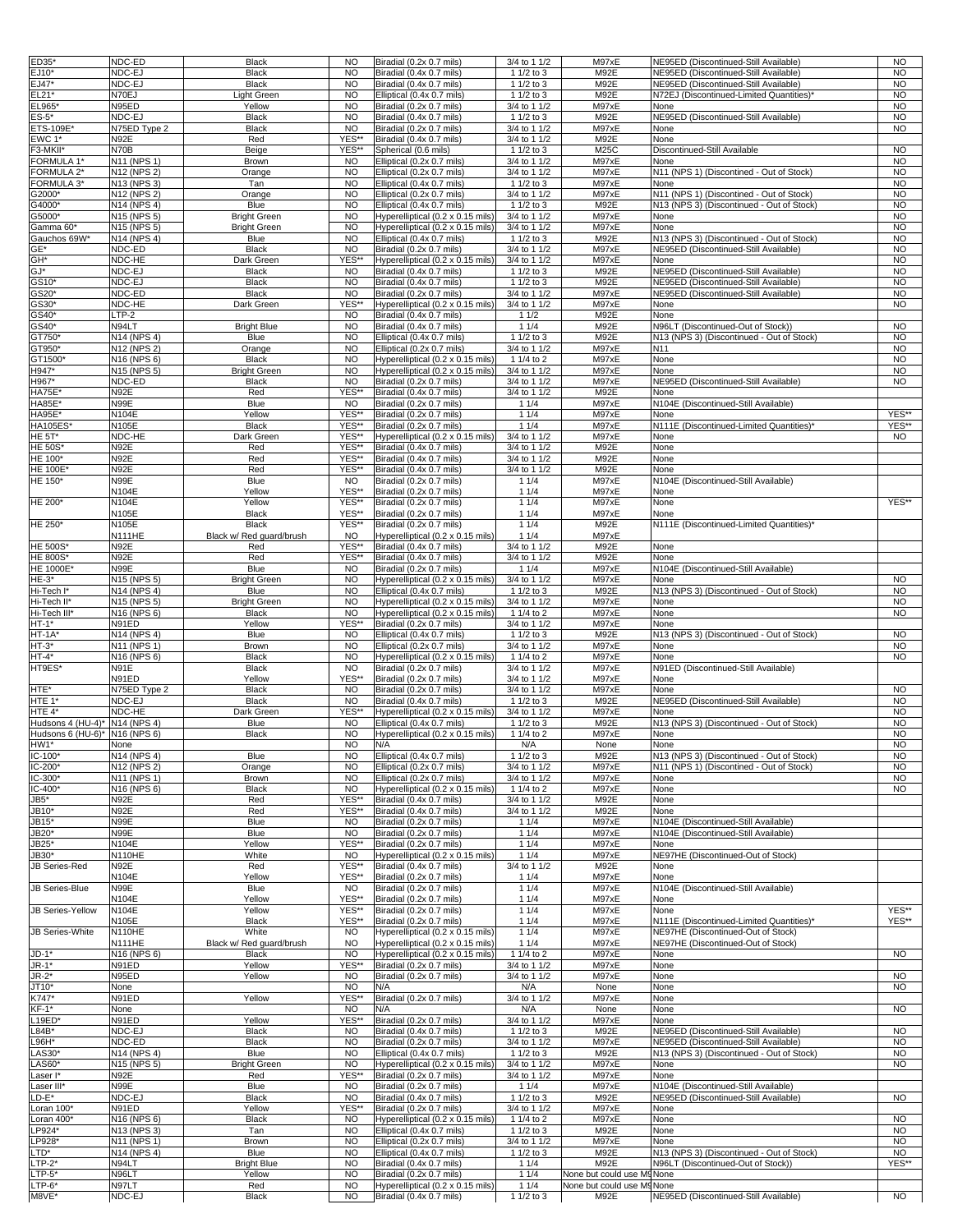| ED35                 | NDC-ED          | Black                    | <b>NO</b>              | Biradial (0.2x 0.7 mils)                                      | 3/4 to 1 1/2        | M97xE                              | NE95ED (Discontinued-Still Available)     | <b>NO</b> |
|----------------------|-----------------|--------------------------|------------------------|---------------------------------------------------------------|---------------------|------------------------------------|-------------------------------------------|-----------|
| EJ10*                | NDC-EJ          | <b>Black</b>             | <b>NO</b>              | Biradial (0.4x 0.7 mils)                                      | 1 1/2 to 3          | M92E                               | NE95ED (Discontinued-Still Available)     | <b>NO</b> |
| EJ47*                | NDC-EJ          | <b>Black</b>             | <b>NO</b>              | Biradial (0.4x 0.7 mils)                                      | 1 1/2 to 3          | M92E                               | NE95ED (Discontinued-Still Available)     | <b>NO</b> |
| EL21*                | N70EJ           | Light Green              | <b>NO</b>              | Elliptical (0.4x 0.7 mils)                                    | 1 1/2 to 3          | M92E                               | N72EJ (Discontinued-Limited Quantities)'  | <b>NO</b> |
|                      | N95ED           | Yellow                   | <b>NO</b>              |                                                               | 3/4 to 1 1/2        |                                    |                                           | <b>NO</b> |
| EL965*               |                 |                          |                        | Biradial (0.2x 0.7 mils)                                      |                     | M97xE                              | None                                      |           |
| ES-5*                | NDC-EJ          | <b>Black</b>             | <b>NO</b>              | Biradial (0.4x 0.7 mils)                                      | 1 1/2 to 3          | M92E                               | NE95ED (Discontinued-Still Available)     | NO.       |
| ETS-109E*            | N75ED Type 2    | <b>Black</b>             | <b>NO</b>              | Biradial (0.2x 0.7 mils)                                      | 3/4 to 1 1/2        | M97xE                              | None                                      | <b>NO</b> |
| EWC 1*               | <b>N92E</b>     | Red                      | YES**                  | Biradial (0.4x 0.7 mils)                                      | 3/4 to 1 1/2        | M92E                               | None                                      |           |
| <sup>=</sup> 3-MKII* | N70B            | Beige                    | YES**                  | Spherical (0.6 mils)                                          | 1 1/2 to 3          | M25C                               | Discontinued-Still Available              | <b>NO</b> |
| ORMULA 1'            | N11 (NPS 1)     | Brown                    | <b>NO</b>              | Elliptical (0.2x 0.7 mils)                                    | 3/4 to 1 1/2        | M97xE                              | None                                      | <b>NO</b> |
| ORMULA 2*            | N12 (NPS 2)     | Orange                   | <b>NO</b>              | Elliptical (0.2x 0.7 mils)                                    | 3/4 to 1 1/2        | M97xE                              | N11 (NPS 1) (Discontined - Out of Stock)  | <b>NO</b> |
| ORMULA 3*            | N13 (NPS 3)     | Tan                      | N <sub>O</sub>         | Elliptical (0.4x 0.7 mils)                                    | 1 1/2 to 3          | M97xE                              | None                                      | <b>NO</b> |
| G2000*               | N12 (NPS 2)     | Orange                   | NO.                    | Elliptical (0.2x 0.7 mils)                                    | 3/4 to 1 1/2        | M97xE                              | N11 (NPS 1) (Discontined - Out of Stock)  | <b>NO</b> |
| 34000*               | N14 (NPS 4)     | Blue                     | <b>NO</b>              | Elliptical (0.4x 0.7 mils)                                    | 1 1/2 to 3          | M92E                               | N13 (NPS 3) (Discontinued - Out of Stock) | <b>NO</b> |
| G5000*               | N15 (NPS 5)     | <b>Bright Green</b>      | NO.                    | Hyperelliptical (0.2 x 0.15 mils)                             | 3/4 to 1 1/2        | M97xE                              | None                                      | <b>NO</b> |
| Gamma 60*            | N15 (NPS 5)     | <b>Bright Green</b>      | <b>NO</b>              | Hyperelliptical (0.2 x 0.15 mils)                             | 3/4 to 1 1/2        | M97xE                              | None                                      | <b>NO</b> |
| Gauchos 69W*         | N14 (NPS 4)     | Blue                     | <b>NO</b>              | Elliptical (0.4x 0.7 mils)                                    | 1 1/2 to 3          | M92E                               | N13 (NPS 3) (Discontinued - Out of Stock) | <b>NO</b> |
| GE*                  | NDC-ED          | <b>Black</b>             | <b>NO</b>              | Biradial (0.2x 0.7 mils)                                      | 3/4 to 1 1/2        | M97xE                              | NE95ED (Discontinued-Still Available)     | <b>NO</b> |
| GH*                  | NDC-HE          | Dark Green               | YES**                  | Hyperelliptical (0.2 x 0.15 mils)                             | 3/4 to 1 1/2        | M97xE                              | None                                      | <b>NO</b> |
|                      |                 |                          |                        |                                                               |                     |                                    |                                           |           |
| $GJ^*$               | NDC-EJ          | <b>Black</b>             | NO.                    | Biradial (0.4x 0.7 mils)                                      | 1 1/2 to 3          | M92E                               | NE95ED (Discontinued-Still Available)     | NO.       |
| GS10*                | NDC-EJ          | <b>Black</b>             | <b>NO</b>              | Biradial (0.4x 0.7 mils)                                      | 1 1/2 to 3          | M92E                               | NE95ED (Discontinued-Still Available)     | <b>NO</b> |
| GS20*                | NDC-ED          | Black                    | <b>NO</b>              | Biradial (0.2x 0.7 mils)                                      | 3/4 to 1 1/2        | M97xE                              | NE95ED (Discontinued-Still Available)     | NO.       |
| GS30*                | NDC-HE          | Dark Green               | YES**                  | Hyperelliptical (0.2 x 0.15 mils)                             | 3/4 to 1 1/2        | M97xE                              | None                                      | NO.       |
| GS40*                | $LTP-2$         |                          | <b>NO</b>              | Biradial (0.4x 0.7 mils)                                      | 11/2                | M92E                               | None                                      |           |
| 3S40'                | N94LT           | <b>Bright Blue</b>       | <b>NO</b>              | Biradial (0.4x 0.7 mils)                                      | 11/4                | M92E                               | N96LT (Discontinued-Out of Stock))        | <b>NO</b> |
| GT750*               | N14 (NPS 4)     | Blue                     | <b>NO</b>              | Elliptical (0.4x 0.7 mils)                                    | 1 1/2 to 3          | M92E                               | N13 (NPS 3) (Discontinued - Out of Stock) | <b>NO</b> |
| GT950*               | N12 (NPS 2)     | Orange                   | <b>NO</b>              | Elliptical (0.2x 0.7 mils)                                    | 3/4 to 1 1/2        | M97xE                              | N <sub>11</sub>                           | <b>NO</b> |
| GT1500               | N16 (NPS 6)     | Black                    | <b>NO</b>              | Hyperelliptical (0.2 x 0.15 mils)                             | 1 1/4 to 2          | M97xE                              | None                                      | <b>NO</b> |
| H947*                | N15 (NPS 5)     | <b>Bright Green</b>      | <b>NO</b>              | Hyperelliptical (0.2 x 0.15 mils)                             | 3/4 to 1 1/2        | M97xE                              | None                                      | <b>NO</b> |
| H967*                | NDC-ED          | <b>Black</b>             | <b>NO</b>              | Biradial (0.2x 0.7 mils)                                      | 3/4 to 1 1/2        | M97xE                              | NE95ED (Discontinued-Still Available)     | <b>NO</b> |
|                      | <b>N92E</b>     | Red                      | YES**                  |                                                               | 3/4 to 1 1/2        | M92E                               | None                                      |           |
| HA75E'               | <b>N99E</b>     |                          |                        | Biradial (0.4x 0.7 mils)                                      |                     |                                    | N104E (Discontinued-Still Available)      |           |
| <b>HA85E</b> *       |                 | Blue                     | <b>NO</b>              | Biradial (0.2x 0.7 mils)                                      | 11/4                | M97xE                              |                                           |           |
| <b>HA95E*</b>        | N104E           | Yellow                   | YES**                  | Biradial (0.2x 0.7 mils)                                      | 11/4                | M97xE                              | None                                      | YES**     |
| <b>HA105ES</b>       | N105E           | Black                    | YES**                  | Biradial (0.2x 0.7 mils)                                      | 11/4                | M97xE                              | N111E (Discontinued-Limited Quantities)'  | YES**     |
| HE 5T*               | NDC-HE          | Dark Green               | YES**                  | Hyperelliptical (0.2 x 0.15 mils)                             | 3/4 to 1 1/2        | M97xE                              | None                                      | <b>NO</b> |
| <b>HE 50S</b>        | N92E            | Red                      | YES**                  | Biradial (0.4x 0.7 mils)                                      | 3/4 to 1 1/2        | M92E                               | None                                      |           |
| HE 100*              | <b>N92E</b>     | Red                      | YES**                  | Biradial (0.4x 0.7 mils)                                      | 3/4 to 1 1/2        | M92E                               | None                                      |           |
| <b>HE 100E</b>       | <b>N92E</b>     | Red                      | YES**                  | Biradial (0.4x 0.7 mils)                                      | 3/4 to 1 1/2        | M92E                               | None                                      |           |
| HE 150*              | N99E            | Blue                     | <b>NO</b>              | Biradial (0.2x 0.7 mils)                                      | 11/4                | M97xE                              | N104E (Discontinued-Still Available)      |           |
|                      | N104E           | Yellow                   | YES**                  | Biradial (0.2x 0.7 mils)                                      | 11/4                | M97xE                              | None                                      |           |
| HE 200*              | N104E           | Yellow                   | YES**                  | Biradial (0.2x 0.7 mils)                                      | 11/4                | M97xE                              | None                                      | YES**     |
|                      | N105E           | <b>Black</b>             | YES**                  | Biradial (0.2x 0.7 mils)                                      | 11/4                | M97xE                              | None                                      |           |
| HE 250*              |                 | Black                    | YES*'                  |                                                               | 11/4                | M92E                               |                                           |           |
|                      | N105E           |                          |                        | Biradial (0.2x 0.7 mils)                                      |                     |                                    | N111E (Discontinued-Limited Quantities)'  |           |
|                      | <b>N111HE</b>   | Black w/ Red guard/brush | <b>NO</b>              | Hyperelliptical (0.2 x 0.15 mils)                             | 11/4                | M97xE                              |                                           |           |
| <b>HE 500S*</b>      | <b>N92E</b>     | Red                      | YES**                  | Biradial (0.4x 0.7 mils)                                      | 3/4 to 1 1/2        | M92E                               | None                                      |           |
| <b>HE 800S</b>       | <b>N92E</b>     | Red                      | YES**                  | Biradial (0.4x 0.7 mils)                                      | 3/4 to 1 1/2        | M92E                               | None                                      |           |
| HE 1000E'            | N99E            | Blue                     | <b>NO</b>              | Biradial (0.2x 0.7 mils)                                      | 11/4                | M97xE                              | N104E (Discontinued-Still Available)      |           |
| $HE-3*$              | N15 (NPS 5)     | <b>Bright Green</b>      | <b>NO</b>              | Hyperelliptical (0.2 x 0.15 mils)                             | 3/4 to 1 1/2        | M97xE                              | None                                      | NO.       |
| Hi-Tech I*           | N14 (NPS 4)     | Blue                     | <b>NO</b>              | Elliptical (0.4x 0.7 mils)                                    | 1 1/2 to 3          | M92E                               | N13 (NPS 3) (Discontinued - Out of Stock) | <b>NO</b> |
| Hi-Tech II'          | N15 (NPS 5)     | <b>Bright Green</b>      | <b>NO</b>              | Hyperelliptical (0.2 x 0.15 mils)                             | 3/4 to 1 1/2        | M97xE                              | None                                      | <b>NO</b> |
| Hi-Tech III*         | N16 (NPS 6)     | Black                    | <b>NO</b>              | Hyperelliptical (0.2 x 0.15 mils)                             | 1 1/4 to 2          | M97xE                              | None                                      | <b>NO</b> |
| $HT-1*$              | N91ED           | Yellow                   | YES**                  | Biradial (0.2x 0.7 mils)                                      | 3/4 to 1 1/2        | M97xE                              | None                                      |           |
| $HT-1A*$             | N14 (NPS 4)     | Blue                     | <b>NO</b>              | Elliptical (0.4x 0.7 mils)                                    | 1 1/2 to 3          | M92E                               | N13 (NPS 3) (Discontinued - Out of Stock) | <b>NO</b> |
| $HT-3*$              | N11 (NPS 1)     | Brown                    | <b>NO</b>              | Elliptical (0.2x 0.7 mils)                                    | 3/4 to 1 1/2        | M97xE                              | None                                      | <b>NO</b> |
| $HT-4*$              | N16 (NPS 6)     | Black                    | <b>NO</b>              | Hyperelliptical (0.2 x 0.15 mils)                             | 1 1/4 to 2          | M97xE                              | None                                      | <b>NO</b> |
| HT9ES*               | N91E            | Black                    | <b>NO</b>              |                                                               | 3/4 to 1 1/2        | M97xE                              | N91ED (Discontinued-Still Available)      |           |
|                      |                 | Yellow                   | YES**                  | Biradial (0.2x 0.7 mils)                                      |                     |                                    |                                           |           |
|                      | N91ED           |                          |                        | Biradial (0.2x 0.7 mils)                                      | 3/4 to 1 1/2        | M97xE                              | None                                      |           |
|                      |                 |                          |                        |                                                               |                     |                                    |                                           |           |
| HTE*                 | N75ED Type 2    | Black                    | <b>NO</b>              | Biradial (0.2x 0.7 mils)                                      | 3/4 to 1 1/2        | M97xE                              | None                                      | <b>NO</b> |
| HTE 1*               | NDC-EJ          | <b>Black</b>             | <b>NO</b>              | Biradial (0.4x 0.7 mils)                                      | 1 1/2 to 3          | M92E                               | NE95ED (Discontinued-Still Available)     | NO.       |
| HTE 4*               | NDC-HE          | Dark Green               | YES**                  | Hyperelliptical (0.2 x 0.15 mils)                             | 3/4 to 1 1/2        | M97xE                              | None                                      | <b>NO</b> |
| ludsons 4 (HU-4)     | $N14$ (NPS 4)   | Blue                     | <b>NO</b>              | Elliptical (0.4x 0.7 mils)                                    | 1 1/2 to 3          | M92E                               | N13 (NPS 3) (Discontinued - Out of Stock) | <b>NO</b> |
| Hudsons 6 (HU-6)*    | N16 (NPS 6)     | <b>Black</b>             | <b>NO</b>              | Hyperelliptical (0.2 x 0.15 mils)                             | 1 1/4 to 2          | M97xE                              | None                                      | <b>NO</b> |
| HW1*                 | None            |                          | <b>NO</b>              | N/A                                                           | N/A                 | None                               | None                                      | <b>NO</b> |
| IC-100*              | N14 (NPS 4)     | Blue                     | NO                     | Elliptical (0.4x 0.7 mils)                                    | 1 $1/2$ to 3        | M92E                               | N13 (NPS 3) (Discontinued - Out of Stock) | <b>NO</b> |
| IC-200*              | N12 (NPS 2)     | Orange                   | <b>NO</b>              | Elliptical (0.2x 0.7 mils)                                    | 3/4 to 1 1/2        | M97xE                              | N11 (NPS 1) (Discontined - Out of Stock)  | NO.       |
|                      |                 |                          | <b>NO</b>              |                                                               |                     |                                    | None                                      |           |
| IC-300*              | N11 (NPS 1)     | Brown                    |                        | Elliptical (0.2x 0.7 mils)                                    | 3/4 to 1 1/2        | M97xE                              |                                           | NO.       |
| IC-400*              | N16 (NPS 6)     | <b>Black</b>             | <b>NO</b>              | Hyperelliptical (0.2 x 0.15 mils)                             | 1 1/4 to 2          | M97xE                              | None                                      | NO.       |
| JB5*                 | <b>N92E</b>     | Red                      | YES**                  | Biradial (0.4x 0.7 mils)                                      | 3/4 to 1 1/2        | M92E                               | None                                      |           |
| JB10*                | N92E            | Red                      | YES**                  | Biradial (0.4x 0.7 mils)                                      | 3/4 to 1 1/2        | M92E                               | None                                      |           |
| JB15*                | N99E            | Blue                     | <b>NO</b>              | Biradial (0.2x 0.7 mils)                                      | 11/4                | M97xE                              | N104E (Discontinued-Still Available)      |           |
| JB20*                | N99E            | Blue                     | <b>NO</b>              | Biradial (0.2x 0.7 mils)                                      | 11/4                | M97xE                              | N104E (Discontinued-Still Available)      |           |
| JB25*                | N104E           | Yellow                   | YES**                  | Biradial (0.2x 0.7 mils)                                      | 11/4                | M97xE                              | None                                      |           |
| JB30*                | N110HE          | White                    | <b>NO</b>              | Hyperelliptical (0.2 x 0.15 mils)                             | 11/4                | M97xE                              | NE97HE (Discontinued-Out of Stock)        |           |
| JB Series-Red        | <b>N92E</b>     | Red                      | YES**                  | Biradial (0.4x 0.7 mils)                                      | 3/4 to 1 1/2        | M92E                               | None                                      |           |
|                      | N104E           | Yellow                   | YES**                  | Biradial (0.2x 0.7 mils)                                      | 11/4                | M97xE                              | None                                      |           |
| JB Series-Blue       | <b>N99E</b>     | Blue                     | <b>NO</b>              | Biradial (0.2x 0.7 mils)                                      | 11/4                | M97xE                              | N104E (Discontinued-Still Available)      |           |
|                      | N104E           | Yellow                   | YES**                  | Biradial (0.2x 0.7 mils)                                      | 11/4                | M97xE                              | None                                      |           |
| JB Series-Yellow     | N104E           | Yellow                   | YES**                  | Biradial (0.2x 0.7 mils)                                      | 11/4                | M97xE                              | None                                      | YES**     |
|                      | N105E           | Black                    | YES**                  | Biradial (0.2x 0.7 mils)                                      | 11/4                | M97xE                              | N111E (Discontinued-Limited Quantities)*  | YES**     |
| JB Series-White      | N110HE          | White                    | <b>NO</b>              | Hyperelliptical (0.2 x 0.15 mils)                             | 11/4                | M97xE                              | NE97HE (Discontinued-Out of Stock)        |           |
|                      | <b>N111HE</b>   | Black w/ Red quard/brush | NO                     | Hyperelliptical (0.2 x 0.15 mils)                             | 11/4                | M97xE                              | NE97HE (Discontinued-Out of Stock)        |           |
| $JD-1*$              | N16 (NPS 6)     | <b>Black</b>             | <b>NO</b>              | Hyperelliptical (0.2 x 0.15 mils)                             | 1 1/4 to 2          | M97xE                              | None                                      | <b>NO</b> |
| $JR-1$ <sup>*</sup>  | N91ED           | Yellow                   | YES**                  | Biradial (0.2x 0.7 mils)                                      | 3/4 to 1 1/2        | M97xE                              | None                                      |           |
|                      | N95ED           | Yellow                   | <b>NO</b>              | Biradial (0.2x 0.7 mils)                                      | 3/4 to 1 1/2        | M97xE                              | None                                      | NO.       |
| $JR-2$ *             | None            |                          | <b>NO</b>              | N/A                                                           | N/A                 |                                    | None                                      | NO.       |
| JT10*                |                 |                          |                        |                                                               |                     | None                               |                                           |           |
| K747*                | N91ED           | Yellow                   | YES**                  | Biradial (0.2x 0.7 mils)                                      | 3/4 to 1 1/2        | M97xE                              | None                                      |           |
| KF-1*                | None            |                          | NO.                    | N/A                                                           | N/A                 | None                               | None                                      | NO.       |
| .19ED*               | N91ED           | Yellow                   | YES**                  | Biradial (0.2x 0.7 mils)                                      | 3/4 to 1 1/2        | M97xE                              | None                                      |           |
| .84B*                | NDC-EJ          | <b>Black</b>             | <b>NO</b>              | Biradial (0.4x 0.7 mils)                                      | 1 1/2 to 3          | M92E                               | NE95ED (Discontinued-Still Available)     | NO.       |
| -96H*                | NDC-ED          | <b>Black</b>             | <b>NO</b>              | Biradial (0.2x 0.7 mils)                                      | 3/4 to 1 1/2        | M97xE                              | NE95ED (Discontinued-Still Available)     | NO.       |
| AS30*                | N14 (NPS 4)     | Blue                     | <b>NO</b>              | Elliptical (0.4x 0.7 mils)                                    | 1 1/2 to 3          | M92E                               | N13 (NPS 3) (Discontinued - Out of Stock) | NO.       |
| AS60*                | N15 (NPS 5)     | <b>Bright Green</b>      | <b>NO</b>              | Hyperelliptical (0.2 x 0.15 mils)                             | 3/4 to 1 1/2        | M97xE                              | None                                      | <b>NO</b> |
| aser l*              | <b>N92E</b>     | Red                      | YES**                  | Biradial (0.2x 0.7 mils)                                      | 3/4 to 1 1/2        | M97xE                              | None                                      |           |
| aser III*            | N99E            | Blue                     | <b>NO</b>              | Biradial (0.2x 0.7 mils)                                      | 11/4                | M97xE                              | N104E (Discontinued-Still Available)      |           |
| .D-E*                | NDC-EJ          | <b>Black</b>             | <b>NO</b>              | Biradial (0.4x 0.7 mils)                                      | 1 1/2 to 3          | M92E                               | NE95ED (Discontinued-Still Available)     | NO.       |
| .oran 100*           | N91ED           | Yellow                   | YES**                  | Biradial (0.2x 0.7 mils)                                      | 3/4 to 1 1/2        | M97xE                              | None                                      |           |
| oran 400*.           | N16 (NPS 6)     | Black                    | <b>NO</b>              |                                                               | 1 1/4 to 2          | M97xE                              | None                                      | NO.       |
|                      |                 |                          | <b>NO</b>              | Hyperelliptical (0.2 x 0.15 mils)                             |                     |                                    | None                                      |           |
| P924*                | N13 (NPS 3)     | Tan                      |                        | Elliptical (0.4x 0.7 mils)                                    | 1 1/2 to 3          | M92E                               |                                           | NO.       |
| P928*                | N11 (NPS 1)     | Brown                    | <b>NO</b>              | Elliptical (0.2x 0.7 mils)                                    | 3/4 to 1 1/2        | M97xE                              | None                                      | NO.       |
| TD*                  | N14 (NPS 4)     | Blue                     | <b>NO</b>              | Elliptical (0.4x 0.7 mils)                                    | 1 1/2 to 3          | M92E                               | N13 (NPS 3) (Discontinued - Out of Stock) | NO.       |
| TP-2*                | N94LT           | <b>Bright Blue</b>       | <b>NO</b>              | Biradial (0.4x 0.7 mils)                                      | 11/4                | M92E                               | N96LT (Discontinued-Out of Stock))        | YES**     |
| TP-5*                | N96LT           | Yellow                   | <b>NO</b>              | Biradial (0.2x 0.7 mils)                                      | 11/4                | None but could use MS None         |                                           |           |
| .TP-6*<br>M8VE*      | N97LT<br>NDC-EJ | Red<br>Black             | <b>NO</b><br><b>NO</b> | Hyperelliptical (0.2 x 0.15 mils)<br>Biradial (0.4x 0.7 mils) | 11/4<br>$11/2$ to 3 | None but could use M9 None<br>M92E | NE95ED (Discontinued-Still Available)     | NO.       |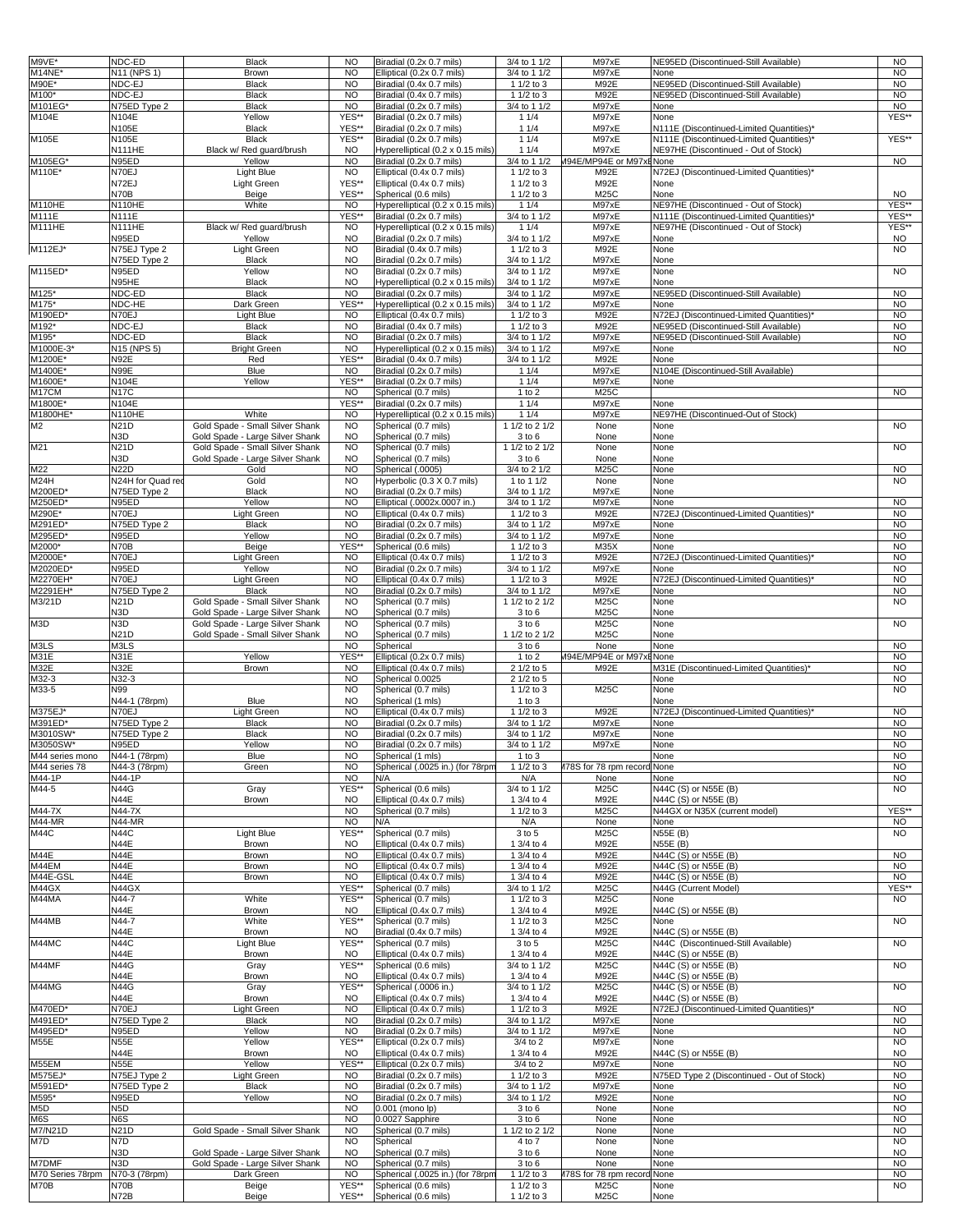| M9VE*                   | NDC-ED                  | Black                           | <b>NO</b>              | Biradial (0.2x 0.7 mils)                              | 3/4 to 1 1/2                 | M97xE                           | NE95ED (Discontinued-Still Available)              | <b>NO</b>              |
|-------------------------|-------------------------|---------------------------------|------------------------|-------------------------------------------------------|------------------------------|---------------------------------|----------------------------------------------------|------------------------|
| M14NE*                  | $N11$ (NPS 1)           | Brown                           | <b>NO</b>              | Elliptical (0.2x 0.7 mils)                            | 3/4 to 1 1/2                 | M97xE                           | None                                               | <b>NO</b>              |
| M90E*                   | NDC-EJ                  | Black                           | <b>NO</b>              | Biradial (0.4x 0.7 mils)                              | 1 1/2 to 3                   | M92E                            | NE95ED (Discontinued-Still Available)              | <b>NO</b>              |
| M100*                   | NDC-EJ                  | <b>Black</b>                    | <b>NO</b>              | Biradial (0.4x 0.7 mils)                              | 1 1/2 to 3                   | M92E                            | NE95ED (Discontinued-Still Available)              | N <sub>O</sub>         |
| M101EG*                 | N75ED Type 2            | <b>Black</b>                    | <b>NO</b>              | Biradial (0.2x 0.7 mils)                              | 3/4 to 1 1/2                 | M97xE                           | None                                               | <b>NO</b>              |
| M104E                   | N104E                   | Yellow                          | YES**                  | Biradial (0.2x 0.7 mils)                              | 11/4                         | M97xE                           | None                                               | YES**                  |
|                         | N105E                   | <b>Black</b>                    | YES**                  | Biradial (0.2x 0.7 mils)                              | 11/4                         | M97xE                           | N111E (Discontinued-Limited Quantities)*           |                        |
| M105E                   | N105E                   | Black                           | YES*'                  | Biradial (0.2x 0.7 mils)                              | 11/4                         | M97xE                           | N111E (Discontinued-Limited Quantities)*           | YES**                  |
|                         | N111HE                  | Black w/ Red guard/brush        | <b>NO</b>              | Hyperelliptical (0.2 x 0.15 mils)                     | 11/4                         | M97xE                           | NE97HE (Discontinued - Out of Stock)               |                        |
| M105EG*                 | N95ED                   | Yellow                          | <b>NO</b>              | Biradial (0.2x 0.7 mils)                              | 3/4 to 1 1/2                 | 094E/MP94E or M97xENone         |                                                    | <b>NO</b>              |
| M110E*                  | N70EJ                   | <b>Light Blue</b>               | <b>NO</b>              | Elliptical (0.4x 0.7 mils)                            | 1 1/2 to 3                   | M92E                            | N72EJ (Discontinued-Limited Quantities)*           |                        |
|                         | N72EJ                   | Light Green                     | YES**                  | Elliptical (0.4x 0.7 mils)                            | 1 1/2 to 3                   | M92E                            | None                                               |                        |
|                         | N70B                    | Beige                           | YES**                  | Spherical (0.6 mils)                                  | 1 1/2 to 3                   | M25C                            | None                                               | <b>NO</b>              |
| M110HE                  | N110HE                  | White                           | <b>NO</b>              | Hyperelliptical (0.2 x 0.15 mils)                     | 11/4                         | M97xE                           | NE97HE (Discontinued - Out of Stock)               | YES**                  |
| M111E                   | N111E                   |                                 | YES*                   | Biradial (0.2x 0.7 mils)                              | 3/4 to 1 1/2                 | M97xE                           | N111E (Discontinued-Limited Quantities)*           | YES*'                  |
| M111HE                  | N111HE                  | Black w/ Red guard/brush        | <b>NO</b>              | Hyperelliptical (0.2 x 0.15 mils)                     | 11/4                         | M97xE                           | NE97HE (Discontinued - Out of Stock)               | YES*'                  |
|                         | N95ED                   | Yellow                          | <b>NO</b>              | Biradial (0.2x 0.7 mils)                              | 3/4 to 1 1/2                 | M97xE                           | None                                               | <b>NO</b>              |
| M112EJ*                 | N75EJ Type 2            | Light Green                     | <b>NO</b>              | Biradial (0.4x 0.7 mils)                              | 1 1/2 to 3                   | M92E                            | None                                               | <b>NO</b>              |
|                         | N75ED Type 2            | Black                           | <b>NO</b>              | Biradial (0.2x 0.7 mils)                              | 3/4 to 1 1/2                 | M97xE                           | None                                               |                        |
| M115ED*                 | N95ED                   | Yellow                          | <b>NO</b>              | Biradial (0.2x 0.7 mils)                              | 3/4 to 1 1/2                 | M97xE                           | None                                               | <b>NO</b>              |
|                         |                         |                                 | <b>NO</b>              |                                                       |                              | M97xE                           |                                                    |                        |
| M125*                   | N95HE<br>NDC-ED         | <b>Black</b><br>Black           | <b>NO</b>              | Hyperelliptical (0.2 x 0.15 mils)                     | 3/4 to 1 1/2                 | M97xE                           | None<br>NE95ED (Discontinued-Still Available)      | <b>NO</b>              |
|                         |                         |                                 | YES**                  | Biradial (0.2x 0.7 mils)                              | 3/4 to 1 1/2                 |                                 |                                                    | <b>NO</b>              |
| M175*                   | NDC-HE<br>N70EJ         | Dark Green                      |                        | Hyperelliptical (0.2 x 0.15 mils)                     | 3/4 to 1 1/2                 | M97xE                           | None                                               | <b>NO</b>              |
| M190ED'                 |                         | Light Blue                      | <b>NO</b><br><b>NO</b> | Elliptical (0.4x 0.7 mils)                            | 1 1/2 to 3                   | M92E                            | <b>N72EJ</b> (Discontinued-Limited Quantities)*    | <b>NO</b>              |
| M192*                   | NDC-EJ                  | Black                           |                        | Biradial (0.4x 0.7 mils)                              | 1 1/2 to 3                   | M92E                            | NE95ED (Discontinued-Still Available)              |                        |
| M195*                   | NDC-ED                  | <b>Black</b>                    | <b>NO</b>              | Biradial (0.2x 0.7 mils)                              | 3/4 to 1 1/2                 | M97xE                           | NE95ED (Discontinued-Still Available)              | <b>NO</b>              |
| M1000E-3*               | N15 (NPS 5)             | <b>Bright Green</b>             | <b>NO</b>              | Hyperelliptical (0.2 x 0.15 mils)                     | 3/4 to 1 1/2                 | M97xE                           | None                                               | <b>NO</b>              |
| M1200E*                 | <b>N92E</b>             | Red                             | YES**                  | Biradial (0.4x 0.7 mils)                              | 3/4 to 1 1/2                 | M92E                            | None                                               |                        |
| M1400E*                 | <b>N99E</b>             | Blue                            | <b>NO</b>              | Biradial (0.2x 0.7 mils)                              | 11/4                         | M97xE                           | N104E (Discontinued-Still Available)               |                        |
| M1600E*                 | N104E                   | Yellow                          | YES**                  | Biradial (0.2x 0.7 mils)                              | 11/4                         | M97xE                           | None                                               |                        |
| M17CM                   | <b>N17C</b>             |                                 | <b>NO</b>              | Spherical (0.7 mils)                                  | $1$ to $2$                   | M25C                            |                                                    | <b>NO</b>              |
| M1800E*                 | N104E                   |                                 | YES**                  | Biradial (0.2x 0.7 mils)                              | 11/4                         | M97xE                           | None                                               |                        |
| M1800HE*                | N110HE                  | White                           | <b>NO</b>              | Hyperelliptical (0.2 x 0.15 mils)                     | 11/4                         | M97xE                           | NE97HE (Discontinued-Out of Stock)                 |                        |
| M <sub>2</sub>          | <b>N21D</b>             | Gold Spade - Small Silver Shank | <b>NO</b>              | Spherical (0.7 mils)                                  | 1 1/2 to 2 1/2               | None                            | None                                               | <b>NO</b>              |
|                         | N <sub>3</sub> D        | Gold Spade - Large Silver Shank | <b>NO</b>              | Spherical (0.7 mils)                                  | 3 to 6                       | None                            | None                                               |                        |
| M21                     | <b>N21D</b>             | Gold Spade - Small Silver Shank | N <sub>O</sub>         | Spherical (0.7 mils)                                  | 1 1/2 to 2 1/2               | None                            | None                                               | <b>NO</b>              |
|                         | N3D                     | Gold Spade - Large Silver Shank | <b>NO</b>              | Spherical (0.7 mils)                                  | 3 to 6                       | None                            | None                                               |                        |
| M22                     | <b>N22D</b>             | Gold                            | <b>NO</b>              | Spherical (.0005)                                     | 3/4 to 2 1/2                 | M25C                            | None                                               | <b>NO</b>              |
| M24H                    | N24H for Quad red       | Gold                            | <b>NO</b>              | Hyperbolic (0.3 X 0.7 mils)                           | 1 to 1 1/2                   | None                            | None                                               | <b>NO</b>              |
| M200ED*                 | N75ED Type 2            | Black                           | <b>NO</b>              | Biradial (0.2x 0.7 mils)                              | 3/4 to 1 1/2                 | M97xE                           | None                                               |                        |
| M250ED'                 | N95ED                   | Yellow                          | <b>NO</b>              | Elliptical (.0002x.0007 in.)                          | 3/4 to 1 1/2                 | M97xE                           | None                                               | <b>NO</b>              |
| M290E*                  | N70EJ                   | Light Green                     | <b>NO</b>              | Elliptical (0.4x 0.7 mils)                            | 1 1/2 to 3                   | M92E                            | N72EJ (Discontinued-Limited Quantities)'           | <b>NO</b>              |
| M291ED*                 | N75ED Type 2            | Black                           | <b>NO</b>              | Biradial (0.2x 0.7 mils)                              | $\frac{3}{4}$ to 1 1/2       | M97xE                           | None                                               | N <sub>O</sub>         |
| M295ED*                 | N95ED                   | Yellow                          | <b>NO</b>              | Biradial (0.2x 0.7 mils)                              | 3/4 to 1 1/2                 | M97xE                           | None                                               | <b>NO</b>              |
| M2000*                  | N70B                    | Beige                           | YES**                  | Spherical (0.6 mils)                                  | 1 1/2 to 3                   | M35X                            | None                                               | <b>NO</b>              |
| 42000E*                 | N70EJ                   | Light Green                     | <b>NO</b>              | Elliptical (0.4x 0.7 mils)                            | 1 1/2 to 3                   | M92E                            | N72EJ (Discontinued-Limited Quantities)*           | <b>NO</b>              |
| M2020ED'                | N95ED                   | Yellow                          | <b>NO</b>              | Biradial (0.2x 0.7 mils)                              | 3/4 to 1 1/2                 | M97xE                           | None                                               | <b>NO</b>              |
| /12270EH                | N70EJ                   | Light Green                     | <b>NO</b>              | Elliptical (0.4x 0.7 mils)                            | 1 1/2 to 3                   | M92E                            | N72EJ (Discontinued-Limited Quantities)*           | <b>NO</b>              |
| M2291EH*                | N75ED Type 2            | Black                           | <b>NO</b>              | Biradial (0.2x 0.7 mils)                              | 3/4 to 1 1/2                 | M97xE                           | None                                               | <b>NO</b>              |
| M3/21D                  | <b>N21D</b>             | Gold Spade - Small Silver Shank | <b>NO</b>              | Spherical (0.7 mils)                                  | 1 1/2 to 2 1/2               | M25C                            | None                                               | <b>NO</b>              |
|                         | N3D                     | Gold Spade - Large Silver Shank | <b>NO</b>              | Spherical (0.7 mils)                                  | 3 to 6                       | M25C                            | None                                               |                        |
| M3D                     | N3D                     | Gold Spade - Large Silver Shank | <b>NO</b>              | Spherical (0.7 mils)                                  | 3 to 6                       | M25C                            | None                                               | <b>NO</b>              |
|                         |                         |                                 |                        |                                                       |                              |                                 |                                                    |                        |
|                         | <b>N21D</b>             |                                 |                        |                                                       |                              |                                 |                                                    |                        |
|                         |                         | Gold Spade - Small Silver Shank | <b>NO</b>              | Spherical (0.7 mils)                                  | 1 1/2 to 2 1/2               | M25C                            | None                                               |                        |
| M3LS                    | M3LS                    |                                 | <b>NO</b>              | Spherical                                             | 3 to 6                       | None<br>194E/MP94E or M97xENone | None                                               | <b>NO</b>              |
| M31E                    | <b>N31E</b>             | Yellow                          | YES**                  | Elliptical (0.2x 0.7 mils)                            | $1$ to $2$                   |                                 |                                                    | <b>NO</b>              |
| <b>M32E</b>             | N32E                    | Brown                           | <b>NO</b><br><b>NO</b> | Elliptical (0.4x 0.7 mils)                            | 2 1/2 to 5                   | M92E                            | M31E (Discontinued-Limited Quantities)'            | <b>NO</b><br><b>NO</b> |
| M32-3                   | N32-3                   |                                 |                        | Spherical 0.0025                                      | 2 1/2 to 5                   |                                 | None                                               |                        |
| M33-5                   | N99                     |                                 | <b>NO</b>              | Spherical (0.7 mils)                                  | 1 1/2 to 3                   | M25C                            | None                                               | <b>NO</b>              |
|                         | N44-1 (78rpm)           | Blue                            | <b>NO</b>              | Spherical (1 mls)                                     | $1$ to $3$                   |                                 | None                                               |                        |
| M375EJ*                 | N70EJ                   | Light Green<br>Black            | <b>NO</b><br><b>NO</b> | Elliptical (0.4x 0.7 mils)                            | 1 1/2 to 3                   | M92E<br>M97xE                   | N72EJ (Discontinued-Limited Quantities)*<br>None   | <b>NO</b><br><b>NO</b> |
| M391ED*                 | N75ED Type 2            |                                 |                        | Biradial (0.2x 0.7 mils)                              | 3/4 to 1 1/2<br>3/4 to 1 1/2 |                                 |                                                    |                        |
| M3010SW<br>M3050SW*     | N75ED Type 2<br>N95ED   | Black<br>Yellow                 | <b>NO</b><br><b>NO</b> | Biradial (0.2x 0.7 mils)<br>Biradial (0.2x 0.7 mils)  | 3/4 to 1 1/2                 | M97xE<br>M97xE                  | None<br>None                                       | <b>NO</b><br><b>NO</b> |
|                         |                         |                                 |                        |                                                       |                              |                                 |                                                    |                        |
| M44 series mono         | N44-1 (78rpm)           | Blue<br>Green                   | NO<br><b>NO</b>        | Spherical (1 mls)<br>Spherical (.0025 in.) (for 78rpm | $1$ to $3$<br>$11/2$ to $3$  | 178S for 78 rpm record          | None<br>None                                       | NO<br><b>NO</b>        |
| M44 series 78<br>M44-1P | N44-3 (78rpm)<br>N44-1P |                                 | <b>NO</b>              | N/A                                                   | N/A                          | None                            | None                                               | <b>NO</b>              |
|                         |                         |                                 | YES*'                  |                                                       | 3/4 to 1 1/2                 | M25C                            |                                                    | <b>NO</b>              |
| M44-5                   | <b>N44G</b><br>N44E     | Gray<br>Brown                   | <b>NO</b>              | Spherical (0.6 mils)<br>Elliptical (0.4x 0.7 mils)    | 1 3/4 to 4                   | M92E                            | N44C (S) or N55E (B)<br>N44C (S) or N55E (B)       |                        |
|                         | N44-7X                  |                                 | <b>NO</b>              | Spherical (0.7 mils)                                  | 1 1/2 to 3                   | M25C                            |                                                    | YES**                  |
| M44-7X                  |                         |                                 | <b>NO</b>              | N/A                                                   | N/A                          |                                 | N44GX or N35X (current model)<br>None              | <b>NO</b>              |
| <b>M44-MR</b>           | <b>N44-MR</b>           |                                 |                        |                                                       |                              | None                            | N55E (B)                                           | <b>NO</b>              |
| M44C                    | <b>N44C</b><br>N44E     | Light Blue<br>Brown             | YES**<br><b>NO</b>     | Spherical (0.7 mils)<br>Elliptical (0.4x 0.7 mils)    | 3 to 5<br>1 3/4 to 4         | M25C<br>M92E                    | N55E (B)                                           |                        |
| M44E                    | N44E                    | Brown                           | <b>NO</b>              | Elliptical (0.4x 0.7 mils)                            | 1 3/4 to 4                   | M92E                            | N44C (S) or N55E (B)                               | <b>NO</b>              |
| M44EM                   | N44E                    | Brown                           | <b>NO</b>              | Elliptical (0.4x 0.7 mils)                            | 1 3/4 to 4                   | M92E                            | N44C (S) or N55E (B)                               | <b>NO</b>              |
| M44E-GSL                | N44E                    | Brown                           | <b>NO</b>              |                                                       | 1 3/4 to 4                   | M92E                            | N44C (S) or N55E (B)                               | <b>NO</b>              |
| M44GX                   | N44GX                   |                                 | YES**                  | Elliptical (0.4x 0.7 mils)<br>Spherical (0.7 mils)    | 3/4 to 1 1/2                 | M25C                            | N44G (Current Model)                               | YES**                  |
| M44MA                   | N44-7                   | White                           | YES**                  | Spherical (0.7 mils)                                  | 1 1/2 to 3                   | M25C                            | None                                               | <b>NO</b>              |
|                         | N44E                    | Brown                           | <b>NO</b>              | Elliptical (0.4x 0.7 mils)                            | 1 3/4 to 4                   | M92E                            | N44C (S) or N55E (B)                               |                        |
| M44MB                   | N44-7                   | White                           | YES*                   | Spherical (0.7 mils)                                  | 1 1/2 to 3                   | M25C                            | None                                               | <b>NO</b>              |
|                         | N44E                    | Brown                           | <b>NO</b>              | Biradial (0.4x 0.7 mils)                              | 1 3/4 to 4                   | M92E                            | N44C (S) or N55E (B)                               |                        |
| M44MC                   | <b>N44C</b>             | Light Blue                      | YES**                  | Spherical (0.7 mils)                                  | 3 to 5                       | M25C                            | N44C (Discontinued-Still Available)                | <b>NO</b>              |
|                         | N44E                    | Brown                           | <b>NO</b>              | Elliptical (0.4x 0.7 mils)                            | 1 3/4 to 4                   | M92E                            | N44C (S) or N55E (B)                               |                        |
| M44MF                   | <b>N44G</b>             | Gray                            | YES*                   | Spherical (0.6 mils)                                  | 3/4 to 1 1/2                 | M25C                            | N44C (S) or N55E (B)                               | <b>NO</b>              |
|                         | N44E                    | Brown                           | <b>NO</b>              | Elliptical (0.4x 0.7 mils)                            | 1 3/4 to 4                   | M92E                            | N44C (S) or N55E (B)                               |                        |
| M44MG                   | <b>N44G</b>             | Gray                            | YES*                   | Spherical (.0006 in.)                                 | 3/4 to 1 1/2                 | M25C                            | N44C (S) or N55E (B)                               | <b>NO</b>              |
|                         | N44E                    | Brown                           | <b>NO</b>              | Elliptical (0.4x 0.7 mils)                            | 1 3/4 to 4                   | M92E                            | N44C (S) or N55E (B)                               |                        |
| M470ED*                 | N70EJ                   | Light Green                     | <b>NO</b>              | Elliptical (0.4x 0.7 mils)                            | 1 1/2 to 3                   | M92E                            | N72EJ (Discontinued-Limited Quantities)'           | <b>NO</b>              |
| M491ED*                 | N75ED Type 2            | Black                           | <b>NO</b>              | Biradial (0.2x 0.7 mils)                              | 3/4 to 1 1/2                 | M97xE                           | None                                               | <b>NO</b>              |
| M495ED*                 | N95ED                   | Yellow                          | <b>NO</b>              | Biradial (0.2x 0.7 mils)                              | 3/4 to 1 1/2                 | M97xE                           | None                                               | <b>NO</b>              |
| M55E                    | <b>N55E</b>             | Yellow                          | YES*                   | Elliptical (0.2x 0.7 mils)                            | $3/4$ to $2$                 | M97xE                           | None                                               | <b>NO</b>              |
|                         | N44E                    | Brown                           | <b>NO</b>              | Elliptical (0.4x 0.7 mils)                            | 1 3/4 to 4                   | M92E                            | N44C (S) or N55E (B)                               | <b>NO</b>              |
|                         | N55E                    | Yellow                          | YES**                  | Elliptical (0.2x 0.7 mils)                            | $3/4$ to $2$                 | M97xE                           | None                                               | <b>NO</b>              |
| M55EM                   |                         |                                 | <b>NO</b>              |                                                       |                              |                                 |                                                    | <b>NO</b>              |
| M575EJ*                 | N75EJ Type 2            | Light Green<br>Black            | <b>NO</b>              | Biradial (0.2x 0.7 mils)                              | 1 1/2 to 3                   | M92E<br>M97xE                   | N75ED Type 2 (Discontinued - Out of Stock)<br>None |                        |
| M591ED*<br>M595*        | N75ED Type 2            | Yellow                          | <b>NO</b>              | Biradial (0.2x 0.7 mils)<br>Biradial (0.2x 0.7 mils)  | 3/4 to 1 1/2<br>3/4 to 1 1/2 | M92E                            | None                                               | <b>NO</b><br><b>NO</b> |
| M5D                     | N95ED<br>N5D            |                                 | <b>NO</b>              | 0.001 (mono lp)                                       | 3 to 6                       | None                            | None                                               | <b>NO</b>              |
| M6S                     | N6S                     |                                 | <b>NO</b>              | 0.0027 Sapphire                                       | 3 to 6                       | None                            | None                                               | <b>NO</b>              |
| M7/N21D                 | N21D                    | Gold Spade - Small Silver Shank | <b>NO</b>              | Spherical (0.7 mils)                                  | 1 1/2 to 2 1/2               | None                            | None                                               | <b>NO</b>              |
| M7D                     | N7D                     |                                 | <b>NO</b>              | Spherical                                             | 4 to 7                       | None                            | None                                               | <b>NO</b>              |
|                         | N3D                     | Gold Spade - Large Silver Shank | <b>NO</b>              | Spherical (0.7 mils)                                  | 3 to 6                       | None                            | None                                               | <b>NO</b>              |
| M7DMF                   | N3D                     | Gold Spade - Large Silver Shank | <b>NO</b>              | Spherical (0.7 mils)                                  | 3 to 6                       | None                            | None                                               | <b>NO</b>              |
| M70 Series 78rpm        | N70-3 (78rpm)           | Dark Green                      | <b>NO</b>              | Spherical (.0025 in.) (for 78rpm                      | 1 1/2 to 3                   | 78S for 78 rpm record           | None                                               | <b>NO</b>              |
| M70B                    | N70B                    | Beige                           | YES**                  | Spherical (0.6 mils)                                  | 1 1/2 to 3                   | M25C                            | None                                               | <b>NO</b>              |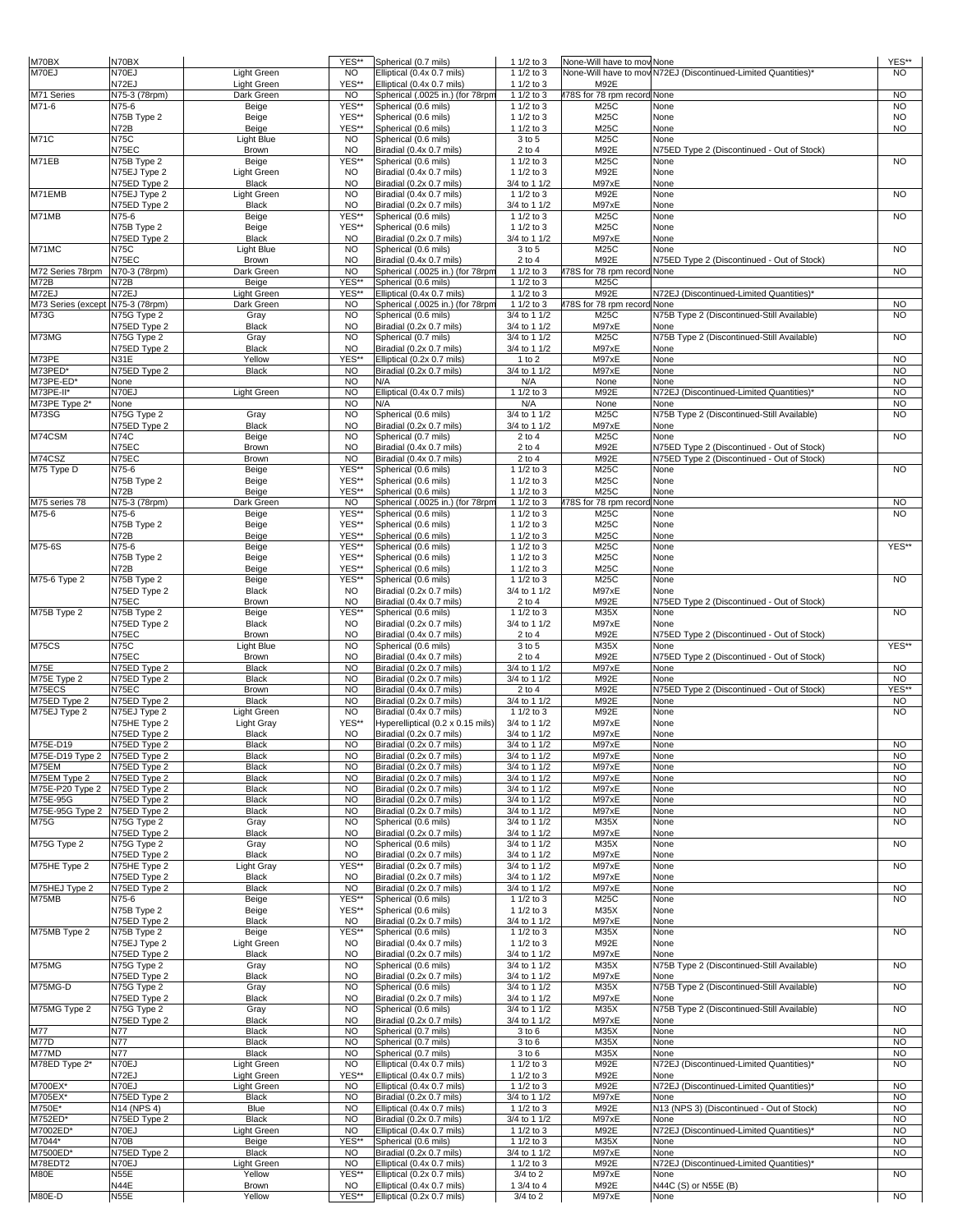| M70BX                        | N70BX                        |                              | YES**                  | Spherical (0.7 mils)                                   | 1 1/2 to 3                   | None-Will have to mov None  |                                                                | YES**                  |
|------------------------------|------------------------------|------------------------------|------------------------|--------------------------------------------------------|------------------------------|-----------------------------|----------------------------------------------------------------|------------------------|
| M70EJ                        | N70EJ                        | Light Green                  | <b>NO</b>              | Elliptical (0.4x 0.7 mils)                             | 1 1/2 to 3                   |                             | None-Will have to mov N72EJ (Discontinued-Limited Quantities)* | <b>NO</b>              |
|                              | N72EJ                        | Light Green                  | YES**                  | Elliptical (0.4x 0.7 mils)                             | 1 $1/2$ to 3                 | M92E                        |                                                                |                        |
| M71 Series                   | N75-3 (78rpm)                | Dark Green                   | <b>NO</b>              | Spherical (.0025 in.) (for 78rpn                       | 1 1/2 to 3                   | 178S for 78 rpm record None |                                                                | <b>NO</b>              |
| M71-6                        | N75-6                        | Beige                        | YES**                  | Spherical (0.6 mils)                                   | 1 1/2 to 3                   | M25C                        | None                                                           | <b>NO</b>              |
|                              | N75B Type 2                  | Beige                        | YES**                  | Spherical (0.6 mils)                                   | 1 1/2 to 3                   | M25C                        | None                                                           | <b>NO</b>              |
|                              | N72B                         | Beige                        | YES**                  | Spherical (0.6 mils)                                   | 1 1/2 to 3                   | M25C                        | None                                                           | <b>NO</b>              |
| M71C                         | <b>N75C</b><br>N75EC         | Light Blue<br>Brown          | <b>NO</b><br><b>NO</b> | Spherical (0.6 mils)<br>Biradial (0.4x 0.7 mils)       | 3 to 5<br>$2$ to $4$         | M25C<br>M92E                | None<br>N75ED Type 2 (Discontinued - Out of Stock)             |                        |
| M71EB                        | N75B Type 2                  | Beige                        | YES*                   | Spherical (0.6 mils)                                   | 1 1/2 to 3                   | M25C                        | None                                                           | <b>NO</b>              |
|                              | N75EJ Type 2                 | Light Green                  | <b>NO</b>              | Biradial (0.4x 0.7 mils)                               | 1 1/2 to 3                   | M92E                        | None                                                           |                        |
|                              | N75ED Type 2                 | <b>Black</b>                 | <b>NO</b>              | Biradial (0.2x 0.7 mils)                               | 3/4 to 1 1/2                 | M97xE                       | None                                                           |                        |
| M71EMB                       | N75EJ Type 2                 | Light Green                  | <b>NO</b>              | Biradial (0.4x 0.7 mils)                               | 1 1/2 to 3                   | M92E                        | None                                                           | <b>NO</b>              |
|                              | N75ED Type 2                 | <b>Black</b>                 | <b>NO</b>              | Biradial (0.2x 0.7 mils)                               | 3/4 to 1 1/2                 | M97xE                       | None                                                           |                        |
| M71MB                        | N75-6                        | Beige                        | YES*                   | Spherical (0.6 mils)                                   | 1 1/2 to 3                   | M25C                        | None                                                           | <b>NO</b>              |
|                              | N75B Type 2                  | Beige                        | YES**                  | Spherical (0.6 mils)                                   | 1 1/2 to 3                   | M25C                        | None                                                           |                        |
|                              | N75ED Type 2                 | <b>Black</b>                 | <b>NO</b>              | Biradial (0.2x 0.7 mils)                               | 3/4 to 1 1/2                 | M97xE                       | None                                                           |                        |
| M71MC                        | <b>N75C</b><br>N75EC         | Light Blue<br>Brown          | <b>NO</b><br><b>NO</b> | Spherical (0.6 mils)<br>Biradial (0.4x 0.7 mils)       | 3 to 5<br>$2$ to $4$         | M25C<br>M92E                | None<br>N75ED Type 2 (Discontinued - Out of Stock)             | <b>NO</b>              |
| M72 Series 78rpm             | N70-3 (78rpm)                | Dark Green                   | <b>NO</b>              | Spherical (.0025 in.) (for 78rpm                       | 1 1/2 to 3                   | 178S for 78 rpm record None |                                                                | <b>NO</b>              |
| M72B                         | N72B                         | Beige                        | YES*'                  | Spherical (0.6 mils)                                   | 1 1/2 to 3                   | M25C                        |                                                                |                        |
| M72EJ                        | N72EJ                        | Light Green                  | YES**                  | Elliptical (0.4x 0.7 mils)                             | 1 1/2 to 3                   | M92E                        | N72EJ (Discontinued-Limited Quantities)*                       |                        |
| M73 Series (except           | N75-3 (78rpm)                | Dark Green                   | <b>NO</b>              | Spherical (.0025 in.) (for 78rpn                       | 1 1/2 to 3                   | 178S for 78 rpm record      | None                                                           | <b>NO</b>              |
| M73G                         | N75G Type 2                  | Gray                         | <b>NO</b>              | Spherical (0.6 mils)                                   | $3/4$ to 1 $\frac{1}{2}$     | M25C                        | N75B Type 2 (Discontinued-Still Available)                     | <b>NO</b>              |
|                              | N75ED Type 2                 | Black                        | <b>NO</b>              | Biradial (0.2x 0.7 mils)                               | 3/4 to 1 1/2                 | M97xE                       | None                                                           |                        |
| M73MG                        | N75G Type 2                  | Gray                         | <b>NO</b>              | Spherical (0.7 mils)                                   | 3/4 to 1 1/2                 | M25C                        | N75B Type 2 (Discontinued-Still Available)                     | <b>NO</b>              |
|                              | N75ED Type 2                 | <b>Black</b>                 | <b>NO</b>              | Biradial (0.2x 0.7 mils)                               | 3/4 to 1 1/2                 | M97xE                       | None                                                           |                        |
| M73PE                        | <b>N31E</b>                  | Yellow                       | YES*                   | Elliptical (0.2x 0.7 mils)<br>Biradial (0.2x 0.7 mils) | $1$ to $2$                   | M97xE                       | None                                                           | <b>NO</b><br><b>NO</b> |
| M73PED*<br>M73PE-ED*         | N75ED Type 2<br>None         | <b>Black</b>                 | <b>NO</b><br><b>NO</b> | N/A                                                    | 3/4 to 1 1/2<br>N/A          | M97xE<br>None               | None<br>None                                                   | <b>NO</b>              |
| M73PE-II*                    | N70EJ                        | Light Green                  | <b>NO</b>              | Elliptical (0.4x 0.7 mils)                             | 1 1/2 to 3                   | M92E                        | N72EJ (Discontinued-Limited Quantities)*                       | <b>NO</b>              |
| M73PE Type 2*                | None                         |                              | <b>NO</b>              | N/A                                                    | N/A                          | None                        | None                                                           | <b>NO</b>              |
| M73SG                        | N75G Type 2                  | Gray                         | <b>NO</b>              | Spherical (0.6 mils)                                   | 3/4 to 1 1/2                 | M25C                        | N75B Type 2 (Discontinued-Still Available)                     | <b>NO</b>              |
|                              | N75ED Type 2                 | <b>Black</b>                 | <b>NO</b>              | Biradial (0.2x 0.7 mils)                               | 3/4 to 1 1/2                 | M97xE                       | None                                                           |                        |
| M74CSM                       | <b>N74C</b>                  | Beige                        | <b>NO</b>              | Spherical (0.7 mils)                                   | $2$ to $4$                   | M25C                        | None                                                           | <b>NO</b>              |
|                              | N75EC                        | Brown                        | <b>NO</b>              | Biradial (0.4x 0.7 mils)                               | $2$ to $4$                   | M92E                        | N75ED Type 2 (Discontinued - Out of Stock)                     |                        |
| M74CSZ                       | N75EC                        | Brown                        | <b>NO</b>              | Biradial (0.4x 0.7 mils)                               | $2$ to $4$                   | M92E                        | N75ED Type 2 (Discontinued - Out of Stock)                     |                        |
| M75 Type D                   | N75-6<br>N75B Type 2         | Beige                        | YES*<br>YES**          | Spherical (0.6 mils)<br>Spherical (0.6 mils)           | 1 1/2 to 3<br>1 1/2 to 3     | M25C<br>M25C                | None<br>None                                                   | <b>NO</b>              |
|                              | N72B                         | Beige<br>Beige               | YES**                  | Spherical (0.6 mils)                                   | 1 1/2 to 3                   | M25C                        | None                                                           |                        |
| M75 series 78                | N75-3 (78rpm)                | Dark Green                   | <b>NO</b>              | Spherical (.0025 in.) (for 78rpm                       | 1 1/2 to 3                   | 178S for 78 rpm record      | None                                                           | <b>NO</b>              |
| M75-6                        | N75-6                        | Beige                        | YES**                  | Spherical (0.6 mils)                                   | 1 1/2 to 3                   | M25C                        | None                                                           | <b>NO</b>              |
|                              | N75B Type 2                  | Beige                        | YES**                  | Spherical (0.6 mils)                                   | 1 1/2 to 3                   | M25C                        | None                                                           |                        |
|                              | N72B                         | Beige                        | YES**                  | Spherical (0.6 mils)                                   | 1 1/2 to 3                   | M25C                        | None                                                           |                        |
| M75-6S                       | N75-6                        | Beige                        | YES*                   | Spherical (0.6 mils)                                   | 1 1/2 to 3                   | M25C                        | None                                                           | YES**                  |
|                              | N75B Type 2                  | Beige                        | YES**                  | Spherical (0.6 mils)                                   | 1 1/2 to 3                   | M25C                        | None                                                           |                        |
|                              | N72B                         | Beige                        | YES**                  | Spherical (0.6 mils)                                   | 1 1/2 to 3                   | M25C                        | None                                                           |                        |
| M75-6 Type 2                 | N75B Type 2<br>N75ED Type 2  | Beige<br>Black               | YES**<br><b>NO</b>     | Spherical (0.6 mils)<br>Biradial (0.2x 0.7 mils)       | 1 1/2 to 3<br>3/4 to 1 1/2   | M25C<br>M97xE               | None<br>None                                                   | <b>NO</b>              |
|                              | N75EC                        | Brown                        | <b>NO</b>              | Biradial (0.4x 0.7 mils)                               | $2$ to $4$                   | M92E                        | N75ED Type 2 (Discontinued - Out of Stock)                     |                        |
| M75B Type 2                  | N75B Type 2                  | Beige                        | YES*                   | Spherical (0.6 mils)                                   | 1 1/2 to 3                   | M35X                        | None                                                           | <b>NO</b>              |
|                              | N75ED Type 2                 | Black                        | <b>NO</b>              | Biradial (0.2x 0.7 mils)                               | 3/4 to 1 1/2                 | M97xE                       | None                                                           |                        |
|                              | N75EC                        | Brown                        | <b>NO</b>              | Biradial (0.4x 0.7 mils)                               | $2$ to $4$                   | M92E                        | N75ED Type 2 (Discontinued - Out of Stock)                     |                        |
| M75CS                        | <b>N75C</b>                  | Light Blue                   | <b>NO</b>              | Spherical (0.6 mils)                                   | 3 to 5                       | M35X                        | None                                                           | YES**                  |
|                              | N75EC                        | Brown                        | <b>NO</b>              | Biradial (0.4x 0.7 mils)                               | $2$ to $4$                   | M92E                        | N75ED Type 2 (Discontinued - Out of Stock)                     |                        |
| M75E                         | N75ED Type 2                 | <b>Black</b>                 | <b>NO</b>              | Biradial (0.2x 0.7 mils)                               | 3/4 to 1 1/2                 | M97xE                       | None                                                           | <b>NO</b>              |
| M75E Type 2                  | N75ED Type 2                 | Black                        | <b>NO</b>              | Biradial (0.2x 0.7 mils)                               | 3/4 to 1 1/2                 | M92E                        | None                                                           | <b>NO</b><br>YES**     |
| M75ECS<br>M75ED Type 2       | N75EC<br>N75ED Type 2        | Brown<br>Black               | <b>NO</b><br><b>NO</b> | Biradial (0.4x 0.7 mils)<br>Biradial (0.2x 0.7 mils)   | $2$ to $4$<br>3/4 to 1 1/2   | M92E<br>M92E                | N75ED Type 2 (Discontinued - Out of Stock)<br>None             | <b>NO</b>              |
| M75EJ Type 2                 | N75EJ Type 2                 | Light Green                  | <b>NO</b>              | Biradial (0.4x 0.7 mils)                               | 1 1/2 to 3                   | M92E                        | None                                                           | <b>NO</b>              |
|                              | N75HE Type 2                 | <b>Light Gray</b>            | YES*'                  | Hyperelliptical (0.2 x 0.15 mils)                      | 3/4 to 1 1/2                 | M97xE                       | None                                                           |                        |
|                              | N75ED Type 2                 | Black                        | <b>NO</b>              | Biradial (0.2x 0.7 mils)                               | 3/4 to 1 1/2                 | M97xE                       | None                                                           |                        |
| M75E-D19                     | N75ED Type 2                 | Black                        | <b>NO</b>              | Biradial (0.2x 0.7 mils)                               | 3/4 to 1 1/2                 | M97xE                       | None                                                           | N <sub>O</sub>         |
| M75E-D19 Type 2 N75ED Type 2 |                              | Black                        | NO                     | Biradial (0.2x 0.7 mils)                               | 3/4 to 1 1/2                 | M97xE                       | None                                                           | <b>NO</b>              |
| M75EM                        | N75ED Type 2                 | Black                        | <b>NO</b>              | Biradial (0.2x 0.7 mils)                               | 3/4 to 1 1/2                 | M97xE                       | None                                                           | <b>NO</b>              |
| M75EM Type 2                 | N75ED Type 2                 | <b>Black</b>                 | <b>NO</b>              | Biradial (0.2x 0.7 mils)                               | 3/4 to 1 1/2                 | M97xE                       | None                                                           | <b>NO</b>              |
| M75E-P20 Type 2<br>M75E-95G  | N75ED Type 2<br>N75ED Type 2 | Black<br>Black               | <b>NO</b><br><b>NO</b> | Biradial (0.2x 0.7 mils)<br>Biradial (0.2x 0.7 mils)   | 3/4 to 1 1/2<br>3/4 to 1 1/2 | M97xE<br>M97xE              | None<br>None                                                   | <b>NO</b><br><b>NO</b> |
| M75E-95G Type 2              | N75ED Type 2                 | Black                        | <b>NO</b>              | Biradial (0.2x 0.7 mils)                               | 3/4 to 1 1/2                 | M97xE                       | None                                                           | <b>NO</b>              |
| M75G                         | N75G Type 2                  | Gray                         | <b>NO</b>              | Spherical (0.6 mils)                                   | 3/4 to 1 1/2                 | M35X                        | None                                                           | <b>NO</b>              |
|                              | N75ED Type 2                 | <b>Black</b>                 | NO                     | Biradial (0.2x 0.7 mils)                               | 3/4 to 1 1/2                 | M97xE                       | None                                                           |                        |
| M75G Type 2                  | N75G Type 2                  | Gray                         | <b>NO</b>              | Spherical (0.6 mils)                                   | 3/4 to 1 1/2                 | M35X                        | None                                                           | <b>NO</b>              |
|                              | N75ED Type 2                 | Black                        | <b>NO</b>              | Biradial (0.2x 0.7 mils)                               | 3/4 to 1 1/2                 | M97xE                       | None                                                           |                        |
| M75HE Type 2                 | N75HE Type 2                 | Light Gray                   | YES*                   | Biradial (0.2x 0.7 mils)                               | 3/4 to 1 1/2                 | M97xE                       | None                                                           | <b>NO</b>              |
|                              | N75ED Type 2<br>N75ED Type 2 | <b>Black</b><br><b>Black</b> | <b>NO</b><br><b>NO</b> | Biradial (0.2x 0.7 mils)<br>Biradial (0.2x 0.7 mils)   | 3/4 to 1 1/2<br>3/4 to 1 1/2 | M97xE<br>M97xE              | None<br>None                                                   | <b>NO</b>              |
| M75HEJ Type 2<br>M75MB       | N75-6                        | Beige                        | YES*'                  | Spherical (0.6 mils)                                   | 1 1/2 to 3                   | M25C                        | None                                                           | <b>NO</b>              |
|                              | N75B Type 2                  | Beige                        | YES**                  | Spherical (0.6 mils)                                   | 1 1/2 to 3                   | M35X                        | None                                                           |                        |
|                              | N75ED Type 2                 | <b>Black</b>                 | <b>NO</b>              | Biradial (0.2x 0.7 mils)                               | 3/4 to 1 1/2                 | M97xE                       | None                                                           |                        |
| M75MB Type 2                 | N75B Type 2                  | Beige                        | YES**                  | Spherical (0.6 mils)                                   | 1 1/2 to 3                   | M35X                        | None                                                           | <b>NO</b>              |
|                              | N75EJ Type 2                 | Light Green                  | <b>NO</b>              | Biradial (0.4x 0.7 mils)                               | 1 1/2 to 3                   | M92E                        | None                                                           |                        |
|                              | N75ED Type 2                 | Black                        | <b>NO</b>              | Biradial (0.2x 0.7 mils)                               | 3/4 to 1 1/2                 | M97xE                       | None                                                           |                        |
| M75MG                        | N75G Type 2                  | Gray                         | <b>NO</b>              | Spherical (0.6 mils)                                   | 3/4 to 1 1/2                 | M35X                        | N75B Type 2 (Discontinued-Still Available)                     | <b>NO</b>              |
|                              | N75ED Type 2                 | <b>Black</b>                 | <b>NO</b><br><b>NO</b> | Biradial (0.2x 0.7 mils)                               | 3/4 to 1 1/2                 | M97xE                       | None                                                           | <b>NO</b>              |
| M75MG-D                      | N75G Type 2<br>N75ED Type 2  | Gray<br>Black                | <b>NO</b>              | Spherical (0.6 mils)<br>Biradial (0.2x 0.7 mils)       | 3/4 to 1 1/2<br>3/4 to 1 1/2 | M35X<br>M97xE               | N75B Type 2 (Discontinued-Still Available)<br>None             |                        |
| M75MG Type 2                 | N75G Type 2                  | Gray                         | <b>NO</b>              | Spherical (0.6 mils)                                   | 3/4 to 1 1/2                 | M35X                        | N75B Type 2 (Discontinued-Still Available)                     | <b>NO</b>              |
|                              | N75ED Type 2                 | <b>Black</b>                 | NO                     | Biradial (0.2x 0.7 mils)                               | 3/4 to 1 1/2                 | M97xE                       | None                                                           |                        |
| M77                          | N77                          | <b>Black</b>                 | <b>NO</b>              | Spherical (0.7 mils)                                   | 3 to 6                       | M35X                        | None                                                           | <b>NO</b>              |
| M77D                         | <b>N77</b>                   | Black                        | <b>NO</b>              | Spherical (0.7 mils)                                   | 3 to 6                       | M35X                        | None                                                           | <b>NO</b>              |
| M77MD                        | N77                          | Black                        | <b>NO</b>              | Spherical (0.7 mils)                                   | 3 to 6                       | M35X                        | None                                                           | <b>NO</b>              |
| M78ED Type 2*                | N70EJ                        | Light Green                  | <b>NO</b>              | Elliptical (0.4x 0.7 mils)                             | 1 1/2 to 3                   | M92E                        | N72EJ (Discontinued-Limited Quantities)*                       | <b>NO</b>              |
|                              | N72EJ                        | Light Green                  | YES**                  | Elliptical (0.4x 0.7 mils)                             | 1 1/2 to 3                   | M92E                        | None                                                           |                        |
| M700EX*<br>M705EX*           | N70EJ                        | Light Green<br>Black         | NO.<br><b>NO</b>       | Elliptical (0.4x 0.7 mils)<br>Biradial (0.2x 0.7 mils) | 1 1/2 to 3<br>3/4 to 1 1/2   | M92E<br>M97xE               | N72EJ (Discontinued-Limited Quantities)*                       | <b>NO</b><br><b>NO</b> |
| M750E*                       | N75ED Type 2<br>N14 (NPS 4)  | Blue                         | <b>NO</b>              | Elliptical (0.4x 0.7 mils)                             | 1 1/2 to 3                   | M92E                        | None<br>N13 (NPS 3) (Discontinued - Out of Stock)              | <b>NO</b>              |
| M752ED*                      | N75ED Type 2                 | Black                        | <b>NO</b>              | Biradial (0.2x 0.7 mils)                               | 3/4 to 1 1/2                 | M97xE                       | None                                                           | <b>NO</b>              |
| M7002ED*                     | N70EJ                        | Light Green                  | <b>NO</b>              | Elliptical (0.4x 0.7 mils)                             | 1 1/2 to 3                   | M92E                        | N72EJ (Discontinued-Limited Quantities)*                       | <b>NO</b>              |
| M7044*                       | N70B                         | Beige                        | YES**                  | Spherical (0.6 mils)                                   | 1 1/2 to 3                   | M35X                        | None                                                           | <b>NO</b>              |
| M7500ED*                     | N75ED Type 2                 | <b>Black</b>                 | NO.                    | Biradial (0.2x 0.7 mils)                               | 3/4 to 1 1/2                 | M97xE                       | None                                                           | <b>NO</b>              |
| M78EDT2                      | N70EJ                        | Light Green                  | <b>NO</b>              | Elliptical (0.4x 0.7 mils)                             | 1 1/2 to 3                   | M92E                        | N72EJ (Discontinued-Limited Quantities)*                       |                        |
| M80E                         | <b>N55E</b>                  | Yellow                       | YES*                   | Elliptical (0.2x 0.7 mils)                             | $3/4$ to 2                   | M97xE                       | None                                                           | <b>NO</b>              |
|                              | N44E                         | Brown                        | <b>NO</b>              | Elliptical (0.4x 0.7 mils)                             | 1 3/4 to 4                   | M92E                        | N44C (S) or N55E (B)                                           |                        |
| M80E-D                       | <b>N55E</b>                  | Yellow                       | YES**                  | Elliptical (0.2x 0.7 mils)                             | $3/4$ to $2$                 | M97xE                       | None                                                           | <b>NO</b>              |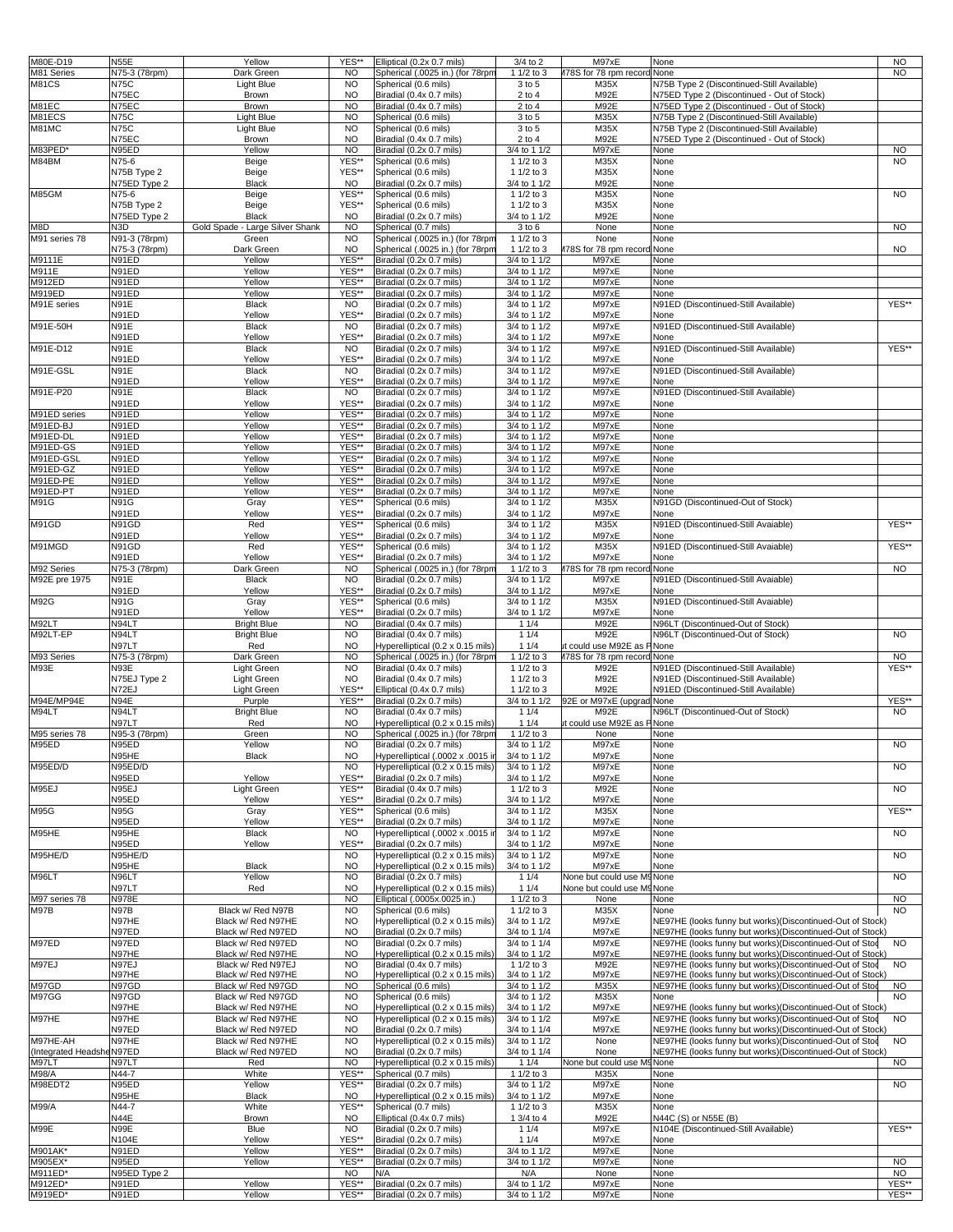| M80E-D19           | <b>N55E</b>         | Yellow                          | YES**          | Elliptical (0.2x 0.7 mils)                           | 3/4 to 2                | M97xE                       | None                                                      | <b>NO</b> |
|--------------------|---------------------|---------------------------------|----------------|------------------------------------------------------|-------------------------|-----------------------------|-----------------------------------------------------------|-----------|
| M81 Series         | N75-3 (78rpm)       | Dark Green                      | <b>NO</b>      | Spherical (.0025 in.) (for 78rpn                     | 1 1/2 to 3              | 178S for 78 rpm record      | None                                                      | <b>NO</b> |
| <b>M81CS</b>       | N75C                | Light Blue                      | <b>NO</b>      | Spherical (0.6 mils)                                 | 3 to 5                  | M35X                        | N75B Type 2 (Discontinued-Still Available)                |           |
|                    |                     |                                 |                |                                                      |                         |                             |                                                           |           |
|                    | N75EC               | Brown                           | <b>NO</b>      | Biradial (0.4x 0.7 mils)                             | $2$ to $4$              | M92E                        | N75ED Type 2 (Discontinued - Out of Stock)                |           |
| M81EC              | N75EC               | Brown                           | N <sub>O</sub> | Biradial (0.4x 0.7 mils)                             | $2$ to $4$              | M92E                        | N75ED Type 2 (Discontinued - Out of Stock)                |           |
| M81ECS             | N75C                | Light Blue                      | <b>NO</b>      | Spherical (0.6 mils)                                 | 3 to 5                  | M35X                        | N75B Type 2 (Discontinued-Still Available)                |           |
| M81MC              | N75C                | Light Blue                      | <b>NO</b>      | Spherical (0.6 mils)                                 | 3 to 5                  | M35X                        | N75B Type 2 (Discontinued-Still Available)                |           |
|                    | N75EC               | Brown                           | <b>NO</b>      | Biradial (0.4x 0.7 mils)                             | $2$ to $4$              | M92E                        | N75ED Type 2 (Discontinued - Out of Stock)                |           |
| M83PED*            | N95ED               | Yellow                          | <b>NO</b>      | Biradial (0.2x 0.7 mils)                             | 3/4 to 1 1/2            | M97xE                       | None                                                      | <b>NO</b> |
| M84BM              | N75-6               | Beige                           | YES*           | Spherical (0.6 mils)                                 | 1 1/2 to 3              | M35X                        | None                                                      | <b>NO</b> |
|                    | N75B Type 2         | Beige                           | YES**          | Spherical (0.6 mils)                                 | 1 1/2 to 3              | M35X                        | None                                                      |           |
|                    | <b>V75ED Type 2</b> | Black                           | <b>NO</b>      | Biradial (0.2x 0.7 mils)                             | 3/4 to 1 1/2            | M92E                        | None                                                      |           |
| M85GM              | N75-6               |                                 | YES*           | Spherical (0.6 mils)                                 | 1 1/2 to 3              | M35X                        | None                                                      | <b>NO</b> |
|                    |                     | Beige                           | YES**          |                                                      |                         |                             |                                                           |           |
|                    | N75B Type 2         | Beige                           |                | Spherical (0.6 mils)                                 | 1 1/2 to 3              | M35X                        | None                                                      |           |
|                    | N75ED Type 2        | Black                           | <b>NO</b>      | Biradial (0.2x 0.7 mils)                             | 3/4 to 1 1/2            | M92E                        | None                                                      |           |
| M8D                | N3D                 | Gold Spade - Large Silver Shank | <b>NO</b>      | Spherical (0.7 mils)                                 | 3 to 6                  | None                        | None                                                      | <b>NO</b> |
| M91 series 78      | N91-3 (78rpm)       | Green                           | <b>NO</b>      | Spherical (.0025 in.) (for 78rpn                     | 1 1/2 to 3              | None                        | None                                                      |           |
|                    | N75-3 (78rpm)       | Dark Green                      | <b>NO</b>      | Spherical (.0025 in.) (for 78rpm                     | 1 1/2 to 3              | 178S for 78 rpm record None |                                                           | <b>NO</b> |
| M9111E             | N91ED               | Yellow                          | YES**          | Biradial (0.2x 0.7 mils)                             | 3/4 to 1 1/2            | M97xE                       | None                                                      |           |
| M911E              | N91ED               | Yellow                          | YES**          | Biradial (0.2x 0.7 mils)                             | 3/4 to 1 1/2            | M97xE                       | None                                                      |           |
| M912ED             | N91ED               | Yellow                          | YES**          | Biradial (0.2x 0.7 mils)                             | 3/4 to 1 1/2            | M97xE                       | None                                                      |           |
|                    |                     |                                 |                |                                                      |                         |                             |                                                           |           |
| M919ED             | N91ED               | Yellow                          | YES**          | Biradial (0.2x 0.7 mils)                             | 3/4 to 1 1/2            | M97xE                       | None                                                      |           |
| M91E series        | N91E                | Black                           | <b>NO</b>      | Biradial (0.2x 0.7 mils)                             | 3/4 to 1 1/2            | M97xE                       | N91ED (Discontinued-Still Available)                      | YES**     |
|                    | N91ED               | Yellow                          | YES**          | Biradial (0.2x 0.7 mils)                             | 3/4 to 1 1/2            | M97xE                       | None                                                      |           |
| M91E-50H           | N91E                | Black                           | <b>NO</b>      | Biradial (0.2x 0.7 mils)                             | 3/4 to 1 1/2            | M97xE                       | N91ED (Discontinued-Still Available)                      |           |
|                    | N91ED               | Yellow                          | YES**          | Biradial (0.2x 0.7 mils)                             | 3/4 to 1 1/2            | M97xE                       | None                                                      |           |
| M91E-D12           | N91E                | Black                           | <b>NO</b>      | Biradial (0.2x 0.7 mils)                             | 3/4 to 1 1/2            | M97xE                       | N91ED (Discontinued-Still Available)                      | YES**     |
|                    | N91ED               | Yellow                          | YES**          | Biradial (0.2x 0.7 mils)                             | 3/4 to 1 1/2            | M97xE                       | None                                                      |           |
|                    |                     |                                 |                | Biradial (0.2x 0.7 mils)                             |                         |                             |                                                           |           |
| M91E-GSL           | N91E                | Black                           | <b>NO</b>      |                                                      | 3/4 to 1 1/2            | M97xE                       | N91ED (Discontinued-Still Available)                      |           |
|                    | N91ED               | Yellow                          | YES**          | Biradial (0.2x 0.7 mils)                             | 3/4 to 1 1/2            | M97xE                       | None                                                      |           |
| M91E-P20           | N91E                | Black                           | <b>NO</b>      | Biradial (0.2x 0.7 mils)                             | 3/4 to 1 1/2            | M97xE                       | N91ED (Discontinued-Still Available)                      |           |
|                    | N91ED               | Yellow                          | YES**          | Biradial (0.2x 0.7 mils)                             | 3/4 to 1 1/2            | M97xE                       | None                                                      |           |
| M91ED series       | N91ED               | Yellow                          | YES**          | Biradial (0.2x 0.7 mils)                             | 3/4 to 1 1/2            | M97xE                       | None                                                      |           |
| M91ED-BJ           | N91ED               | Yellow                          | YES*'          | Biradial (0.2x 0.7 mils)                             | 3/4 to 1 1/2            | M97xE                       | None                                                      |           |
| M91ED-DL           | N91ED               | Yellow                          | YES**          | Biradial (0.2x 0.7 mils)                             | 3/4 to 1 1/2            | M97xE                       | None                                                      |           |
|                    |                     |                                 |                |                                                      |                         |                             |                                                           |           |
| M91ED-GS           | N91ED               | Yellow                          | YES**          | Biradial (0.2x 0.7 mils)                             | 3/4 to 1 1/2            | M97xE                       | None                                                      |           |
| M91ED-GSL          | N91ED               | Yellow                          | YES**          | Biradial (0.2x 0.7 mils)                             | 3/4 to 1 1/2            | M97xE                       | None                                                      |           |
| M91ED-GZ           | N91ED               | Yellow                          | YES**          | Biradial (0.2x 0.7 mils)                             | 3/4 to 1 1/2            | M97xE                       | None                                                      |           |
| M91ED-PE           | N91ED               | Yellow                          | YES**          | Biradial (0.2x 0.7 mils)                             | 3/4 to 1 1/2            | M97xE                       | None                                                      |           |
| M91ED-PT           | N91ED               | Yellow                          | YES**          | Biradial (0.2x 0.7 mils)                             | 3/4 to 1 1/2            | M97xE                       | None                                                      |           |
| M91G               | N91G                | Gray                            | YES*           | Spherical (0.6 mils)                                 | 3/4 to 1 1/2            | M35X                        | N91GD (Discontinued-Out of Stock)                         |           |
|                    | N91ED               | Yellow                          | YES**          |                                                      |                         | M97xE                       |                                                           |           |
|                    |                     |                                 |                | Biradial (0.2x 0.7 mils)                             | 3/4 to 1 1/2            |                             | None                                                      |           |
| M91GD              | N91GD               | Red                             | YES*'          | Spherical (0.6 mils)                                 | 3/4 to 1 1/2            | M35X                        | N91ED (Discontinued-Still Avaiable)                       | YES**     |
|                    | N91ED               | Yellow                          | YES**          | Biradial (0.2x 0.7 mils)                             | 3/4 to 1 1/2            | M97xE                       | None                                                      |           |
| M91MGD             | N91GD               | Red                             | YES**          | Spherical (0.6 mils)                                 | 3/4 to 1 1/2            | M35X                        | N91ED (Discontinued-Still Avaiable)                       | YES**     |
|                    | N91ED               | Yellow                          | YES**          | Biradial (0.2x 0.7 mils)                             | 3/4 to 1 1/2            | M97xE                       | None                                                      |           |
| M92 Series         | N75-3 (78rpm)       | Dark Green                      | <b>NO</b>      | Spherical (.0025 in.) (for 78rpm                     | 1 1/2 to 3              | 178S for 78 rpm record      | None                                                      | <b>NO</b> |
| M92E pre 1975      | N91E                | Black                           | <b>NO</b>      | Biradial (0.2x 0.7 mils)                             | 3/4 to 1 1/2            | M97xE                       | N91ED (Discontinued-Still Avaiable)                       |           |
|                    |                     |                                 |                |                                                      |                         |                             |                                                           |           |
|                    | N91ED               | Yellow                          | YES**          | Biradial (0.2x 0.7 mils)                             | 3/4 to 1 1/2            | M97xE                       | None                                                      |           |
| M92G               | N91G                | Gray                            | YES**          | Spherical (0.6 mils)                                 | 3/4 to 1 1/2            | M35X                        | N91ED (Discontinued-Still Avaiable)                       |           |
|                    | N91ED               | Yellow                          | YES**          | Biradial (0.2x 0.7 mils)                             | 3/4 to 1 1/2            | M97xE                       | None                                                      |           |
| M92LT              | N94LT               | <b>Bright Blue</b>              | <b>NO</b>      | Biradial (0.4x 0.7 mils)                             | 11/4                    | M92E                        | N96LT (Discontinued-Out of Stock)                         |           |
| M92LT-EP           | N94LT               | <b>Bright Blue</b>              | <b>NO</b>      | Biradial (0.4x 0.7 mils)                             | 11/4                    | M92E                        | N96LT (Discontinued-Out of Stock)                         | <b>NO</b> |
|                    | N97LT               | Red                             | <b>NO</b>      | Hyperelliptical (0.2 x 0.15 mils)                    | 11/4                    | t could use M92E as P       | None                                                      |           |
| M93 Series         | N75-3 (78rpm)       | Dark Green                      | N <sub>O</sub> | Spherical (.0025 in.) (for 78rpm                     | 1 1/2 to 3              | 178S for 78 rpm record None |                                                           | <b>NO</b> |
|                    |                     |                                 |                |                                                      |                         |                             | N91ED (Discontinued-Still Available)                      |           |
| M93E               | N93E                | Light Green                     | <b>NO</b>      | Biradial (0.4x 0.7 mils)                             | 1 1/2 to 3              | M92E                        |                                                           | YES**     |
|                    | N75EJ Type 2        | Light Green                     | <b>NO</b>      | Biradial (0.4x 0.7 mils)                             | 1 1/2 to 3              | M92E                        | N91ED (Discontinued-Still Available)                      |           |
|                    | N72EJ               | Light Green                     | YES**          | Elliptical (0.4x 0.7 mils)                           | 1 1/2 to 3              | M92E                        | N91ED (Discontinued-Still Available)                      |           |
| M94E/MP94E         | N94E                | Purple                          | YES**          | Biradial (0.2x 0.7 mils)                             | 3/4 to 1 1/2            | 92E or M97xE (upgrad None   |                                                           | YES**     |
| M94LT              | N94LT               | <b>Bright Blue</b>              | <b>NO</b>      | Biradial (0.4x 0.7 mils)                             | 11/4                    | M92E                        | N96LT (Discontinued-Out of Stock)                         | <b>NO</b> |
|                    | <b>N97LT</b>        | Red                             | <b>NO</b>      | Hyperelliptical (0.2 x 0.15 mils)                    | 11/4                    | t could use M92E as P       | None                                                      |           |
| M95 series 78      | N95-3 (78rpm)       | Green                           | N <sub>O</sub> | Spherical (.0025 in.) (for 78rpm                     | $\frac{1}{1}$ 1/2 to 3  | None                        | None                                                      |           |
|                    |                     |                                 |                |                                                      |                         |                             |                                                           |           |
| M95ED              | N95ED               | Yellow                          | <b>NO</b>      | Biradial (0.2x 0.7 mils)                             | 3/4 to 1 1/2            | M97xE                       | None                                                      | <b>NO</b> |
|                    | N95HE               | Black                           | <b>NO</b>      | Hyperelliptical (.0002 x .0015 in                    | 3/4 to 1 1/2            | M97xE                       | None                                                      |           |
| M95ED/D            | N95ED/D             |                                 | <b>NO</b>      | Hyperelliptical (0.2 x 0.15 mils)                    | 3/4 to 1 1/2            | M97xE                       | None                                                      | <b>NO</b> |
|                    | N95ED               | Yellow                          | YES**          | Biradial (0.2x 0.7 mils)                             | 3/4 to 1 1/2            | M97xE                       | None                                                      |           |
| M95EJ              | N95EJ               | Light Green                     | YES**          | Biradial (0.4x 0.7 mils)                             | 1 1/2 to 3              | M92E                        | None                                                      | <b>NO</b> |
|                    | N95ED               | Yellow                          | YES**          | Biradial (0.2x 0.7 mils)                             | 3/4 to 1 1/2            | M97xE                       | None                                                      |           |
| <b>M95G</b>        | N95G                | Gray                            | YES**          | Spherical (0.6 mils)                                 | 3/4 to 1 1/2            | M35X                        | None                                                      | YES**     |
|                    | N95ED               | Yellow                          | YES**          | Biradial (0.2x 0.7 mils)                             | 3/4 to 1 1/2            | M97xE                       | None                                                      |           |
|                    |                     |                                 |                |                                                      |                         |                             |                                                           |           |
| M95HE              | N95HE               | Black                           | <b>NO</b>      | Hyperelliptical (.0002 x .0015 i                     | $3/4$ to 1 $\sqrt{1/2}$ | M97xE                       | None                                                      | <b>NO</b> |
|                    | N95ED               | Yellow                          | YES**          | Biradial (0.2x 0.7 mils)                             | 3/4 to 1 1/2            | M97xE                       | None                                                      |           |
| M95HE/D            | N95HE/D             |                                 | <b>NO</b>      | Hyperelliptical (0.2 x 0.15 mils)                    | 3/4 to 1 1/2            | M97xE                       | None                                                      | <b>NO</b> |
|                    | N95HE               | Black                           | <b>NO</b>      | Hyperelliptical (0.2 x 0.15 mils)                    | 3/4 to 1 1/2            | M97xE                       | None                                                      |           |
| M96LT              | N96LT               | Yellow                          | <b>NO</b>      | Biradial (0.2x 0.7 mils)                             | 11/4                    | None but could use M9 None  |                                                           | <b>NO</b> |
|                    | N97LT               | Red                             | <b>NO</b>      | Hyperelliptical (0.2 x 0.15 mils)                    | 11/4                    | None but could use M9 None  |                                                           |           |
| M97 series 78      | N978E               |                                 | <b>NO</b>      | Elliptical (.0005x.0025 in.)                         | 1 1/2 to 3              | None                        | None                                                      | <b>NO</b> |
| <b>M97B</b>        | N97B                | Black w/ Red N97B               | <b>NO</b>      | Spherical (0.6 mils)                                 | 1 1/2 to 3              | M35X                        | None                                                      | <b>NO</b> |
|                    | N97HE               | Black w/ Red N97HE              | <b>NO</b>      | Hyperelliptical (0.2 x 0.15 mils)                    | 3/4 to 1 1/2            | M97xE                       | NE97HE (looks funny but works)(Discontinued-Out of Stock) |           |
|                    | N97ED               |                                 | N <sub>O</sub> |                                                      |                         | M97xE                       |                                                           |           |
|                    |                     | Black w/ Red N97ED              | <b>NO</b>      | Biradial (0.2x 0.7 mils)<br>Biradial (0.2x 0.7 mils) | 3/4 to 1 1/4            |                             | NE97HE (looks funny but works)(Discontinued-Out of Stock) | <b>NO</b> |
| M97ED              | N97ED               | Black w/ Red N97ED              |                |                                                      | 3/4 to 1 1/4            | M97xE                       | NE97HE (looks funny but works)(Discontinued-Out of Stor   |           |
|                    | N97HE               | Black w/ Red N97HE              | <b>NO</b>      | Hyperelliptical (0.2 x 0.15 mils)                    | 3/4 to 1 1/2            | M97xE                       | NE97HE (looks funny but works)(Discontinued-Out of Stock) |           |
| M97EJ              | N97EJ               | Black w/ Red N97EJ              | <b>NO</b>      | Biradial (0.4x 0.7 mils)                             | 1 1/2 to 3              | M92E                        | NE97HE (looks funny but works)(Discontinued-Out of Stoc   | <b>NO</b> |
|                    | N97HE               | Black w/ Red N97HE              | <b>NO</b>      | Hyperelliptical (0.2 x 0.15 mils)                    | 3/4 to 1 1/2            | M97xE                       | NE97HE (looks funny but works)(Discontinued-Out of Stock) |           |
| M97GD              | N97GD               | Black w/ Red N97GD              | <b>NO</b>      | Spherical (0.6 mils)                                 | 3/4 to 1 1/2            | M35X                        | NE97HE (looks funny but works)(Discontinued-Out of Stor   | <b>NO</b> |
| M97GG              | N97GD               | Black w/ Red N97GD              | <b>NO</b>      | Spherical (0.6 mils)                                 | 3/4 to 1 1/2            | M35X                        | None                                                      | <b>NO</b> |
|                    | N97HE               | Black w/ Red N97HE              | <b>NO</b>      | Hyperelliptical (0.2 x 0.15 mils)                    | 3/4 to 1 1/2            | M97xE                       | NE97HE (looks funny but works)(Discontinued-Out of Stock) |           |
| M97HE              | N97HE               | Black w/ Red N97HE              | <b>NO</b>      | Hyperelliptical (0.2 x 0.15 mils)                    | 3/4 to 1 1/2            | M97xE                       | NE97HE (looks funny but works)(Discontinued-Out of Stor   | <b>NO</b> |
|                    | N97ED               |                                 |                | Biradial (0.2x 0.7 mils)                             | 3/4 to 1 1/4            | M97xE                       |                                                           |           |
|                    |                     | Black w/ Red N97ED              | NO             |                                                      |                         |                             | NE97HE (looks funny but works)(Discontinued-Out of Stock) |           |
| M97HE-AH           | N97HE               | Black w/ Red N97HE              | <b>NO</b>      | Hyperelliptical (0.2 x 0.15 mils)                    | $3/4$ to 1 $\sqrt{1/2}$ | None                        | NE97HE (looks funny but works)(Discontinued-Out of Stor   | <b>NO</b> |
| (Integrated Headsh | N97ED               | Black w/ Red N97ED              | <b>NO</b>      | Biradial (0.2x 0.7 mils)                             | 3/4 to 1 1/4            | None                        | NE97HE (looks funny but works)(Discontinued-Out of Stock) |           |
| M97LT              | N97LT               | Red                             | <b>NO</b>      | Hyperelliptical (0.2 x 0.15 mils)                    | 11/4                    | None but could use M9 None  |                                                           | <b>NO</b> |
| M98/A              | N44-7               | White                           | YES**          | Spherical (0.7 mils)                                 | 1 1/2 to 3              | M35X                        | None                                                      |           |
| M98EDT2            | N95ED               | Yellow                          | YES*'          | Biradial (0.2x 0.7 mils)                             | 3/4 to 1 1/2            | M97xE                       | None                                                      | <b>NO</b> |
|                    | N95HE               | Black                           | <b>NO</b>      | Hyperelliptical (0.2 x 0.15 mils)                    | 3/4 to 1 1/2            | M97xE                       | None                                                      |           |
|                    |                     |                                 |                |                                                      |                         |                             |                                                           |           |
| M99/A              | N44-7               | White                           | YES*           | Spherical (0.7 mils)                                 | 1 1/2 to 3              | M35X                        | None                                                      |           |
|                    | N44E                | Brown                           | <b>NO</b>      | Elliptical (0.4x 0.7 mils)                           | 1 3/4 to 4              | M92E                        | N44C (S) or N55E (B)                                      |           |
| M99E               | N99E                | Blue                            | <b>NO</b>      | Biradial (0.2x 0.7 mils)                             | 11/4                    | M97xE                       | N104E (Discontinued-Still Available)                      | YES**     |
|                    | N104E               | Yellow                          | YES**          | Biradial (0.2x 0.7 mils)                             | 11/4                    | M97xE                       | None                                                      |           |
| M901AK*            | N91ED               | Yellow                          | YES**          | Biradial (0.2x 0.7 mils)                             | 3/4 to 1 1/2            | M97xE                       | None                                                      |           |
| M905EX*            | N95ED               | Yellow                          | YES**          | Biradial (0.2x 0.7 mils)                             | 3/4 to 1 1/2            | M97xE                       | None                                                      | <b>NO</b> |
| M911ED*            | N95ED Type 2        |                                 | <b>NO</b>      | N/A                                                  | N/A                     | None                        | None                                                      | <b>NO</b> |
|                    |                     |                                 |                |                                                      |                         |                             |                                                           |           |
| M912ED*            | N91ED<br>N91ED      | Yellow<br>Yellow                | YES**<br>YES** | Biradial (0.2x 0.7 mils)<br>Biradial (0.2x 0.7 mils) | 3/4 to 1 1/2            | M97xE                       | None                                                      | YES**     |
| M919ED*            |                     |                                 |                |                                                      | 3/4 to 1 1/2            | M97xE                       | None                                                      | YES**     |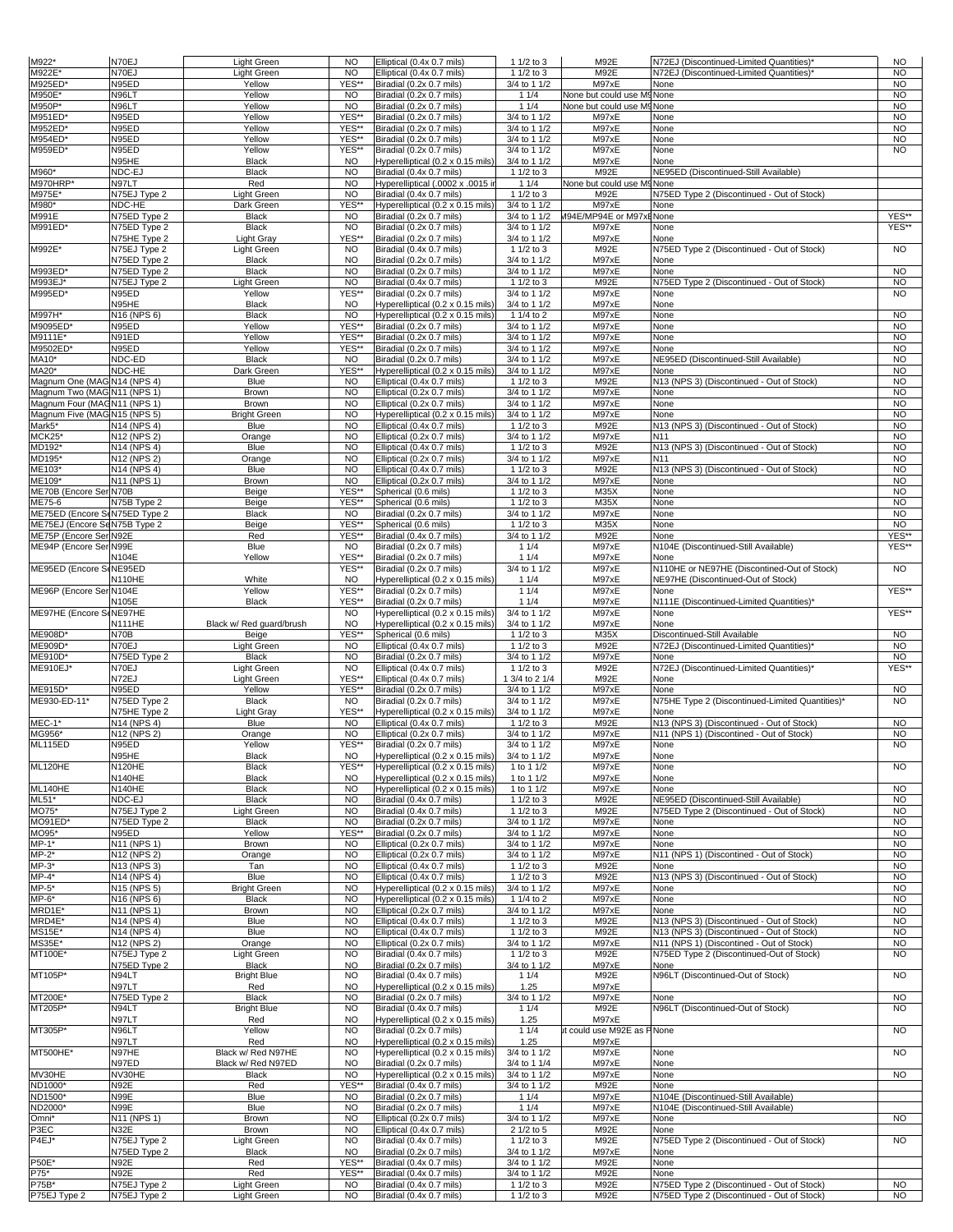| M922*                          | N70EJ                   | Light Green              | <b>NO</b> | Elliptical (0.4x 0.7 mils)        | 1 1/2 to 3               | M92E                        | N72EJ (Discontinued-Limited Quantities)'        | <b>NO</b>              |
|--------------------------------|-------------------------|--------------------------|-----------|-----------------------------------|--------------------------|-----------------------------|-------------------------------------------------|------------------------|
| M922E*                         | N70EJ                   | Light Green              | <b>NO</b> | Elliptical (0.4x 0.7 mils)        | 1 1/2 to 3               | M92E                        | N72EJ (Discontinued-Limited Quantities)'        | <b>NO</b>              |
| M925ED                         | N95ED                   | Yellow                   | YES*'     | Biradial (0.2x 0.7 mils)          | 3/4 to 1 1/2             | M97xE                       | None                                            | <b>NO</b>              |
| M950E*                         | N96LT                   | Yellow                   | <b>NO</b> | Biradial (0.2x 0.7 mils)          | 11/4                     |                             |                                                 | <b>NO</b>              |
|                                |                         |                          |           |                                   |                          | None but could use M9 None  |                                                 |                        |
| M950P*                         | N96LT                   | Yellow                   | <b>NO</b> | Biradial (0.2x 0.7 mils)          | 11/4                     | None but could use M9 None  |                                                 | <b>NO</b><br><b>NO</b> |
| M951ED*                        | N95ED                   | Yellow                   | YES*      | Biradial (0.2x 0.7 mils)          | 3/4 to 1 1/2             | M97xE                       | None                                            |                        |
| M952ED'                        | N95ED                   | Yellow                   | YES**     | Biradial (0.2x 0.7 mils)          | 3/4 to 1 1/2             | M97xE                       | None                                            | <b>NO</b>              |
| M954ED'                        | N95ED                   | Yellow                   | YES**     | Biradial (0.2x 0.7 mils)          | 3/4 to 1 1/2             | M97xE                       | None                                            | <b>NO</b>              |
| M959ED*                        | N95ED                   | Yellow                   | YES*'     | Biradial (0.2x 0.7 mils)          | 3/4 to 1 1/2             | M97xE                       | None                                            | <b>NO</b>              |
|                                | N95HE                   | Black                    | <b>NO</b> | Hyperelliptical (0.2 x 0.15 mils) | 3/4 to 1 1/2             | M97xE                       | None                                            |                        |
| M960*                          | NDC-EJ                  | <b>Black</b>             | <b>NO</b> | Biradial (0.4x 0.7 mils)          | 1 1/2 to 3               | M92E                        | NE95ED (Discontinued-Still Available)           |                        |
| M970HRP*                       | N97LT                   | Red                      | <b>NO</b> | Hyperelliptical (.0002 x .0015 i  | 11/4                     | None but could use M9 None  |                                                 |                        |
| M975E*                         | N75EJ Type 2            | Light Green              | <b>NO</b> | Biradial (0.4x 0.7 mils)          | 1 1/2 to 3               | M92E                        | N75ED Type 2 (Discontinued - Out of Stock)      |                        |
| M980*                          | NDC-HE                  | Dark Green               | YES*'     | Hyperelliptical (0.2 x 0.15 mils) | 3/4 to 1 1/2             | M97xE                       | None                                            |                        |
| M991E                          | N75ED Type 2            | <b>Black</b>             | <b>NO</b> | Biradial (0.2x 0.7 mils)          | 3/4 to 1 1/2             | 094E/MP94E or M97xENone     |                                                 | YES**                  |
| M991ED*                        | N75ED Type 2            | <b>Black</b>             | <b>NO</b> | Biradial (0.2x 0.7 mils)          | 3/4 to 1 1/2             | M97xE                       | None                                            | YES**                  |
|                                | N75HE Type 2            | <b>Light Gray</b>        | YES**     | Biradial (0.2x 0.7 mils)          | 3/4 to 1 1/2             | M97xE                       | None                                            |                        |
| M992E*                         | N75EJ Type 2            | <b>Light Green</b>       | <b>NO</b> | Biradial (0.4x 0.7 mils)          | 1 1/2 to 3               | M92E                        | N75ED Type 2 (Discontinued - Out of Stock)      | <b>NO</b>              |
|                                | N75ED Type 2            | Black                    | <b>NO</b> | Biradial (0.2x 0.7 mils)          | 3/4 to 1 1/2             | M97xE                       | None                                            |                        |
| M993ED'                        | N75ED Type 2            | <b>Black</b>             | <b>NO</b> | Biradial (0.2x 0.7 mils)          | 3/4 to 1 1/2             | M97xE                       | None                                            | <b>NO</b>              |
| M993EJ*                        | N75EJ Type 2            | Light Green              | <b>NO</b> | Biradial (0.4x 0.7 mils)          | 1 1/2 to 3               | M92E                        | N75ED Type 2 (Discontinued - Out of Stock)      | <b>NO</b>              |
| M995ED*                        | N95ED                   | Yellow                   | YES*      | Biradial (0.2x 0.7 mils)          | 3/4 to 1 1/2             | M97xE                       | None                                            | <b>NO</b>              |
|                                | N95HE                   | Black                    | <b>NO</b> | Hyperelliptical (0.2 x 0.15 mils) | 3/4 to 1 1/2             | M97xE                       | None                                            |                        |
| M997H*                         | N16 (NPS 6)             | <b>Black</b>             | <b>NO</b> | Hyperelliptical (0.2 x 0.15 mils) | 1 1/4 to 2               | M97xE                       | None                                            | <b>NO</b>              |
| M9095ED'                       | N95ED                   | Yellow                   | YES**     | Biradial (0.2x 0.7 mils)          | 3/4 to 1 1/2             | M97xE                       | None                                            | <b>NO</b>              |
| M9111E*                        | N91ED                   | Yellow                   | YES**     | Biradial (0.2x 0.7 mils)          | 3/4 to 1 1/2             | M97xE                       | None                                            | <b>NO</b>              |
| <b>M9502ED</b> *               | N95ED                   | Yellow                   | YES**     | Biradial (0.2x 0.7 mils)          | 3/4 to 1 1/2             | M97xE                       | None                                            | <b>NO</b>              |
| MA10*                          | NDC-ED                  | <b>Black</b>             | <b>NO</b> | Biradial (0.2x 0.7 mils)          | 3/4 to 1 1/2             | M97xE                       | NE95ED (Discontinued-Still Available)           | <b>NO</b>              |
| MA20*                          | NDC-HE                  | Dark Green               | YES*      | Hyperelliptical (0.2 x 0.15 mils) | 3/4 to 1 1/2             | M97xE                       | None                                            | <b>NO</b>              |
| Magnum One (MAG N14 (NPS 4)    |                         | Blue                     | <b>NO</b> | Elliptical (0.4x 0.7 mils)        | 1 1/2 to 3               | M92E                        | N13 (NPS 3) (Discontinued - Out of Stock)       | <b>NO</b>              |
| Magnum Two (MAG N11 (NPS 1)    |                         | Brown                    | <b>NO</b> | Elliptical (0.2x 0.7 mils)        | 3/4 to 1 1/2             | M97xE                       | None                                            | <b>NO</b>              |
| Magnum Four (MAGN11 (NPS 1)    |                         | Brown                    | <b>NO</b> | Elliptical (0.2x 0.7 mils)        | 3/4 to 1 1/2             | M97xE                       | None                                            | <b>NO</b>              |
| Magnum Five (MAG N15 (NPS 5)   |                         | <b>Bright Green</b>      | <b>NO</b> | Hyperelliptical (0.2 x 0.15 mils) | 3/4 to 1 1/2             | M97xE                       | None                                            | <b>NO</b>              |
| Mark5*                         | N14 (NPS 4)             | Blue                     | <b>NO</b> | Elliptical (0.4x 0.7 mils)        | 1 1/2 to 3               | M92E                        | N13 (NPS 3) (Discontinued - Out of Stock)       | <b>NO</b>              |
| MCK25*                         | N12 (NPS 2)             | Orange                   | <b>NO</b> | Elliptical (0.2x 0.7 mils)        | 3/4 to 1 1/2             | M97xE                       | N <sub>11</sub>                                 | <b>NO</b>              |
| MD192*                         | N14 (NPS 4)             | Blue                     | <b>NO</b> | Elliptical (0.4x 0.7 mils)        | 1 1/2 to 3               | M92E                        | N13 (NPS 3) (Discontinued - Out of Stock)       | <b>NO</b>              |
|                                |                         |                          | <b>NO</b> |                                   |                          |                             |                                                 | <b>NO</b>              |
| MD195*                         | N12 (NPS 2)             | Orange                   |           | Elliptical (0.2x 0.7 mils)        | 3/4 to 1 1/2             | M97xE                       | N11                                             |                        |
| ME103*                         | N14 (NPS 4)             | Blue                     | <b>NO</b> | Elliptical (0.4x 0.7 mils)        | 1 1/2 to 3               | M92E                        | N13 (NPS 3) (Discontinued - Out of Stock)       | <b>NO</b><br><b>NO</b> |
| ME109*                         | N11 (NPS 1)             | Brown                    | <b>NO</b> | Elliptical (0.2x 0.7 mils)        | 3/4 to 1 1/2             | M97xE                       | None                                            |                        |
| ME70B (Encore Ser N70B         |                         | Beige                    | YES**     | Spherical (0.6 mils)              | 1 1/2 to 3               | M35X                        | None                                            | <b>NO</b>              |
| ME75-6                         | N75B Type 2             | Beige                    | YES**     | Spherical (0.6 mils)              | 1 1/2 to 3               | M35X                        | None                                            | <b>NO</b>              |
| ME75ED (Encore ScN75ED Type 2  |                         | Black                    | <b>NO</b> | Biradial (0.2x 0.7 mils)          | 3/4 to 1 1/2             | M97xE                       | None                                            | <b>NO</b>              |
| ME75EJ (Encore SeN75B Type 2   |                         | Beige                    | YES**     | Spherical (0.6 mils)              | 1 1/2 to 3               | M35X                        | None                                            | <b>NO</b>              |
| <b>ME75P (Encore Ser N92E)</b> |                         | Red                      | YES**     | Biradial (0.4x 0.7 mils)          | $3/4$ to 1 $\frac{1}{2}$ | M92E                        | None                                            | YES**                  |
| ME94P (Encore Ser N99E         |                         | Blue                     | <b>NO</b> | Biradial (0.2x 0.7 mils)          | 11/4                     | M97xE                       | N104E (Discontinued-Still Available)            | YES**                  |
|                                | N104E                   | Yellow                   | YES**     | Biradial (0.2x 0.7 mils)          | 11/4                     | M97xE                       | None                                            |                        |
| ME95ED (Encore ScNE95ED        |                         |                          | YES**     | Biradial (0.2x 0.7 mils)          | 3/4 to 1 1/2             | M97xE                       | N110HE or NE97HE (Discontined-Out of Stock)     | <b>NO</b>              |
|                                | N110HE                  | White                    | <b>NO</b> | Hyperelliptical (0.2 x 0.15 mils) | 11/4                     | M97xE                       | NE97HE (Discontinued-Out of Stock)              |                        |
| ME96P (Encore Ser N104E        |                         | Yellow                   | YES*      | Biradial (0.2x 0.7 mils)          | 11/4                     | M97xE                       | None                                            | YES**                  |
|                                | N105E                   | Black                    | YES**     | Biradial (0.2x 0.7 mils)          | 11/4                     | M97xE                       | N111E (Discontinued-Limited Quantities)*        |                        |
| ME97HE (Encore ScNE97HE        |                         |                          | <b>NO</b> | Hyperelliptical (0.2 x 0.15 mils) | 3/4 to 1 1/2             | M97xE                       | None                                            | YES**                  |
|                                | N111HE                  | Black w/ Red guard/brush | <b>NO</b> | Hyperelliptical (0.2 x 0.15 mils) | 3/4 to 1 1/2             | M97xE                       | None                                            |                        |
| <b>ME908D*</b>                 | N70B                    | Beige                    | YES*'     | Spherical (0.6 mils)              | 1 1/2 to 3               | M35X                        | Discontinued-Still Available                    | <b>NO</b>              |
| ME909D*                        | N70EJ                   | Light Green              | <b>NO</b> | Elliptical (0.4x 0.7 mils)        | 1 $1/2$ to 3             | M92E                        | N72EJ (Discontinued-Limited Quantities)*        | <b>NO</b>              |
| ME910D*                        | N75ED Type 2            | Black                    | <b>NO</b> | Biradial (0.2x 0.7 mils)          | 3/4 to 1 1/2             | M97xE                       | None                                            | <b>NO</b>              |
| ME910EJ*                       | N70EJ                   | Light Green              | NO        | Elliptical (0.4x 0.7 mils)        | 1 1/2 to 3               | M92E                        | N72EJ (Discontinued-Limited Quantities)*        | YES**                  |
|                                | N72EJ                   | <b>Light Green</b>       | YES**     | Elliptical (0.4x 0.7 mils)        | 1 3/4 to 2 1/4           | M92E                        | None                                            |                        |
| ME915D*                        | N95ED                   | Yellow                   | YES**     | Biradial (0.2x 0.7 mils)          | 3/4 to 1 1/2             | M97xE                       | None                                            | <b>NO</b>              |
| ME930-ED-11*                   | N75ED Type 2            | <b>Black</b>             | <b>NO</b> | Biradial (0.2x 0.7 mils)          | 3/4 to 1 1/2             | M97xE                       | N75HE Type 2 (Discontinued-Limited Quantities)* | <b>NO</b>              |
|                                | N75HE Type 2            | <b>Light Gray</b>        | YES**     | Hyperelliptical (0.2 x 0.15 mils) | 3/4 to 1 1/2             | M97xE                       | None                                            |                        |
| $MEC-1*$                       | N14 (NPS 4)             | Blue                     | <b>NO</b> | Elliptical (0.4x 0.7 mils)        | $11/2$ to 3              | M92E                        | N13 (NPS 3) (Discontinued - Out of Stock)       | <b>NO</b>              |
| MG956*                         | N12 (NPS 2)             | Orange                   | <b>NO</b> | Elliptical (0.2x 0.7 mils)        | 3/4 to 1 1/2             | M97xE                       | N11 (NPS 1) (Discontined - Out of Stock)        | <b>NO</b>              |
| <b>ML115ED</b>                 | N95ED                   | Yellow                   | YES**     | Biradial (0.2x 0.7 mils)          | 3/4 to 1 1/2             | M97xE                       | None                                            | <b>NO</b>              |
|                                | N95HE                   | Black                    | NO        | Hyperelliptical (0.2 x 0.15 mils) | 3/4 to 1 1/2             | M97xE                       | None                                            |                        |
| ML120HE                        |                         |                          | YES**     |                                   |                          |                             |                                                 | <b>NO</b>              |
|                                | <b>N120HE</b><br>N140HE | <b>Black</b>             | <b>NO</b> | Hyperelliptical (0.2 x 0.15 mils) | 1 to 1 1/2               | M97xE                       | None                                            |                        |
|                                |                         | Black                    |           | Hyperelliptical (0.2 x 0.15 mils) | 1 to 1 1/2               | M97xE                       | None                                            |                        |
| ML140HE                        | N140HE                  | <b>Black</b>             | NO.       | Hyperelliptical (0.2 x 0.15 mils) | 1 to 1 1/2               | M97xE                       | None                                            | <b>NO</b>              |
| ML51*                          | NDC-EJ                  | <b>Black</b>             | <b>NO</b> | Biradial (0.4x 0.7 mils)          | 1 1/2 to 3               | M92E                        | NE95ED (Discontinued-Still Available)           | <b>NO</b>              |
| MO75*                          | N75EJ Type 2            | Light Green              | <b>NO</b> | Biradial (0.4x 0.7 mils)          | 1 1/2 to 3               | M92E                        | N75ED Type 2 (Discontinued - Out of Stock)      | <b>NO</b>              |
| MO91ED*                        | N75ED Type 2            | Black                    | <b>NO</b> | Biradial (0.2x 0.7 mils)          | 3/4 to 1 1/2             | M97xE                       | None                                            | <b>NO</b>              |
| MO95*                          | N95ED                   | Yellow                   | YES**     | Biradial (0.2x 0.7 mils)          | 3/4 to 1 1/2             | M97xE                       | None                                            | <b>NO</b>              |
| MP-1*                          | N11 (NPS 1)             | Brown                    | <b>NO</b> | Elliptical (0.2x 0.7 mils)        | 3/4 to 1 1/2             | M97xE                       | None                                            | <b>NO</b>              |
| $MP-2*$                        | N12 (NPS 2)             | Orange                   | <b>NO</b> | Elliptical (0.2x 0.7 mils)        | 3/4 to 1 1/2             | M97xE                       | N11 (NPS 1) (Discontined - Out of Stock)        | <b>NO</b>              |
| $MP-3*$                        | N13 (NPS 3)             | Tan                      | <b>NO</b> | Elliptical (0.4x 0.7 mils)        | 1 1/2 to 3               | M92E                        | None                                            | <b>NO</b>              |
| $MP-4*$                        | N14 (NPS 4)             | Blue                     | <b>NO</b> | Elliptical (0.4x 0.7 mils)        | 1 1/2 to 3               | M92E                        | N13 (NPS 3) (Discontinued - Out of Stock)       | <b>NO</b>              |
| $MP-5*$                        | N15 (NPS 5)             | <b>Bright Green</b>      | <b>NO</b> | Hyperelliptical (0.2 x 0.15 mils) | 3/4 to 1 1/2             | M97xE                       | None                                            | <b>NO</b>              |
| $MP-6*$                        | N16 (NPS 6)             | <b>Black</b>             | <b>NO</b> | Hyperelliptical (0.2 x 0.15 mils) | 1 1/4 to 2               | M97xE                       | None                                            | <b>NO</b>              |
| MRD1E*                         | N11 (NPS 1)             | Brown                    | <b>NO</b> | Elliptical (0.2x 0.7 mils)        | 3/4 to 1 1/2             | M97xE                       | None                                            | <b>NO</b>              |
| MRD4E*                         | N14 (NPS 4)             | Blue                     | <b>NO</b> | Elliptical (0.4x 0.7 mils)        | 1 1/2 to 3               | M92E                        | N13 (NPS 3) (Discontinued - Out of Stock)       | <b>NO</b>              |
| <b>MS15E*</b>                  | N14 (NPS 4)             | Blue                     | <b>NO</b> | Elliptical (0.4x 0.7 mils)        | 1 1/2 to 3               | M92E                        | N13 (NPS 3) (Discontinued - Out of Stock)       | <b>NO</b>              |
| <b>MS35E*</b>                  | N12 (NPS 2)             | Orange                   | <b>NO</b> | Elliptical (0.2x 0.7 mils)        | 3/4 to 1 1/2             | M97xE                       | N11 (NPS 1) (Discontined - Out of Stock)        | <b>NO</b>              |
| MT100E*                        | N75EJ Type 2            | Light Green              | <b>NO</b> | Biradial (0.4x 0.7 mils)          | 1 1/2 to 3               | M92E                        | N75ED Type 2 (Discontinued-Out of Stock)        | <b>NO</b>              |
|                                | N75ED Type 2            | Black                    | <b>NO</b> | Biradial (0.2x 0.7 mils)          | 3/4 to 1 1/2             | M97xE                       | None                                            |                        |
| MT105P*                        | N94LT                   | Bright Blue              | <b>NO</b> | Biradial (0.4x 0.7 mils)          | 11/4                     | M92E                        | N96LT (Discontinued-Out of Stock)               | <b>NO</b>              |
|                                | N97LT                   | Red                      | <b>NO</b> | Hyperelliptical (0.2 x 0.15 mils) | 1.25                     | M97xE                       |                                                 |                        |
| MT200E*                        | N75ED Type 2            | <b>Black</b>             | <b>NO</b> | Biradial (0.2x 0.7 mils)          | 3/4 to 1 1/2             | M97xE                       | None                                            | <b>NO</b>              |
| MT205P*                        | N94LT                   | <b>Bright Blue</b>       | NO.       | Biradial (0.4x 0.7 mils)          | 11/4                     | M92E                        | N96LT (Discontinued-Out of Stock)               | NO.                    |
|                                | N97LT                   | Red                      | <b>NO</b> | Hyperelliptical (0.2 x 0.15 mils) | 1.25                     | M97xE                       |                                                 |                        |
| MT305P*                        | N96LT                   | Yellow                   | <b>NO</b> | Biradial (0.2x 0.7 mils)          | 11/4                     | it could use M92E as P None |                                                 | <b>NO</b>              |
|                                | N97LT                   | Red                      | <b>NO</b> | Hyperelliptical (0.2 x 0.15 mils) | 1.25                     | M97xE                       |                                                 |                        |
| MT500HE*                       | N97HE                   | Black w/ Red N97HE       | <b>NO</b> | Hyperelliptical (0.2 x 0.15 mils) | 3/4 to 1 1/2             | M97xE                       | None                                            | <b>NO</b>              |
|                                | N97ED                   | Black w/ Red N97ED       | <b>NO</b> | Biradial (0.2x 0.7 mils)          | 3/4 to 1 1/4             | M97xE                       | None                                            |                        |
| MV30HE                         | NV30HE                  | <b>Black</b>             | <b>NO</b> | Hyperelliptical (0.2 x 0.15 mils) | 3/4 to 1 1/2             | M97xE                       | None                                            | <b>NO</b>              |
| ND1000*                        | N92E                    | Red                      | YES**     | Biradial (0.4x 0.7 mils)          | 3/4 to 1 1/2             | M92E                        | None                                            |                        |
| ND1500*                        | <b>N99E</b>             | Blue                     | NO.       | Biradial (0.2x 0.7 mils)          | 11/4                     | M97xE                       | N104E (Discontinued-Still Available)            |                        |
| ND2000*                        | <b>N99E</b>             | Blue                     | <b>NO</b> | Biradial (0.2x 0.7 mils)          | 11/4                     | M97xE                       | N104E (Discontinued-Still Available)            |                        |
| Omni*                          | N11 (NPS 1)             | Brown                    | <b>NO</b> | Elliptical (0.2x 0.7 mils)        | 3/4 to 1 1/2             | M97xE                       | None                                            | <b>NO</b>              |
| P3EC                           | <b>N32E</b>             | Brown                    | <b>NO</b> | Elliptical (0.4x 0.7 mils)        | 2 1/2 to 5               | M92E                        | None                                            |                        |
| P4EJ*                          | N75EJ Type 2            | Light Green              | <b>NO</b> | Biradial (0.4x 0.7 mils)          | 1 $1/2$ to 3             | M92E                        | N75ED Type 2 (Discontinued - Out of Stock)      | <b>NO</b>              |
|                                | N75ED Type 2            | Black                    | <b>NO</b> | Biradial (0.2x 0.7 mils)          | 3/4 to 1 1/2             | M97xE                       | None                                            |                        |
| P50E*                          | <b>N92E</b>             | Red                      | YES*      | Biradial (0.4x 0.7 mils)          | 3/4 to 1 1/2             | M92E                        | None                                            |                        |
| P75*                           | <b>N92E</b>             | Red                      | YES**     | Biradial (0.4x 0.7 mils)          | 3/4 to 1 1/2             | M92E                        | None                                            |                        |
| P75B*                          | N75EJ Type 2            | Light Green              | <b>NO</b> | Biradial (0.4x 0.7 mils)          | 1 1/2 to 3               | M92E                        | N75ED Type 2 (Discontinued - Out of Stock)      | <b>NO</b>              |
| P75EJ Type 2                   | N75EJ Type 2            | Light Green              | NO.       | Biradial (0.4x 0.7 mils)          | 1 1/2 to 3               | M92E                        | N75ED Type 2 (Discontinued - Out of Stock)      | <b>NO</b>              |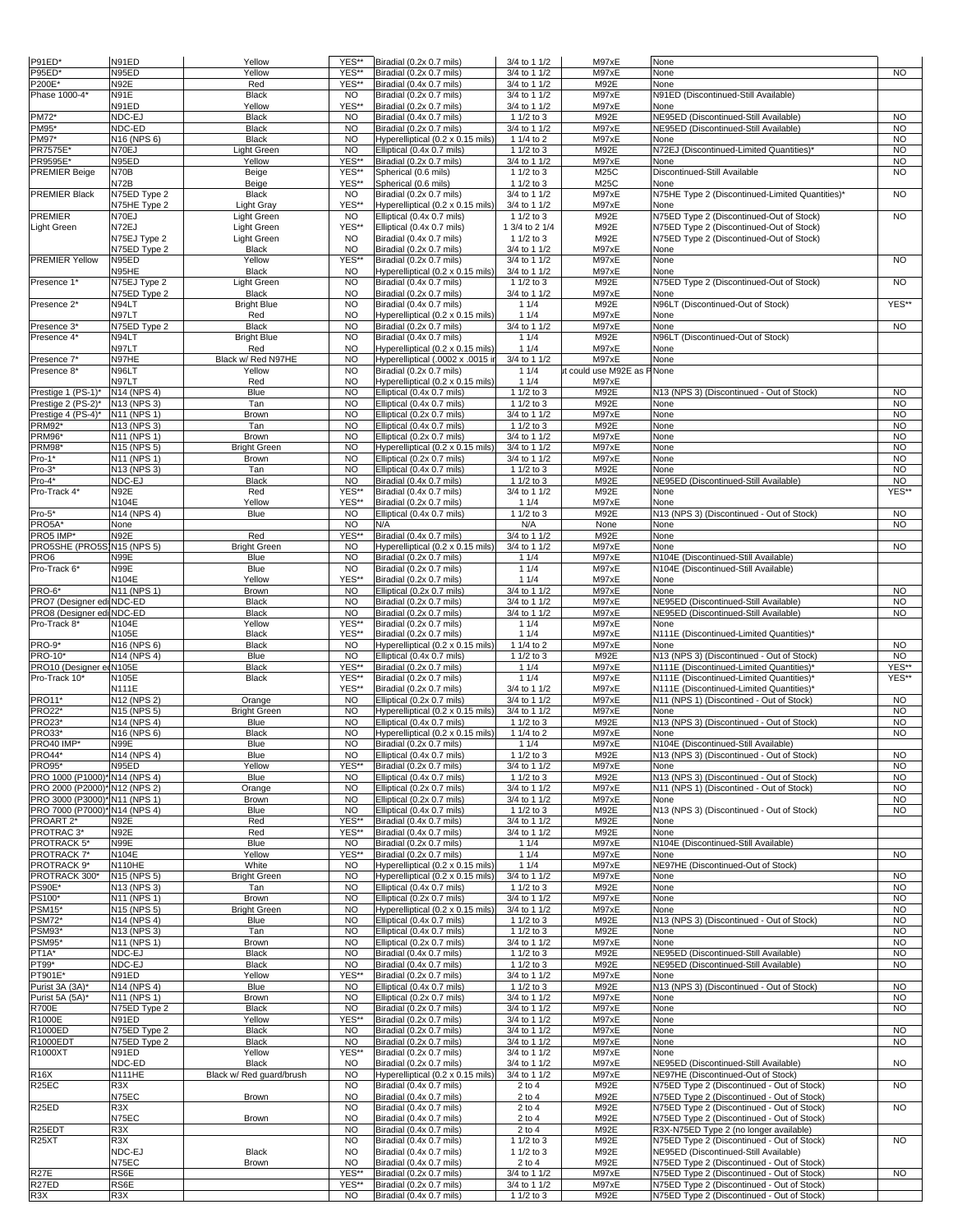| P91ED*                                                 | N91ED                        | Yellow                            | YES**                   | Biradial (0.2x 0.7 mils)                                        | 3/4 to 1 1/2                                | M97xE                                | None                                                                                 |                        |
|--------------------------------------------------------|------------------------------|-----------------------------------|-------------------------|-----------------------------------------------------------------|---------------------------------------------|--------------------------------------|--------------------------------------------------------------------------------------|------------------------|
| P95ED*                                                 | N95ED                        | Yellow                            | YES**                   | Biradial (0.2x 0.7 mils)                                        | 3/4 to 1 1/2                                | M97xE                                | None                                                                                 | <b>NO</b>              |
| P200E*                                                 | N92E                         | Red                               | YES*                    | Biradial (0.4x 0.7 mils)                                        | 3/4 to 1 1/2                                | M92E                                 | None                                                                                 |                        |
| Phase 1000-4*                                          | <b>N91E</b>                  | <b>Black</b>                      | <b>NO</b>               | Biradial (0.2x 0.7 mils)                                        | 3/4 to 1 1/2                                | M97xE                                | N91ED (Discontinued-Still Available)                                                 |                        |
|                                                        | N91ED                        | Yellow                            | YES**                   | Biradial (0.2x 0.7 mils)                                        | 3/4 to 1 1/2                                | M97xE                                | None                                                                                 |                        |
| PM72*                                                  | NDC-EJ                       | <b>Black</b>                      | <b>NO</b>               | Biradial (0.4x 0.7 mils)                                        | 1 1/2 to 3                                  | M92E                                 | NE95ED (Discontinued-Still Available)                                                | <b>NO</b>              |
| PM95*<br>PM97*                                         | NDC-ED<br>N16 (NPS 6)        | <b>Black</b><br>Black             | <b>NO</b><br><b>NO</b>  | Biradial (0.2x 0.7 mils)<br>Hyperelliptical (0.2 x 0.15 mils)   | 3/4 to 1 1/2<br>1 1/4 to 2                  | M97xE<br>M97xE                       | NE95ED (Discontinued-Still Available)<br>None                                        | <b>NO</b><br><b>NO</b> |
| PR7575E*                                               | N70EJ                        | Light Green                       | <b>NO</b>               | Elliptical (0.4x 0.7 mils)                                      | 1 1/2 to 3                                  | M92E                                 | N72EJ (Discontinued-Limited Quantities)*                                             | <b>NO</b>              |
| PR9595E                                                | N95ED                        | Yellow                            | YES**                   | Biradial (0.2x 0.7 mils)                                        | 3/4 to 1 1/2                                | M97xE                                | None                                                                                 | <b>NO</b>              |
| <b>PREMIER Beige</b>                                   | N70B                         | Beige                             | YES*                    | Spherical (0.6 mils)                                            | 1 1/2 to 3                                  | M25C                                 | Discontinued-Still Available                                                         | <b>NO</b>              |
|                                                        | N72B                         | Beige                             | YES**                   | Spherical (0.6 mils)                                            | 1 1/2 to 3                                  | M25C                                 | None                                                                                 |                        |
| <b>PREMIER Black</b>                                   | N75ED Type 2                 | <b>Black</b>                      | <b>NO</b>               | Biradial (0.2x 0.7 mils)                                        | 3/4 to 1 1/2                                | M97xE                                | N75HE Type 2 (Discontinued-Limited Quantities)*                                      | <b>NO</b>              |
| <b>PREMIER</b>                                         | N75HE Type 2<br>N70EJ        | <b>Light Gray</b><br>Light Green  | YES**<br>N <sub>O</sub> | Hyperelliptical (0.2 x 0.15 mils)<br>Elliptical (0.4x 0.7 mils) | 3/4 to 1 1/2<br>1 1/2 to 3                  | M97xE<br>M92E                        | None<br>N75ED Type 2 (Discontinued-Out of Stock)                                     | <b>NO</b>              |
| Light Green                                            | N72EJ                        | Light Green                       | YES**                   | Elliptical (0.4x 0.7 mils)                                      | 1 3/4 to 2 1/4                              | M92E                                 | N75ED Type 2 (Discontinued-Out of Stock)                                             |                        |
|                                                        | N75EJ Type 2                 | Light Green                       | <b>NO</b>               | Biradial (0.4x 0.7 mils)                                        | 1 1/2 to 3                                  | M92E                                 | N75ED Type 2 (Discontinued-Out of Stock)                                             |                        |
|                                                        | N75ED Type 2                 | <b>Black</b>                      | NO                      | Biradial (0.2x 0.7 mils)                                        | 3/4 to 1 1/2                                | M97xE                                | None                                                                                 |                        |
| <b>PREMIER Yellow</b>                                  | N95ED                        | Yellow                            | YES*                    | Biradial (0.2x 0.7 mils)                                        | 3/4 to 1 1/2                                | M97xE                                | None                                                                                 | <b>NO</b>              |
|                                                        | N95HE                        | <b>Black</b>                      | NO                      | Hyperelliptical (0.2 x 0.15 mils)                               | 3/4 to 1 1/2                                | M97xE                                | None                                                                                 |                        |
| Presence 1*                                            | N75EJ Type 2<br>N75ED Type 2 | Light Green<br>Black              | <b>NO</b><br><b>NO</b>  | Biradial (0.4x 0.7 mils)<br>Biradial (0.2x 0.7 mils)            | 1 1/2 to 3<br>3/4 to 1 1/2                  | M92E<br>M97xE                        | N75ED Type 2 (Discontinued-Out of Stock)<br>None                                     | <b>NO</b>              |
| Presence 2*                                            | N94LT                        | <b>Bright Blue</b>                | NO                      | Biradial (0.4x 0.7 mils)                                        | 11/4                                        | M92E                                 | N96LT (Discontinued-Out of Stock)                                                    | YES**                  |
|                                                        | N97LT                        | Red                               | <b>NO</b>               | Hyperelliptical (0.2 x 0.15 mils)                               | 11/4                                        | M97xE                                | None                                                                                 |                        |
| Presence 3*                                            | N75ED Type 2                 | <b>Black</b>                      | <b>NO</b>               | Biradial (0.2x 0.7 mils)                                        | 3/4 to 1 1/2                                | M97xE                                | None                                                                                 | <b>NO</b>              |
| Presence 4*                                            | N94LT                        | <b>Bright Blue</b>                | NO                      | Biradial (0.4x 0.7 mils)                                        | 11/4                                        | M92E                                 | N96LT (Discontinued-Out of Stock)                                                    |                        |
|                                                        | N97LT                        | Red                               | <b>NO</b>               | Hyperelliptical (0.2 x 0.15 mils)                               | 11/4                                        | M97xE                                | None                                                                                 |                        |
| Presence 7*<br>Presence 8*                             | N97HE<br>N96LT               | Black w/ Red N97HE<br>Yellow      | NO<br><b>NO</b>         | Hyperelliptical (.0002 x .0015 in<br>Biradial (0.2x 0.7 mils)   | 3/4 to 1 1/2<br>11/4                        | M97xE<br>it could use M92E as P None | None                                                                                 |                        |
|                                                        | N97LT                        | Red                               | NO                      | Hyperelliptical (0.2 x 0.15 mils)                               | 11/4                                        | M97xE                                |                                                                                      |                        |
| Prestige 1 (PS-1)*                                     | N14 (NPS 4)                  | Blue                              | <b>NO</b>               | Elliptical (0.4x 0.7 mils)                                      | 1 1/2 to 3                                  | M92E                                 | N13 (NPS 3) (Discontinued - Out of Stock)                                            | <b>NO</b>              |
| Prestige 2 (PS-2)*                                     | N13 (NPS 3)                  | Tan                               | <b>NO</b>               | Elliptical (0.4x 0.7 mils)                                      | 1 1/2 to 3                                  | M92E                                 | None                                                                                 | <b>NO</b>              |
| Prestige 4 (PS-4)*                                     | N11 (NPS 1)                  | Brown                             | NO                      | Elliptical (0.2x 0.7 mils)                                      | 3/4 to 1 1/2                                | M97xE                                | None                                                                                 | <b>NO</b>              |
| PRM92*                                                 | N13 (NPS 3)                  | Tan                               | NO                      | Elliptical (0.4x 0.7 mils)                                      | 1 1/2 to 3                                  | M92E                                 | None                                                                                 | <b>NO</b>              |
| PRM96*                                                 | N11 (NPS 1)                  | Brown                             | NO<br><b>NO</b>         | Elliptical (0.2x 0.7 mils)                                      | 3/4 to 1 1/2                                | M97xE                                | None                                                                                 | <b>NO</b><br><b>NO</b> |
| PRM98'<br>$Pro-1*$                                     | N15 (NPS 5)<br>N11 (NPS 1)   | <b>Bright Green</b><br>Brown      | NO                      | Hyperelliptical (0.2 x 0.15 mils)<br>Elliptical (0.2x 0.7 mils) | $3/4$ to 1 $\frac{1}{2}$<br>3/4 to 1 1/2    | M97xE<br>M97xE                       | None<br>None                                                                         | <b>NO</b>              |
| $Pro-3*$                                               | N13 (NPS 3)                  | Tan                               | NO.                     | Elliptical (0.4x 0.7 mils)                                      | $11/2$ to 3                                 | M92E                                 | None                                                                                 | <b>NO</b>              |
| ro-4*                                                  | NDC-EJ                       | <b>Black</b>                      | <b>NO</b>               | Biradial (0.4x 0.7 mils)                                        | 1 1/2 to 3                                  | M92E                                 | NE95ED (Discontinued-Still Available)                                                | <b>NO</b>              |
| Pro-Track 4*                                           | N92E                         | Red                               | YES*                    | Biradial (0.4x 0.7 mils)                                        | 3/4 to 1 1/2                                | M92E                                 | None                                                                                 | YES**                  |
|                                                        | N104E                        | Yellow                            | YES**                   | Biradial (0.2x 0.7 mils)                                        | 11/4                                        | M97xE                                | None                                                                                 |                        |
| Pro-5*                                                 | N14 (NPS 4)                  | Blue                              | <b>NO</b>               | Elliptical (0.4x 0.7 mils)                                      | 1 1/2 to 3                                  | M92E                                 | N13 (NPS 3) (Discontinued - Out of Stock)                                            | <b>NO</b>              |
| PRO5A*<br>PRO5 IMP*                                    | None<br>N92E                 | Red                               | <b>NO</b><br>YES**      | N/A<br>Biradial (0.4x 0.7 mils)                                 | N/A<br>3/4 to 1 1/2                         | None<br>M92E                         | None<br>None                                                                         | <b>NO</b>              |
| <b>PRO5SHE (PRO5</b>                                   | N <sub>15</sub> (NPS 5)      | <b>Bright Green</b>               | NO                      | Hyperelliptical (0.2 x 0.15 mils)                               | 3/4 to 1 1/2                                | M97xE                                | None                                                                                 | <b>NO</b>              |
| PRO6                                                   | <b>N99E</b>                  | Blue                              | <b>NO</b>               | Biradial (0.2x 0.7 mils)                                        | 11/4                                        | M97xE                                | N104E (Discontinued-Still Available)                                                 |                        |
| Pro-Track 6*                                           | N99E                         | Blue                              | NO.                     | Biradial (0.2x 0.7 mils)                                        | 11/4                                        | M97xE                                | N104E (Discontinued-Still Available)                                                 |                        |
|                                                        | N104E                        | Yellow                            | YES**                   | Biradial (0.2x 0.7 mils)                                        | 11/4                                        | M97xE                                | None                                                                                 |                        |
| PRO-6*                                                 | N11 (NPS 1)                  | Brown                             | NO.                     | Elliptical (0.2x 0.7 mils)                                      | 3/4 to 1 1/2                                | M97xE                                | None                                                                                 | <b>NO</b>              |
| PRO7 (Designer edi NDC-ED<br>PRO8 (Designer edi NDC-ED |                              | <b>Black</b><br><b>Black</b>      | <b>NO</b><br>NO         | Biradial (0.2x 0.7 mils)<br>Biradial (0.2x 0.7 mils)            | $3/4$ to 1 $\overline{1/2}$<br>3/4 to 1 1/2 | M97xE<br>M97xE                       | NE95ED (Discontinued-Still Available)<br>NE95ED (Discontinued-Still Available)       | <b>NO</b><br><b>NO</b> |
| Pro-Track 8*                                           | N104E                        | Yellow                            | YES*                    | Biradial (0.2x 0.7 mils)                                        | 11/4                                        | M97xE                                | None                                                                                 |                        |
|                                                        | N105E                        | Black                             | YES**                   | Biradial (0.2x 0.7 mils)                                        | 11/4                                        | M97xE                                | N111E (Discontinued-Limited Quantities)*                                             |                        |
| <b>PRO-9*</b>                                          | N16 (NPS 6)                  | <b>Black</b>                      | NO.                     | Hyperelliptical (0.2 x 0.15 mils)                               | 1 1/4 to 2                                  | M97xE                                | None                                                                                 | <b>NO</b>              |
| PRO-10*                                                | N14 (NPS 4)                  | Blue                              | <b>NO</b>               | Elliptical (0.4x 0.7 mils)                                      | 1 1/2 to 3                                  | M92E                                 | N13 (NPS 3) (Discontinued - Out of Stock)                                            | <b>NO</b>              |
| PRO10 (Designer edN105E                                |                              | Black                             | YES*                    | Biradial (0.2x 0.7 mils)                                        | 11/4                                        | M97xE                                | N111E (Discontinued-Limited Quantities)                                              | YES**                  |
| Pro-Track 10*                                          | N105E<br>N111E               | <b>Black</b>                      | YES**<br>YES**          | Biradial (0.2x 0.7 mils)<br>Biradial (0.2x 0.7 mils)            | 11/4<br>3/4 to 1 1/2                        | M97xE<br>M97xE                       | N111E (Discontinued-Limited Quantities)*<br>N111E (Discontinued-Limited Quantities)* | YES**                  |
| PRO11*                                                 | N12 (NPS 2)                  | Orange                            | <b>NO</b>               | Elliptical (0.2x 0.7 mils)                                      | 3/4 to 1 1/2                                | M97xE                                | N11 (NPS 1) (Discontined - Out of Stock)                                             | <b>NO</b>              |
| PRO22*                                                 | N15 (NPS 5)                  | <b>Bright Green</b>               | <b>NO</b>               | Hyperelliptical (0.2 x 0.15 mils)                               | $\frac{1}{3}{4}$ to 1 1/2                   | M97xE                                | None                                                                                 | <b>NO</b>              |
| PRO23*                                                 | N14 (NPS 4)                  | Blue                              | <b>NO</b>               | Elliptical (0.4x 0.7 mils)                                      | 1 1/2 to 3                                  | M92E                                 | N13 (NPS 3) (Discontinued - Out of Stock)                                            | <b>NO</b>              |
| PRO33*                                                 | N16 (NPS 6)                  | <b>Black</b>                      | <b>NO</b>               | Hyperelliptical (0.2 x 0.15 mils)                               | 1 1/4 to 2                                  | M97xE                                | None                                                                                 | <b>NO</b>              |
| PRO40 IMP*                                             | <b>N99E</b>                  | Blue                              | <b>NO</b>               | Biradial (0.2x 0.7 mils)                                        | 11/4                                        | M97xE                                | N104E (Discontinued-Still Available)                                                 |                        |
| PRO44*<br><b>PRO95*</b>                                | N14 (NPS 4)<br>N95ED         | Blue<br>Yellow                    | <b>NO</b><br>YES**      | Elliptical (0.4x 0.7 mils)<br>Biradial (0.2x 0.7 mils)          | 1 1/2 to 3<br>3/4 to 1 1/2                  | M92E<br>M97xE                        | N13 (NPS 3) (Discontinued - Out of Stock)<br>None                                    | <b>NO</b><br>NO.       |
| PRO 1000 (P1000)* N14 (NPS 4)                          |                              | Blue                              | NO.                     | Elliptical (0.4x 0.7 mils)                                      | 1 1/2 to 3                                  | M92E                                 | N13 (NPS 3) (Discontinued - Out of Stock)                                            | <b>NO</b>              |
| PRO 2000 (P2000)* N12 (NPS 2)                          |                              | Orange                            | <b>NO</b>               | Elliptical (0.2x 0.7 mils)                                      | 3/4 to 1 1/2                                | M97xE                                | N11 (NPS 1) (Discontined - Out of Stock)                                             | <b>NO</b>              |
| PRO 3000 (P3000)* N11 (NPS 1)                          |                              | Brown                             | <b>NO</b>               | Elliptical (0.2x 0.7 mils)                                      | 3/4 to 1 1/2                                | M97xE                                | None                                                                                 | <b>NO</b>              |
| PRO 7000 (P7000)* N14 (NPS 4)                          |                              | Blue                              | <b>NO</b>               | Elliptical (0.4x 0.7 mils)                                      | $11/2$ to 3                                 | M92E                                 | N13 (NPS 3) (Discontinued - Out of Stock)                                            | <b>NO</b>              |
| PROART <sub>2</sub> *                                  | <b>N92E</b>                  | Red                               | YES**                   | Biradial (0.4x 0.7 mils)                                        | 3/4 to 1 1/2                                | M92E                                 | None                                                                                 |                        |
| PROTRAC 3*<br>PROTRACK 5*                              | <b>N92E</b><br>N99E          | Red<br>Blue                       | YES**<br><b>NO</b>      | Biradial (0.4x 0.7 mils)<br>Biradial (0.2x 0.7 mils)            | 3/4 to 1 1/2<br>11/4                        | M92E<br>M97xE                        | None<br>N104E (Discontinued-Still Available)                                         |                        |
| PROTRACK 7*                                            | N104E                        | Yellow                            | YES**                   | Biradial (0.2x 0.7 mils)                                        | 11/4                                        | M97xE                                | None                                                                                 | <b>NO</b>              |
| PROTRACK 9*                                            | N110HE                       | White                             | NO.                     | Hyperelliptical (0.2 x 0.15 mils)                               | 11/4                                        | M97xE                                | NE97HE (Discontinued-Out of Stock)                                                   |                        |
| PROTRACK 300°                                          | N15 (NPS 5)                  | <b>Bright Green</b>               | <b>NO</b>               | Hyperelliptical (0.2 x 0.15 mils)                               | 3/4 to 1 1/2                                | M97xE                                | None                                                                                 | <b>NO</b>              |
| PS90E*                                                 | N13 (NPS 3)                  | Tan                               | NO                      | Elliptical (0.4x 0.7 mils)                                      | 1 1/2 to 3                                  | M92E                                 | None                                                                                 | <b>NO</b>              |
| PS100*<br><b>PSM15*</b>                                | N11 (NPS 1)<br>N15 (NPS 5)   | Brown<br><b>Bright Green</b>      | NO.<br>NO.              | Elliptical (0.2x 0.7 mils)<br>Hyperelliptical (0.2 x 0.15 mils) | 3/4 to 1 1/2<br>3/4 to 1 1/2                | M97xE<br>M97xE                       | None<br>None                                                                         | NO.<br><b>NO</b>       |
| <b>PSM72*</b>                                          | N14 (NPS 4)                  | Blue                              | NO.                     | Elliptical (0.4x 0.7 mils)                                      | 1 1/2 to 3                                  | M92E                                 | N13 (NPS 3) (Discontinued - Out of Stock)                                            | <b>NO</b>              |
| PSM93*                                                 | N13 (NPS 3)                  | Tan                               | NO.                     | Elliptical (0.4x 0.7 mils)                                      | 1 1/2 to 3                                  | M92E                                 | None                                                                                 | NO.                    |
| <b>PSM95*</b>                                          | N11 (NPS 1)                  | Brown                             | <b>NO</b>               | Elliptical (0.2x 0.7 mils)                                      | 3/4 to 1 1/2                                | M97xE                                | None                                                                                 | <b>NO</b>              |
| PT <sub>1</sub> A*                                     | NDC-EJ                       | <b>Black</b>                      | NO                      | Biradial (0.4x 0.7 mils)                                        | 1 1/2 to 3                                  | M92E                                 | NE95ED (Discontinued-Still Available)                                                | <b>NO</b>              |
| PT99*                                                  | NDC-EJ                       | Black                             | NO.                     | Biradial (0.4x 0.7 mils)                                        | 1 1/2 to 3                                  | M92E                                 | NE95ED (Discontinued-Still Available)                                                | <b>NO</b>              |
| PT901E*<br>Purist 3A (3A)*                             | N91ED<br>N14 (NPS 4)         | Yellow<br>Blue                    | YES**<br>NO.            | Biradial (0.2x 0.7 mils)                                        | 3/4 to 1 1/2<br>1 1/2 to 3                  | M97xE<br>M92E                        | None<br>N13 (NPS 3) (Discontinued - Out of Stock)                                    | <b>NO</b>              |
| Purist 5A (5A)*                                        | N11 (NPS 1)                  | Brown                             | NO.                     | Elliptical (0.4x 0.7 mils)<br>Elliptical (0.2x 0.7 mils)        | 3/4 to 1 1/2                                | M97xE                                | None                                                                                 | <b>NO</b>              |
| <b>R700E</b>                                           | N75ED Type 2                 | Black                             | <b>NO</b>               | Biradial (0.2x 0.7 mils)                                        | 3/4 to 1 1/2                                | M97xE                                | None                                                                                 | NO.                    |
| R1000E                                                 | N91ED                        | Yellow                            | YES**                   | Biradial (0.2x 0.7 mils)                                        | 3/4 to 1 1/2                                | M97xE                                | None                                                                                 |                        |
| R1000ED                                                | N75ED Type 2                 | Black                             | NO.                     | Biradial (0.2x 0.7 mils)                                        | 3/4 to 1 1/2                                | M97xE                                | None                                                                                 | <b>NO</b>              |
| R1000EDT                                               | N75ED Type 2                 | Black                             | <b>NO</b>               | Biradial (0.2x 0.7 mils)                                        | 3/4 to 1 1/2                                | M97xE                                | None                                                                                 | <b>NO</b>              |
| R1000XT                                                | N91ED<br>NDC-ED              | Yellow                            | YES*<br>NO              | Biradial (0.2x 0.7 mils)<br>Biradial (0.2x 0.7 mils)            | 3/4 to 1 1/2                                | M97xE                                | None                                                                                 |                        |
| <b>R16X</b>                                            | N111HE                       | Black<br>Black w/ Red guard/brush | NO                      | Hyperelliptical (0.2 x 0.15 mils)                               | 3/4 to 1 1/2<br>3/4 to 1 1/2                | M97xE<br>M97xE                       | NE95ED (Discontinued-Still Available)<br>NE97HE (Discontinued-Out of Stock)          | NO.                    |
| R <sub>25</sub> EC                                     | R3X                          |                                   | <b>NO</b>               | Biradial (0.4x 0.7 mils)                                        | $2$ to $4$                                  | M92E                                 | N75ED Type 2 (Discontinued - Out of Stock)                                           | NO.                    |
|                                                        | N75EC                        | Brown                             | NO                      | Biradial (0.4x 0.7 mils)                                        | $2$ to $4$                                  | M92E                                 | N75ED Type 2 (Discontinued - Out of Stock)                                           |                        |
| R <sub>25</sub> ED                                     | R3X                          |                                   | NO                      | Biradial (0.4x 0.7 mils)                                        | $2$ to $4$                                  | M92E                                 | N75ED Type 2 (Discontinued - Out of Stock)                                           | <b>NO</b>              |
|                                                        | N75EC                        | Brown                             | NO.                     | Biradial (0.4x 0.7 mils)                                        | $2$ to $4$                                  | M92E                                 | N75ED Type 2 (Discontinued - Out of Stock)                                           |                        |
| R <sub>25</sub> EDT<br>R <sub>25</sub> XT              | R3X<br>R3X                   |                                   | <b>NO</b><br><b>NO</b>  | Biradial (0.4x 0.7 mils)<br>Biradial (0.4x 0.7 mils)            | $2$ to $4$<br>1 1/2 to 3                    | M92E<br>M92E                         | R3X-N75ED Type 2 (no longer available)<br>N75ED Type 2 (Discontinued - Out of Stock) | <b>NO</b>              |
|                                                        | NDC-EJ                       | Black                             | <b>NO</b>               | Biradial (0.4x 0.7 mils)                                        | 1 1/2 to 3                                  | M92E                                 | NE95ED (Discontinued-Still Available)                                                |                        |
|                                                        | N75EC                        | Brown                             | NO                      | Biradial (0.4x 0.7 mils)                                        | $2$ to $4$                                  | M92E                                 | N75ED Type 2 (Discontinued - Out of Stock)                                           |                        |
| <b>R27E</b>                                            | RS6E                         |                                   | YES*                    | Biradial (0.2x 0.7 mils)                                        | 3/4 to 1 1/2                                | M97xE                                | N75ED Type 2 (Discontinued - Out of Stock)                                           | NO.                    |
| R27ED                                                  | RS6E                         |                                   | YES**                   | Biradial (0.2x 0.7 mils)                                        | 3/4 to 1 1/2                                | M97xE                                | N75ED Type 2 (Discontinued - Out of Stock)                                           |                        |
| R3X                                                    | R3X                          |                                   | <b>NO</b>               | Biradial (0.4x 0.7 mils)                                        | 1 1/2 to 3                                  | M92E                                 | N75ED Type 2 (Discontinued - Out of Stock)                                           |                        |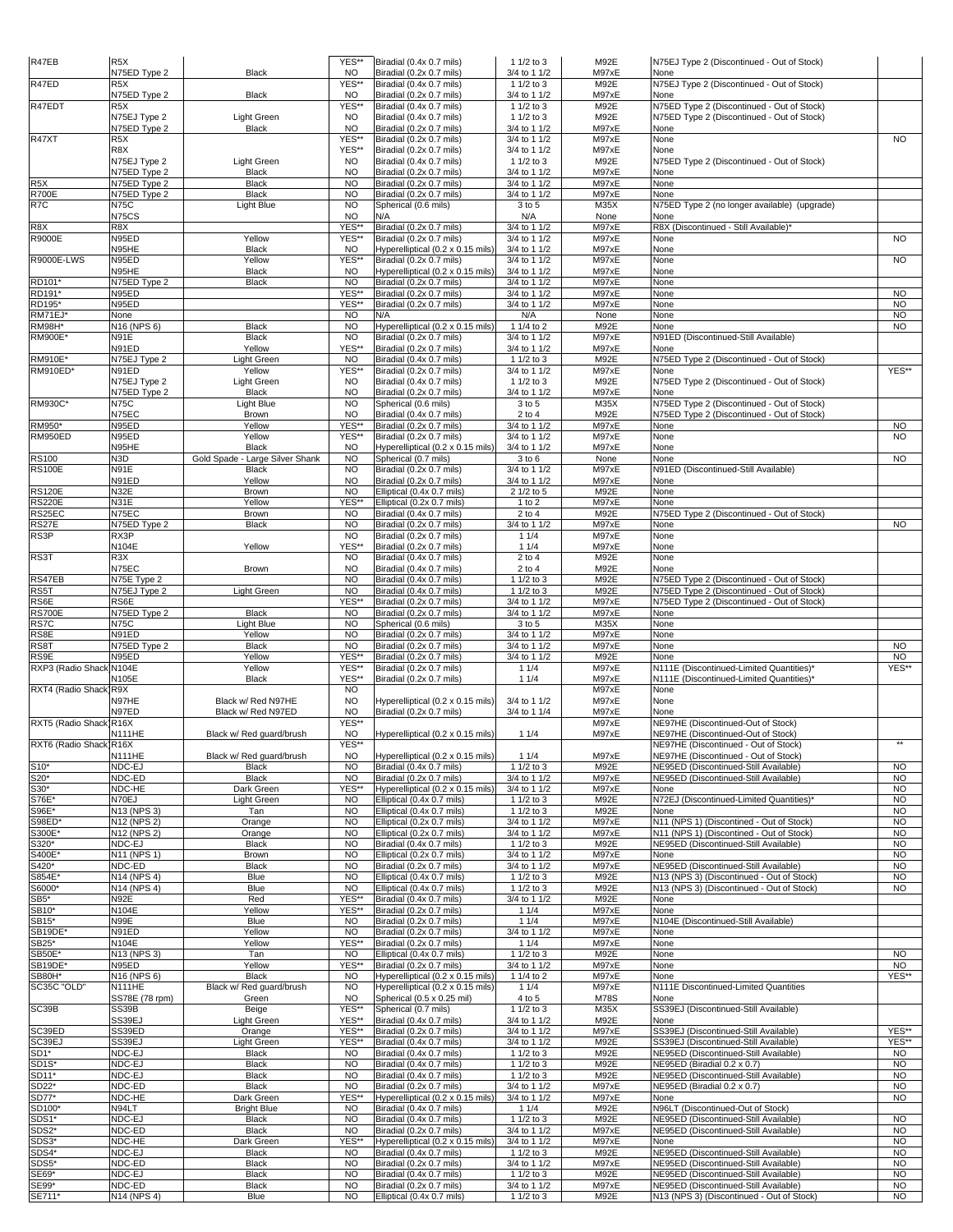| R47EB                            | R <sub>5</sub> X                 |                                          | YES**                  | Biradial (0.4x 0.7 mils)                                               | 1 1/2 to 3                                  | M92E           | N75EJ Type 2 (Discontinued - Out of Stock)                                           |                        |
|----------------------------------|----------------------------------|------------------------------------------|------------------------|------------------------------------------------------------------------|---------------------------------------------|----------------|--------------------------------------------------------------------------------------|------------------------|
| R47ED                            | N75ED Type 2<br>R <sub>5</sub> X | Black                                    | <b>NO</b><br>YES*      | Biradial (0.2x 0.7 mils)<br>Biradial (0.4x 0.7 mils)                   | 3/4 to 1 1/2<br>1 1/2 to 3                  | M97xE<br>M92E  | None<br>N75EJ Type 2 (Discontinued - Out of Stock)                                   |                        |
| R47EDT                           | N75ED Type 2<br>R <sub>5</sub> X | Black                                    | <b>NO</b><br>YES*      | Biradial (0.2x 0.7 mils)<br>Biradial (0.4x 0.7 mils)                   | 3/4 to 1 1/2<br>1 1/2 to 3                  | M97xE<br>M92E  | None<br>N75ED Type 2 (Discontinued - Out of Stock)                                   |                        |
|                                  | N75EJ Type 2                     | Light Green                              | NO                     | Biradial (0.4x 0.7 mils)                                               | 1 1/2 to 3                                  | M92E           | N75ED Type 2 (Discontinued - Out of Stock)                                           |                        |
| R47XT                            | N75ED Type 2<br>R5X              | Black                                    | <b>NO</b><br>YES*      | Biradial (0.2x 0.7 mils)<br>Biradial (0.2x 0.7 mils)                   | 3/4 to 1 1/2<br>3/4 to 1 1/2                | M97xE<br>M97xE | None<br>None                                                                         | <b>NO</b>              |
|                                  | R8X                              |                                          | YES**                  | Biradial (0.2x 0.7 mils)                                               | 3/4 to 1 1/2                                | M97xE          | None                                                                                 |                        |
|                                  | N75EJ Type 2<br>N75ED Type 2     | Light Green<br>Black                     | <b>NO</b><br><b>NO</b> | Biradial (0.4x 0.7 mils)<br>Biradial (0.2x 0.7 mils)                   | 1 1/2 to 3<br>3/4 to 1 1/2                  | M92E<br>M97xE  | N75ED Type 2 (Discontinued - Out of Stock)<br>None                                   |                        |
| R <sub>5</sub> X<br><b>R700E</b> | N75ED Type 2<br>N75ED Type 2     | <b>Black</b><br><b>Black</b>             | NO<br><b>NO</b>        | Biradial (0.2x 0.7 mils)<br>Biradial (0.2x 0.7 mils)                   | 3/4 to 1 1/2<br>3/4 to 1 1/2                | M97xE<br>M97xE | None<br>None                                                                         |                        |
| R7C                              | <b>N75C</b>                      | Light Blue                               | <b>NO</b>              | Spherical (0.6 mils)                                                   | 3 to 5                                      | M35X           | N75ED Type 2 (no longer available) (upgrade)                                         |                        |
| R8X                              | N75CS<br>R8X                     |                                          | <b>NO</b><br>YES*      | N/A<br>Biradial (0.2x 0.7 mils)                                        | N/A<br>3/4 to 1 1/2                         | None<br>M97xE  | None<br>R8X (Discontinued - Still Available)'                                        |                        |
| R9000E                           | N95ED                            | Yellow                                   | YES*                   | Biradial (0.2x 0.7 mils)                                               | $3/4$ to 1 $\frac{1}{2}$                    | M97xE          | None                                                                                 | <b>NO</b>              |
| R9000E-LWS                       | N95HE<br>N95ED                   | Black<br>Yellow                          | <b>NO</b><br>YES*      | Hyperelliptical (0.2 x 0.15 mils)<br>Biradial (0.2x 0.7 mils)          | 3/4 to 1 1/2<br>$3/4$ to 1 $\overline{1/2}$ | M97xE<br>M97xE | None<br>None                                                                         | <b>NO</b>              |
| RD101*                           | N95HE<br>N75ED Type 2            | <b>Black</b><br>Black                    | <b>NO</b><br><b>NO</b> | Hyperelliptical (0.2 x 0.15 mils)<br>Biradial (0.2x 0.7 mils)          | 3/4 to 1 1/2<br>3/4 to 1 1/2                | M97xE<br>M97xE | None<br>None                                                                         |                        |
| RD191*                           | N95ED                            |                                          | YES*                   | Biradial (0.2x 0.7 mils)                                               | 3/4 to 1 1/2                                | M97xE          | None                                                                                 | <b>NO</b>              |
| RD195*<br>RM71EJ'                | N95ED<br>None                    |                                          | YES**<br><b>NO</b>     | Biradial (0.2x 0.7 mils)<br>N/A                                        | 3/4 to 1 1/2<br>N/A                         | M97xE<br>None  | None<br>None                                                                         | <b>NO</b><br><b>NO</b> |
| RM98H*                           | N16 (NPS 6)                      | Black                                    | <b>NO</b>              | Hyperelliptical (0.2 x 0.15 mils)                                      | 1 1/4 to 2                                  | M92E           | None                                                                                 | <b>NO</b>              |
| <b>RM900E*</b>                   | <b>N91E</b><br>N91ED             | <b>Black</b><br>Yellow                   | <b>NO</b><br>YES**     | Biradial (0.2x 0.7 mils)<br>Biradial (0.2x 0.7 mils)                   | 3/4 to 1 1/2<br>3/4 to 1 1/2                | M97xE<br>M97xE | N91ED (Discontinued-Still Available)<br>None                                         |                        |
| RM910E*<br>RM910ED*              | N75EJ Type 2<br>N91ED            | Light Green<br>Yellow                    | <b>NO</b><br>YES*      | Biradial (0.4x 0.7 mils)<br>Biradial (0.2x 0.7 mils)                   | 1 1/2 to 3<br>3/4 to 1 1/2                  | M92E<br>M97xE  | N75ED Type 2 (Discontinued - Out of Stock)<br>None                                   | YES**                  |
|                                  | N75EJ Type 2                     | Light Green                              | <b>NO</b>              | Biradial (0.4x 0.7 mils)                                               | 1 1/2 to 3                                  | M92E           | N75ED Type 2 (Discontinued - Out of Stock)                                           |                        |
| <b>RM930C*</b>                   | N75ED Type 2<br><b>N75C</b>      | Black<br>Light Blue                      | NO<br><b>NO</b>        | Biradial (0.2x 0.7 mils)<br>Spherical (0.6 mils)                       | 3/4 to 1 1/2<br>3 to 5                      | M97xE<br>M35X  | None<br>N75ED Type 2 (Discontinued - Out of Stock)                                   |                        |
|                                  | N75EC<br>N95ED                   | Brown                                    | <b>NO</b><br>YES*      | Biradial (0.4x 0.7 mils)                                               | $2$ to $4$                                  | M92E<br>M97xE  | N75ED Type 2 (Discontinued - Out of Stock)                                           | <b>NO</b>              |
| RM950*<br>RM950ED                | N95ED                            | Yellow<br>Yellow                         | YES*                   | Biradial (0.2x 0.7 mils)<br>Biradial (0.2x 0.7 mils)                   | 3/4 to 1 1/2<br>$3/4$ to 1 $\overline{1/2}$ | M97xE          | None<br>None                                                                         | <b>NO</b>              |
| <b>RS100</b>                     | N95HE<br>N3D                     | Black<br>Gold Spade - Large Silver Shank | <b>NO</b><br><b>NO</b> | Hyperelliptical (0.2 x 0.15 mils)<br>Spherical (0.7 mils)              | 3/4 to 1 1/2<br>3 to 6                      | M97xE<br>None  | None<br>None                                                                         | <b>NO</b>              |
| <b>RS100E</b>                    | <b>N91E</b>                      | <b>Black</b>                             | <b>NO</b>              | Biradial (0.2x 0.7 mils)                                               | 3/4 to 1 1/2                                | M97xE          | N91ED (Discontinued-Still Available)                                                 |                        |
| <b>RS120E</b>                    | N91ED<br>N32E                    | Yellow<br>Brown                          | <b>NO</b><br><b>NO</b> | Biradial (0.2x 0.7 mils)<br>Elliptical (0.4x 0.7 mils)                 | 3/4 to 1 1/2<br>2 1/2 to 5                  | M97xE<br>M92E  | None<br>None                                                                         |                        |
| <b>RS220E</b>                    | <b>N31E</b>                      | Yellow                                   | YES*                   | Elliptical (0.2x 0.7 mils)                                             | $1$ to $2$                                  | M97xE          | None                                                                                 |                        |
| RS25EC<br>RS27E                  | N75EC<br>N75ED Type 2            | Brown<br>Black                           | <b>NO</b><br><b>NO</b> | Biradial (0.4x 0.7 mils)<br>Biradial (0.2x 0.7 mils)                   | $2$ to $4$<br>3/4 to 1 1/2                  | M92E<br>M97xE  | N75ED Type 2 (Discontinued - Out of Stock)<br>None                                   | <b>NO</b>              |
| RS3P                             | RX3P<br>N104E                    | Yellow                                   | <b>NO</b><br>YES**     | Biradial (0.2x 0.7 mils)<br>Biradial (0.2x 0.7 mils)                   | 11/4<br>11/4                                | M97xE<br>M97xE | None<br>None                                                                         |                        |
| RS3T                             | R <sub>3</sub> X                 |                                          | <b>NO</b>              | Biradial (0.4x 0.7 mils)                                               | $2$ to $4$                                  | M92E           | None                                                                                 |                        |
| RS47EB                           | N75EC<br>N75E Type 2             | Brown                                    | <b>NO</b><br><b>NO</b> | Biradial (0.4x 0.7 mils)<br>Biradial (0.4x 0.7 mils)                   | $2$ to $4$<br>1 1/2 to 3                    | M92E<br>M92E   | None<br>N75ED Type 2 (Discontinued - Out of Stock)                                   |                        |
| RS5T                             | N75EJ Type 2                     | Light Green                              | <b>NO</b>              | Biradial (0.4x 0.7 mils)                                               | 1 1/2 to 3                                  | M92E           | N75ED Type 2 (Discontinued - Out of Stock)                                           |                        |
| RS6E<br><b>RS700E</b>            | RS6E<br>N75ED Type 2             | <b>Black</b>                             | YES**<br>NO.           | Biradial (0.2x 0.7 mils)<br>Biradial (0.2x 0.7 mils)                   | 3/4 to 1 1/2<br>3/4 to 1 1/2                | M97xE<br>M97xE | N75ED Type 2 (Discontinued - Out of Stock)<br>None                                   |                        |
|                                  | <b>N75C</b>                      | Light Blue                               | <b>NO</b>              | Spherical (0.6 mils)                                                   | 3 to 5                                      | M35X           | None                                                                                 |                        |
| RS7C                             |                                  |                                          |                        |                                                                        |                                             |                |                                                                                      |                        |
| RS8E<br>RS8T                     | N91ED<br>N75ED Type 2            | Yellow<br><b>Black</b>                   | <b>NO</b><br><b>NO</b> | Biradial (0.2x 0.7 mils)<br>Biradial (0.2x 0.7 mils)                   | 3/4 to 1 1/2<br>$3/4$ to 1 $\overline{1/2}$ | M97xE<br>M97xE | None<br>None                                                                         | <b>NO</b>              |
| RS9E                             | N95ED                            | Yellow                                   | YES*<br>YES*           | Biradial (0.2x 0.7 mils)                                               | 3/4 to 1 1/2                                | M92E           | None                                                                                 | <b>NO</b><br>YES**     |
| RXP3 (Radio Shack                | N104E<br>N105E                   | Yellow<br>Black                          | YES**                  | Biradial (0.2x 0.7 mils)<br>Biradial (0.2x 0.7 mils)                   | 11/4<br>11/4                                | M97xE<br>M97xE | N111E (Discontinued-Limited Quantities)*<br>N111E (Discontinued-Limited Quantities)* |                        |
| RXT4 (Radio Shack) R9X           | N97HE                            | Black w/ Red N97HE                       | <b>NO</b><br><b>NO</b> | Hyperelliptical (0.2 x 0.15 mils)                                      | 3/4 to 1 1/2                                | M97xE<br>M97xE | None<br>None                                                                         |                        |
|                                  | N97ED                            | Black w/ Red N97ED                       | <b>NO</b>              | Biradial (0.2x 0.7 mils)                                               | 3/4 to 1 1/4                                | M97xE          | None                                                                                 |                        |
| RXT5 (Radio Shack R16X           | N111HE                           | Black w/ Red guard/brush                 | YES*<br><b>NO</b>      | Hyperelliptical (0.2 x 0.15 mils)                                      | 11/4                                        | M97xE<br>M97xE | NE97HE (Discontinued-Out of Stock)<br>NE97HE (Discontinued-Out of Stock)             |                        |
| RXT6 (Radio Shack R16X           |                                  | Black w/ Red guard/brush                 | YES*                   |                                                                        |                                             |                | NE97HE (Discontinued - Out of Stock)                                                 |                        |
| $S10*$                           | <b>N111HE</b><br>NDC-EJ          | Black                                    | NO<br>NO.              | Hyperelliptical (0.2 x 0.15 mils)<br>Biradial (0.4x 0.7 mils)          | 11/4<br>1 1/2 to 3                          | M97xE<br>M92E  | NE97HE (Discontinued - Out of Stock)<br>NE95ED (Discontinued-Still Available)        | <b>NO</b>              |
| S20*<br>S30*                     | NDC-ED<br>NDC-HE                 | Black<br>Dark Green                      | NO.<br>YES**           | Biradial (0.2x 0.7 mils)<br>Hyperelliptical (0.2 x 0.15 mils)          | 3/4 to 1 1/2<br>3/4 to 1 1/2                | M97xE<br>M97xE | NE95ED (Discontinued-Still Available)<br>None                                        | <b>NO</b><br><b>NO</b> |
| S76E*                            | N70EJ                            | Light Green                              | NO.                    | Elliptical (0.4x 0.7 mils)                                             | 1 1/2 to 3                                  | M92E           | N72EJ (Discontinued-Limited Quantities)*                                             | NO.                    |
| S96E*<br>S98ED'                  | N13 (NPS 3)<br>N12 (NPS 2)       | Tan<br>Orange                            | NO.<br><b>NO</b>       | Elliptical (0.4x 0.7 mils)<br>Elliptical (0.2x 0.7 mils)               | 1 1/2 to 3<br>3/4 to 1 1/2                  | M92E<br>M97xE  | None<br>N11 (NPS 1) (Discontined - Out of Stock)                                     | <b>NO</b><br><b>NO</b> |
| S300E*<br>S320*                  | N12 (NPS 2)<br>NDC-EJ            | Orange<br><b>Black</b>                   | <b>NO</b><br>NO.       | Elliptical (0.2x 0.7 mils)<br>Biradial (0.4x 0.7 mils)                 | 3/4 to 1 1/2<br>1 1/2 to 3                  | M97xE<br>M92E  | N11 (NPS 1) (Discontined - Out of Stock)<br>NE95ED (Discontinued-Still Available)    | <b>NO</b><br><b>NO</b> |
| S400E*                           | N11 (NPS 1)                      | Brown                                    | <b>NO</b>              | Elliptical (0.2x 0.7 mils)                                             | 3/4 to 1 1/2                                | M97xE          | None                                                                                 | <b>NO</b>              |
| S420*<br>5854E*                  | NDC-ED<br>N14 (NPS 4)            | Black<br>Blue                            | NO<br><b>NO</b>        | Biradial (0.2x 0.7 mils)<br>Elliptical (0.4x 0.7 mils)                 | 3/4 to 1 1/2<br>1 1/2 to 3                  | M97xE<br>M92E  | NE95ED (Discontinued-Still Available)<br>N13 (NPS 3) (Discontinued - Out of Stock)   | <b>NO</b><br><b>NO</b> |
| S6000*<br>SB5*                   | N14 (NPS 4)<br><b>N92E</b>       | Blue<br>Red                              | NO.<br>YES**           | Elliptical (0.4x 0.7 mils)<br>Biradial (0.4x 0.7 mils)                 | 1 1/2 to 3<br>3/4 to 1 1/2                  | M92E<br>M92E   | N13 (NPS 3) (Discontinued - Out of Stock)<br>None                                    | <b>NO</b>              |
| SB10*                            | N104E                            | Yellow                                   | YES**                  | Biradial (0.2x 0.7 mils)                                               | 11/4                                        | M97xE          | None                                                                                 |                        |
| SB15*<br>SB19DE'                 | N99E<br>N91ED                    | Blue<br>Yellow                           | NO<br>NO.              | Biradial (0.2x 0.7 mils)<br>Biradial (0.2x 0.7 mils)                   | 11/4<br>3/4 to 1 1/2                        | M97xE<br>M97xE | N104E (Discontinued-Still Available)<br>None                                         |                        |
| SB25*                            | N104E                            | Yellow                                   | YES**                  | Biradial (0.2x 0.7 mils)                                               | 11/4                                        | M97xE          | None                                                                                 |                        |
| SB50E*<br>SB19DE'                | N13 (NPS 3)<br>N95ED             | Tan<br>Yellow                            | NO<br>YES**            | Elliptical (0.4x 0.7 mils)<br>Biradial (0.2x 0.7 mils)                 | 1 1/2 to 3<br>3/4 to 1 1/2                  | M92E<br>M97xE  | None<br>None                                                                         | NO.<br><b>NO</b>       |
| SB80H*<br>SC35C "OLD"            | N16 (NPS 6)<br>N111HE            | Black<br>Black w/ Red guard/brush        | <b>NO</b><br><b>NO</b> | Hyperelliptical (0.2 x 0.15 mils)<br>Hyperelliptical (0.2 x 0.15 mils) | 1 1/4 to 2<br>11/4                          | M97xE<br>M97xE | None<br>N111E Discontinued-Limited Quantities                                        | YES**                  |
|                                  | SS78E (78 rpm)                   | Green                                    | <b>NO</b>              | Spherical (0.5 x 0.25 mil)                                             | 4 to 5                                      | <b>M78S</b>    | None                                                                                 |                        |
| SC39B                            | SS39B<br>SS39EJ                  | Beige<br>Light Green                     | YES**<br>YES**         | Spherical (0.7 mils)<br>Biradial (0.4x 0.7 mils)                       | 1 1/2 to 3<br>3/4 to 1 1/2                  | M35X<br>M92E   | SS39EJ (Discontinued-Still Available)<br>None                                        |                        |
| SC39ED                           | SS39ED                           | Orange                                   | YES**                  | Biradial (0.2x 0.7 mils)                                               | 3/4 to 1 1/2                                | M97xE          | SS39EJ (Discontinued-Still Available)                                                | YES**                  |
| SC39EJ<br>SD <sub>1</sub> *      | SS39EJ<br>NDC-EJ                 | Light Green<br>Black                     | YES**<br>NO            | Biradial (0.4x 0.7 mils)<br>Biradial (0.4x 0.7 mils)                   | 3/4 to 1 1/2<br>1 1/2 to 3                  | M92E<br>M92E   | SS39EJ (Discontinued-Still Available)<br>NE95ED (Discontinued-Still Available)       | YES**<br><b>NO</b>     |
| SD1S*<br>SD11*                   | NDC-EJ<br>NDC-EJ                 | Black<br><b>Black</b>                    | <b>NO</b><br>NO        | Biradial (0.4x 0.7 mils)<br>Biradial (0.4x 0.7 mils)                   | 1 1/2 to 3<br>1 1/2 to 3                    | M92E<br>M92E   | NE95ED (Biradial 0.2 x 0.7)<br>NE95ED (Discontinued-Still Available)                 | <b>NO</b><br><b>NO</b> |
| SD22*                            | NDC-ED                           | Black                                    | NO.                    | Biradial (0.2x 0.7 mils)                                               | 3/4 to 1 1/2                                | M97xE          | NE95ED (Biradial 0.2 x 0.7)                                                          | <b>NO</b>              |
| SD77*<br>SD100*                  | NDC-HE<br>N94LT                  | Dark Green<br><b>Bright Blue</b>         | YES**<br>NO.           | Hyperelliptical (0.2 x 0.15 mils)<br>Biradial (0.4x 0.7 mils)          | 3/4 to 1 1/2<br>11/4                        | M97xE<br>M92E  | None<br>N96LT (Discontinued-Out of Stock)                                            | <b>NO</b>              |
| SDS1*                            | NDC-EJ<br>NDC-ED                 | Black<br><b>Black</b>                    | NO.<br><b>NO</b>       | Biradial (0.4x 0.7 mils)                                               | 1 1/2 to 3                                  | M92E<br>M97xE  | NE95ED (Discontinued-Still Available)                                                | <b>NO</b><br><b>NO</b> |
| SDS2*<br>SDS3*                   | NDC-HE                           | Dark Green                               | YES**                  | Biradial (0.2x 0.7 mils)<br>Hyperelliptical (0.2 x 0.15 mils)          | 3/4 to 1 1/2<br>3/4 to 1 1/2                | M97xE          | NE95ED (Discontinued-Still Available)<br>None                                        | <b>NO</b>              |
| SDS4*<br>SDS5*                   | NDC-EJ<br>NDC-ED                 | Black<br><b>Black</b>                    | NO.<br>NO.             | Biradial (0.4x 0.7 mils)<br>Biradial (0.2x 0.7 mils)                   | 1 1/2 to 3<br>3/4 to 1 1/2                  | M92E<br>M97xE  | NE95ED (Discontinued-Still Available)<br>NE95ED (Discontinued-Still Available)       | <b>NO</b><br><b>NO</b> |
| SE69*<br>SE99*                   | NDC-EJ<br>NDC-ED                 | Black<br>Black                           | <b>NO</b><br><b>NO</b> | Biradial (0.4x 0.7 mils)<br>Biradial (0.2x 0.7 mils)                   | 1 1/2 to 3<br>3/4 to 1 1/2                  | M92E<br>M97xE  | NE95ED (Discontinued-Still Available)<br>NE95ED (Discontinued-Still Available)       | <b>NO</b><br><b>NO</b> |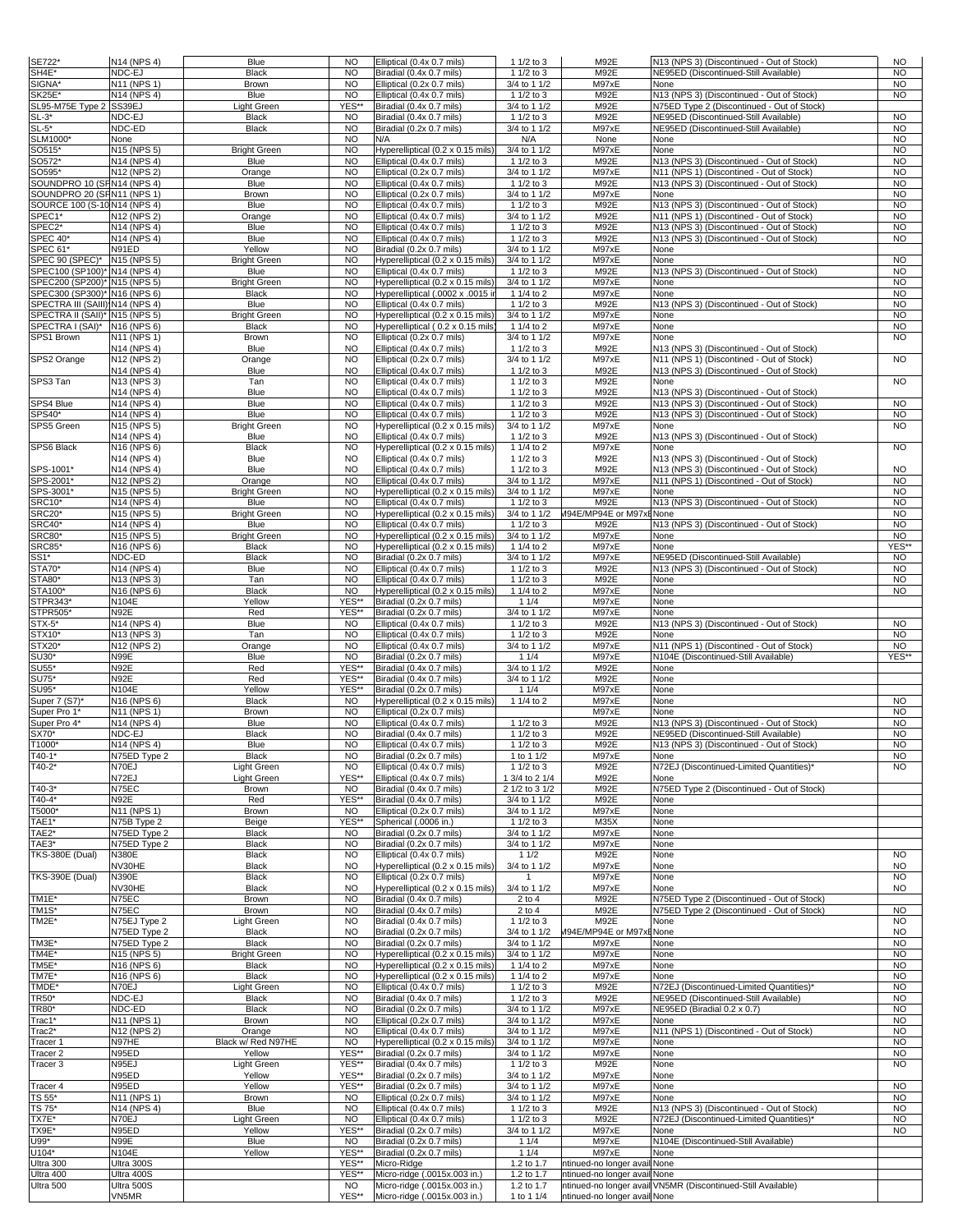| SE722*                          | N14 (NPS 4)             | Blue                | <b>NO</b>          | Elliptical (0.4x 0.7 mils)                                   | 1 1/2 to 3                   | M92E                         | N13 (NPS 3) (Discontinued - Out of Stock)                    | <b>NO</b>              |
|---------------------------------|-------------------------|---------------------|--------------------|--------------------------------------------------------------|------------------------------|------------------------------|--------------------------------------------------------------|------------------------|
| SH4E*                           | NDC-EJ                  | Black               | <b>NO</b>          | Biradial (0.4x 0.7 mils)                                     | 1 1/2 to 3                   | M92E                         | NE95ED (Discontinued-Still Available)                        | <b>NO</b>              |
| SIGNA'                          | N11 (NPS 1)             | Brown               | <b>NO</b>          | Elliptical (0.2x 0.7 mils)                                   | 3/4 to 1 1/2                 | M97xE                        | None                                                         | <b>NO</b>              |
| SK25E*                          | N14 (NPS 4)             | Blue                | <b>NO</b>          | Elliptical (0.4x 0.7 mils)                                   | 1 1/2 to 3                   | M92E                         | N13 (NPS 3) (Discontinued - Out of Stock)                    | <b>NO</b>              |
| SL95-M75E Type 2                | SS39EJ                  | Light Green         | YES**              | Biradial (0.4x 0.7 mils)                                     | 3/4 to 1 1/2                 | M92E                         | N75ED Type 2 (Discontinued - Out of Stock)                   |                        |
| $SL-3^*$                        | NDC-EJ                  | Black               | NO.                | Biradial (0.4x 0.7 mils)                                     | 1 1/2 to 3                   | M92E                         | NE95ED (Discontinued-Still Available)                        | N <sub>O</sub>         |
| $SL-5^*$                        | NDC-ED                  | Black               | <b>NO</b>          | Biradial (0.2x 0.7 mils)                                     | 3/4 to 1 1/2                 | M97xE                        | NE95ED (Discontinued-Still Available)                        | <b>NO</b>              |
| SLM1000*                        | None                    |                     | <b>NO</b>          | N/A                                                          | N/A                          | None                         | None                                                         | <b>NO</b>              |
| SO515*                          | N15 (NPS 5)             | <b>Bright Green</b> | <b>NO</b>          | Hyperelliptical (0.2 x 0.15 mils)                            | 3/4 to 1 1/2                 | M97xE                        | None                                                         | <b>NO</b>              |
| SO572*                          | N14 (NPS 4)             | Blue                | <b>NO</b>          | Elliptical (0.4x 0.7 mils)                                   | 1 1/2 to 3                   | M92E                         | N13 (NPS 3) (Discontinued - Out of Stock)                    | <b>NO</b>              |
| SO595*                          | N12 (NPS 2)             | Orange              | <b>NO</b>          | Elliptical (0.2x 0.7 mils)                                   | 3/4 to 1 1/2                 | M97xE                        | N11 (NPS 1) (Discontined - Out of Stock)                     | <b>NO</b>              |
|                                 |                         |                     |                    |                                                              |                              |                              |                                                              |                        |
| SOUNDPRO 10 (SPN14 (NPS 4)      |                         | Blue                | <b>NO</b>          | Elliptical (0.4x 0.7 mils)                                   | 1 1/2 to 3                   | M92E                         | N13 (NPS 3) (Discontinued - Out of Stock)                    | <b>NO</b>              |
| SOUNDPRO 20 (SFN11 (NPS 1)      |                         | Brown               | <b>NO</b>          | Elliptical (0.2x 0.7 mils)                                   | 3/4 to 1 1/2                 | M97xE                        | None                                                         | <b>NO</b>              |
| SOURCE 100 (S-10 N14 (NPS 4)    |                         | Blue                | <b>NO</b>          | Elliptical (0.4x 0.7 mils)                                   | 1 $1/2$ to 3                 | M92E                         | N13 (NPS 3) (Discontinued - Out of Stock)                    | <b>NO</b>              |
| SPEC1*                          | N12 (NPS 2)             | Orange              | <b>NO</b>          | Elliptical (0.4x 0.7 mils)                                   | 3/4 to 1 1/2                 | M92E                         | N11 (NPS 1) (Discontined - Out of Stock)                     | <b>NO</b>              |
| SPEC2*                          | N14 (NPS 4)             | Blue                | <b>NO</b>          | Elliptical (0.4x 0.7 mils)                                   | 1 1/2 to 3                   | M92E                         | N13 (NPS 3) (Discontinued - Out of Stock)                    | <b>NO</b>              |
| <b>SPEC 40*</b>                 | N14 (NPS 4)             | Blue                | <b>NO</b>          | Elliptical (0.4x 0.7 mils)                                   | 1 1/2 to 3                   | M92E                         | N13 (NPS 3) (Discontinued - Out of Stock)                    | <b>NO</b>              |
| SPEC 61*                        | N91ED                   | Yellow              | <b>NO</b>          | Biradial (0.2x 0.7 mils)                                     | 3/4 to 1 1/2                 | M97xE                        | None                                                         |                        |
| SPEC 90 (SPEC)*                 | N15 (NPS 5)             | <b>Bright Green</b> | <b>NO</b>          | Hyperelliptical (0.2 x 0.15 mils)                            | $3/4$ to 1 $\overline{1/2}$  | M97xE                        | None                                                         | <b>NO</b>              |
| SPEC100 (SP100)* N14 (NPS 4)    |                         | Blue                | <b>NO</b>          | Elliptical (0.4x 0.7 mils)                                   | 1 1/2 to 3                   | M92E                         | N13 (NPS 3) (Discontinued - Out of Stock)                    | <b>NO</b>              |
| SPEC200 (SP200)* N15 (NPS 5)    |                         | <b>Bright Green</b> | <b>NO</b>          | Hyperelliptical (0.2 x 0.15 mils)                            | 3/4 to 1 1/2                 | M97xE                        | None                                                         | <b>NO</b>              |
| SPEC300 (SP300)* N16 (NPS 6)    |                         | <b>Black</b>        | <b>NO</b>          |                                                              | 1 1/4 to 2                   | M97xE                        | None                                                         | <b>NO</b>              |
|                                 |                         |                     |                    | Hyperelliptical (.0002 x .0015 i                             |                              |                              |                                                              |                        |
| SPECTRA III (SAIII) N14 (NPS 4) |                         | Blue                | <b>NO</b>          | Elliptical (0.4x 0.7 mils)                                   | 1 1/2 to 3                   | M92E                         | N13 (NPS 3) (Discontinued - Out of Stock)                    | <b>NO</b>              |
| SPECTRA II (SAII)* N15 (NPS 5)  |                         | <b>Bright Green</b> | <b>NO</b>          | Hyperelliptical (0.2 x 0.15 mils)                            | 3/4 to 1 1/2                 | M97xE                        | None                                                         | <b>NO</b>              |
| SPECTRA I (SAI)*                | N <sub>16</sub> (NPS 6) | <b>Black</b>        | <b>NO</b>          | Hyperelliptical (0.2 x 0.15 mils                             | 1 1/4 to 2                   | M97xE                        | None                                                         | <b>NO</b>              |
| SPS1 Brown                      | N11 (NPS 1)             | Brown               | <b>NO</b>          | Elliptical (0.2x 0.7 mils)                                   | 3/4 to 1 1/2                 | M97xE                        | None                                                         | <b>NO</b>              |
|                                 | N14 (NPS 4)             | Blue                | <b>NO</b>          | Elliptical (0.4x 0.7 mils)                                   | 1 1/2 to 3                   | M92E                         | N13 (NPS 3) (Discontinued - Out of Stock)                    |                        |
| SPS2 Orange                     | N12 (NPS 2)             | Orange              | <b>NO</b>          | Elliptical (0.2x 0.7 mils)                                   | 3/4 to 1 1/2                 | M97xE                        | N11 (NPS 1) (Discontined - Out of Stock)                     | <b>NO</b>              |
|                                 | N14 (NPS 4)             | Blue                | NO                 | Elliptical (0.4x 0.7 mils)                                   | 1 1/2 to 3                   | M92E                         | N13 (NPS 3) (Discontinued - Out of Stock)                    |                        |
| SPS3 Tan                        | N13 (NPS 3)             | Tan                 | <b>NO</b>          | Elliptical (0.4x 0.7 mils)                                   | 1 1/2 to 3                   | M92E                         | None                                                         | <b>NO</b>              |
|                                 | N14 (NPS 4)             | Blue                | <b>NO</b>          | Elliptical (0.4x 0.7 mils)                                   | 1 1/2 to 3                   | M92E                         | N13 (NPS 3) (Discontinued - Out of Stock)                    |                        |
| SPS4 Blue                       | N14 (NPS 4)             | Blue                | <b>NO</b>          | Elliptical (0.4x 0.7 mils)                                   | 1 1/2 to 3                   | M92E                         | N13 (NPS 3) (Discontinued - Out of Stock)                    | <b>NO</b>              |
|                                 |                         |                     |                    |                                                              |                              |                              |                                                              |                        |
| <b>SPS40*</b>                   | N14 (NPS 4)             | Blue                | <b>NO</b>          | Elliptical (0.4x 0.7 mils)                                   | 1 1/2 to 3                   | M92E                         | N13 (NPS 3) (Discontinued - Out of Stock)                    | <b>NO</b>              |
| SPS5 Green                      | N15 (NPS 5)             | <b>Bright Green</b> | <b>NO</b>          | Hyperelliptical (0.2 x 0.15 mils)                            | 3/4 to 1 1/2                 | M97xE                        | None                                                         | <b>NO</b>              |
|                                 | N14 (NPS 4)             | Blue                | <b>NO</b>          | Elliptical (0.4x 0.7 mils)                                   | 1 1/2 to 3                   | M92E                         | N13 (NPS 3) (Discontinued - Out of Stock)                    |                        |
| SPS6 Black                      | N <sub>16</sub> (NPS 6) | <b>Black</b>        | <b>NO</b>          | Hyperelliptical (0.2 x 0.15 mils)                            | 1 1/4 to 2                   | M97xE                        | None                                                         | <b>NO</b>              |
|                                 | N14 (NPS 4)             | Blue                | <b>NO</b>          | Elliptical (0.4x 0.7 mils)                                   | 1 1/2 to 3                   | M92E                         | N13 (NPS 3) (Discontinued - Out of Stock)                    |                        |
| SPS-1001*                       | N14 (NPS 4)             | Blue                | <b>NO</b>          | Elliptical (0.4x 0.7 mils)                                   | 1 1/2 to 3                   | M92E                         | N13 (NPS 3) (Discontinued - Out of Stock)                    | <b>NO</b>              |
| SPS-2001'                       | N12 (NPS 2)             | Orange              | <b>NO</b>          | Elliptical (0.4x 0.7 mils)                                   | 3/4 to 1 1/2                 | M97xE                        | N11 (NPS 1) (Discontined - Out of Stock)                     | <b>NO</b>              |
| SPS-3001*                       | N15 (NPS 5)             | <b>Bright Green</b> | <b>NO</b>          | Hyperelliptical (0.2 x 0.15 mils)                            | 3/4 to 1 1/2                 | M97xE                        | None                                                         | <b>NO</b>              |
| SRC10*                          | N14 (NPS 4)             | Blue                | <b>NO</b>          | Elliptical (0.4x 0.7 mils)                                   | 1 1/2 to 3                   | M92E                         | N13 (NPS 3) (Discontinued - Out of Stock)                    | <b>NO</b>              |
| SRC20*                          | N15 (NPS 5)             | <b>Bright Green</b> | <b>NO</b>          | Hyperelliptical (0.2 x 0.15 mils)                            | 3/4 to 1 1/2                 | 094E/MP94E or M97xENone      |                                                              | <b>NO</b>              |
| SRC40*                          | N14 (NPS 4)             | Blue                | <b>NO</b>          | Elliptical (0.4x 0.7 mils)                                   | 1 $1/2$ to 3                 | M92E                         | N13 (NPS 3) (Discontinued - Out of Stock)                    | <b>NO</b>              |
| SRC80*                          |                         |                     | <b>NO</b>          |                                                              |                              | M97xE                        |                                                              | <b>NO</b>              |
|                                 | N15 (NPS 5)             | <b>Bright Green</b> |                    | Hyperelliptical (0.2 x 0.15 mils)                            | 3/4 to 1 1/2                 |                              | None                                                         |                        |
| SRC85*                          | N16 (NPS 6)             | Black               | <b>NO</b>          | Hyperelliptical (0.2 x 0.15 mils)                            | 1 1/4 to 2                   | M97xE                        | None                                                         | YES**                  |
| SS1*                            | NDC-ED                  | <b>Black</b>        | <b>NO</b>          | Biradial (0.2x 0.7 mils)                                     | 3/4 to 1 1/2                 | M97xE                        | NE95ED (Discontinued-Still Available)                        | <b>NO</b>              |
| STA70*                          | N14 (NPS 4)             | Blue                | <b>NO</b>          | Elliptical (0.4x 0.7 mils)                                   | 1 1/2 to 3                   | M92E                         | N13 (NPS 3) (Discontinued - Out of Stock)                    | <b>NO</b>              |
| STA80*                          | N13 (NPS 3)             | Tan                 | <b>NO</b>          | Elliptical (0.4x 0.7 mils)                                   | 1 1/2 to 3                   | M92E                         | None                                                         | <b>NO</b>              |
| STA100*                         | N16 (NPS 6)             | <b>Black</b>        | <b>NO</b>          | Hyperelliptical (0.2 x 0.15 mils)                            | 1 1/4 to 2                   | M97xE                        | None                                                         | <b>NO</b>              |
| STPR343                         | N104E                   | Yellow              | YES*'              | Biradial (0.2x 0.7 mils)                                     | 11/4                         | M97xE                        | None                                                         |                        |
| STPR505*                        | <b>N92E</b>             | Red                 | YES**              | Biradial (0.2x 0.7 mils)                                     | 3/4 to 1 1/2                 | M97xE                        | None                                                         |                        |
| $STX-5^*$                       | N14 (NPS 4)             | Blue                | <b>NO</b>          | Elliptical (0.4x 0.7 mils)                                   | 1 1/2 to 3                   | M92E                         | N13 (NPS 3) (Discontinued - Out of Stock)                    | <b>NO</b>              |
| STX10*                          | N13 (NPS 3)             | Tan                 | <b>NO</b>          | Elliptical (0.4x 0.7 mils)                                   | 1 1/2 to 3                   | M92E                         | None                                                         | <b>NO</b>              |
| STX20*                          | N12 (NPS 2)             | Orange              | <b>NO</b>          | Elliptical (0.4x 0.7 mils)                                   | 3/4 to 1 1/2                 | M97xE                        | N11 (NPS 1) (Discontined - Out of Stock)                     | <b>NO</b>              |
| <b>SU30*</b>                    | <b>N99E</b>             | Blue                | <b>NO</b>          | Biradial (0.2x 0.7 mils)                                     | 11/4                         | M97xE                        | N104E (Discontinued-Still Available)                         | YES**                  |
| SU55*                           | <b>N92E</b>             | Red                 | YES**              | Biradial (0.4x 0.7 mils)                                     | 3/4 to 1 1/2                 | M92E                         | None                                                         |                        |
| SU75*                           | <b>N92E</b>             | Red                 | YES**              | Biradial (0.4x 0.7 mils)                                     | 3/4 to 1 1/2                 | M92E                         | None                                                         |                        |
| SU95*                           | N104E                   | Yellow              | YES**              | Biradial (0.2x 0.7 mils)                                     | 11/4                         | M97xE                        | None                                                         |                        |
| Super 7 (S7)*                   | N16 (NPS 6)             | <b>Black</b>        | NO.                | Hyperelliptical (0.2 x 0.15 mils)                            | 1 1/4 to 2                   | M97xE                        | None                                                         | <b>NO</b>              |
| Super Pro 1*                    | N11 (NPS 1)             | Brown               | <b>NO</b>          | Elliptical (0.2x 0.7 mils)                                   |                              | M97xE                        | None                                                         | <b>NO</b>              |
| Super Pro 4*                    |                         | Blue                | <b>NO</b>          | Elliptical (0.4x 0.7 mils)                                   | 1 1/2 to 3                   | M92E                         | N13 (NPS 3) (Discontinued - Out of Stock)                    | <b>NO</b>              |
|                                 | N14 (NPS 4)             |                     |                    |                                                              |                              |                              |                                                              |                        |
| SX70*                           | NDC-EJ                  | <b>Black</b>        | <b>NO</b>          | Biradial (0.4x 0.7 mils)                                     | 1 1/2 to 3                   | M92E                         | NE95ED (Discontinued-Still Available)                        | <b>NO</b>              |
| T1000*                          | N14 (NPS 4)             | Blue                | NO.                | Elliptical (0.4x 0.7 mils)                                   | 1 1/2 to 3                   | M92E                         | N13 (NPS 3) (Discontinued - Out of Stock)                    | <b>NO</b>              |
| T40-1*                          | N75ED Type 2            | Black               | NO                 | Biradial (0.2x 0.7 mils)                                     | 1 to 1 1/2                   | M97xE                        | None                                                         | <b>NO</b>              |
| T40-2*                          | N70EJ                   | Light Green         | <b>NO</b>          | Elliptical (0.4x 0.7 mils)                                   | 1 1/2 to 3                   | M92E                         | N72EJ (Discontinued-Limited Quantities)*                     | <b>NO</b>              |
|                                 | N72EJ                   | Light Green         | YES**              | Elliptical (0.4x 0.7 mils)                                   | 1 3/4 to 2 1/4               | M92E                         | None                                                         |                        |
| $T40-3*$                        | N75EC                   | Brown               | <b>NO</b>          | Biradial (0.4x 0.7 mils)                                     | 2 1/2 to 3 1/2               | M92E                         | N75ED Type 2 (Discontinued - Out of Stock)                   |                        |
| T40-4*                          | <b>N92E</b>             | Red                 | YES**              | Biradial (0.4x 0.7 mils)                                     | 3/4 to 1 1/2                 | M92E                         | None                                                         |                        |
| T5000*                          | N11 (NPS 1)             | Brown               | <b>NO</b>          | Elliptical (0.2x 0.7 mils)                                   | 3/4 to 1 1/2                 | M97xE                        | None                                                         |                        |
| TAE1*                           | N75B Type 2             | Beige               | YES**              | Spherical (.0006 in.)                                        | 1 1/2 to 3                   | M35X                         | None                                                         |                        |
| TAE2*                           | N75ED Type 2            | Black               | <b>NO</b>          | Biradial (0.2x 0.7 mils)                                     | 3/4 to 1 1/2                 | M97xE                        | None                                                         |                        |
| TAE3*                           | N75ED Type 2            | Black               | <b>NO</b>          | Biradial (0.2x 0.7 mils)                                     | 3/4 to 1 1/2                 | M97xE                        | None                                                         |                        |
| <b>TKS-380E (Dual)</b>          | N380E                   | Black               | <b>NO</b>          | Elliptical (0.4x 0.7 mils)                                   | 11/2                         | M92E                         | None                                                         | <b>NO</b>              |
|                                 | NV30HE                  | Black               | <b>NO</b>          | Hyperelliptical (0.2 x 0.15 mils)                            | 3/4 to 1 1/2                 | M97xE                        | None                                                         | <b>NO</b>              |
| <b>TKS-390E (Dual)</b>          | <b>N390E</b>            | Black               | <b>NO</b>          | Elliptical (0.2x 0.7 mils)                                   | $\mathbf{1}$                 | M97xE                        | None                                                         | <b>NO</b>              |
|                                 | NV30HE                  | <b>Black</b>        | <b>NO</b>          | Hyperelliptical (0.2 x 0.15 mils)                            | 3/4 to 1 1/2                 | M97xE                        | None                                                         | <b>NO</b>              |
| TM1E*                           | N75EC                   | Brown               | <b>NO</b>          | Biradial (0.4x 0.7 mils)                                     | $2$ to $4$                   | M92E                         | N75ED Type 2 (Discontinued - Out of Stock)                   |                        |
| TM1S*                           | N75EC                   | Brown               | <b>NO</b>          | Biradial (0.4x 0.7 mils)                                     | $2$ to $4$                   | M92E                         | N75ED Type 2 (Discontinued - Out of Stock)                   | <b>NO</b>              |
| TM2E*                           | N75EJ Type 2            | Light Green         | <b>NO</b>          | Biradial (0.4x 0.7 mils)                                     | 1 1/2 to 3                   | M92E                         | None                                                         | <b>NO</b>              |
|                                 | N75ED Type 2            | <b>Black</b>        | <b>NO</b>          |                                                              |                              | 094E/MP94E or M97xENone      |                                                              |                        |
| TM3E*                           | N75ED Type 2            | <b>Black</b>        | NO.                | Biradial (0.2x 0.7 mils)                                     | 3/4 to 1 1/2<br>3/4 to 1 1/2 | M97xE                        | None                                                         | <b>NO</b><br><b>NO</b> |
|                                 |                         |                     |                    | Biradial (0.2x 0.7 mils)                                     |                              |                              |                                                              |                        |
| TM4E*                           | N15 (NPS 5)             | <b>Bright Green</b> | <b>NO</b>          | Hyperelliptical (0.2 x 0.15 mils)                            | 3/4 to 1 1/2                 | M97xE                        | None                                                         | <b>NO</b>              |
| TM5E*                           | N16 (NPS 6)             | <b>Black</b>        | <b>NO</b>          | Hyperelliptical (0.2 x 0.15 mils)                            | 1 1/4 to 2                   | M97xE                        | None                                                         | <b>NO</b>              |
| TM7E*                           | N16 (NPS 6)             | <b>Black</b>        | <b>NO</b>          | Hyperelliptical (0.2 x 0.15 mils)                            | 1 1/4 to 2                   | M97xE                        | None                                                         | <b>NO</b>              |
| TMDE*                           | N70EJ                   | Light Green         | <b>NO</b>          | Elliptical (0.4x 0.7 mils)                                   | 1 1/2 to 3                   | M92E                         | N72EJ (Discontinued-Limited Quantities)*                     | <b>NO</b>              |
| TR50*                           | NDC-EJ                  | <b>Black</b>        | <b>NO</b>          | Biradial (0.4x 0.7 mils)                                     | 1 1/2 to 3                   | M92E                         | NE95ED (Discontinued-Still Available)                        | <b>NO</b>              |
| TR80*                           | NDC-ED                  | Black               | <b>NO</b>          | Biradial (0.2x 0.7 mils)                                     | 3/4 to 1 1/2                 | M97xE                        | NE95ED (Biradial 0.2 x 0.7)                                  | <b>NO</b>              |
| Frac1*                          | N11 (NPS 1)             | Brown               | NO.                | Elliptical (0.2x 0.7 mils)                                   | 3/4 to 1 1/2                 | M97xE                        | None                                                         | <b>NO</b>              |
| Trac2*                          | N12 (NPS 2)             | Orange              | <b>NO</b>          | Elliptical (0.4x 0.7 mils)                                   | 3/4 to 1 1/2                 | M97xE                        | N11 (NPS 1) (Discontined - Out of Stock)                     | <b>NO</b>              |
| Tracer 1                        | N97HE                   | Black w/ Red N97HE  | <b>NO</b>          | Hyperelliptical (0.2 x 0.15 mils)                            | 3/4 to 1 1/2                 | M97xE                        | None                                                         | <b>NO</b>              |
| Tracer 2                        | N95ED                   | Yellow              | YES**              | Biradial (0.2x 0.7 mils)                                     | 3/4 to 1 1/2                 | M97xE                        | None                                                         | <b>NO</b>              |
| Tracer 3                        | N95EJ                   | Light Green         | YES**              | Biradial (0.4x 0.7 mils)                                     | 1 1/2 to 3                   | M92E                         | None                                                         | <b>NO</b>              |
|                                 | N95ED                   | Yellow              | YES**              | Biradial (0.2x 0.7 mils)                                     | 3/4 to 1 1/2                 | M97xE                        | None                                                         |                        |
| Tracer 4                        | N95ED                   | Yellow              | YES**              | Biradial (0.2x 0.7 mils)                                     | $3/4$ to 1 $\frac{1}{2}$     | M97xE                        | None                                                         | <b>NO</b>              |
| TS 55*                          | N11 (NPS 1)             | Brown               | NO.                | Elliptical (0.2x 0.7 mils)                                   | 3/4 to 1 1/2                 | M97xE                        | None                                                         | <b>NO</b>              |
| TS 75*                          | N14 (NPS 4)             | Blue                | <b>NO</b>          | Elliptical (0.4x 0.7 mils)                                   | 1 1/2 to 3                   | M92E                         | N13 (NPS 3) (Discontinued - Out of Stock)                    | <b>NO</b>              |
| TX7E*                           | N70EJ                   | Light Green         | <b>NO</b>          | Elliptical (0.4x 0.7 mils)                                   | 1 1/2 to 3                   | M92E                         | N72EJ (Discontinued-Limited Quantities)*                     | <b>NO</b>              |
| TX9E*                           | N95ED                   | Yellow              | YES**              | Biradial (0.2x 0.7 mils)                                     | 3/4 to 1 1/2                 | M97xE                        | None                                                         | <b>NO</b>              |
| U99*                            | N99E                    | Blue                | <b>NO</b>          | Biradial (0.2x 0.7 mils)                                     | 11/4                         | M97xE                        | N104E (Discontinued-Still Available)                         |                        |
| U104*                           | N104E                   |                     | YES**              |                                                              | 11/4                         | M97xE                        |                                                              |                        |
| Ultra 300                       |                         | Yellow              |                    | Biradial (0.2x 0.7 mils)                                     |                              |                              | None                                                         |                        |
|                                 |                         |                     |                    |                                                              |                              |                              |                                                              |                        |
|                                 | Ultra 300S              |                     | YES**              | Micro-Ridge                                                  | 1.2 to 1.7                   | ntinued-no longer avail None |                                                              |                        |
| Ultra 400                       | Ultra 400S              |                     | YES**              | Micro-ridge (.0015x.003 in.)                                 | 1.2 to 1.7                   | ntinued-no longer avail None |                                                              |                        |
| Ultra 500                       | Ultra 500S<br>VN5MR     |                     | <b>NO</b><br>YES** | Micro-ridge (.0015x.003 in.)<br>Micro-ridge (.0015x.003 in.) | 1.2 to 1.7<br>1 to 1 1/4     | ntinued-no longer avail None | ntinued-no longer avail VN5MR (Discontinued-Still Available) |                        |